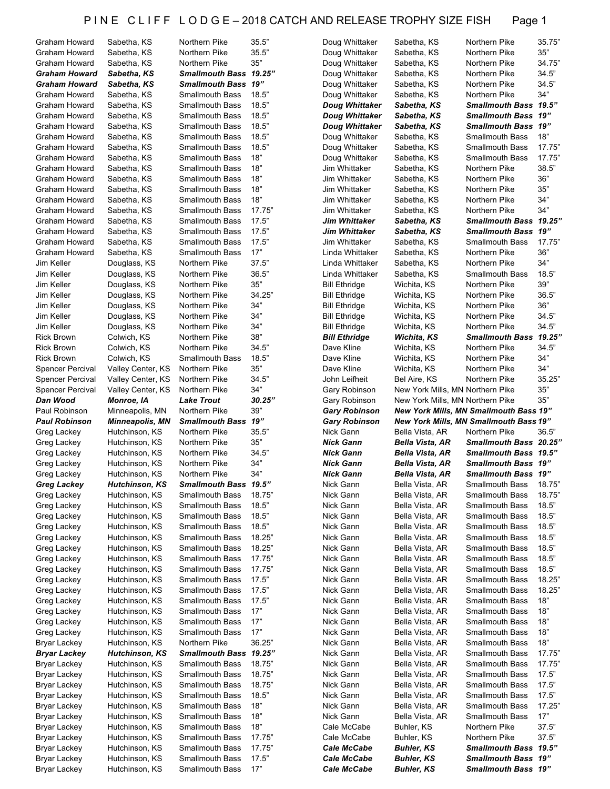| Graham Howard                | Sabetha, KS                      | Northern Pike                                    | 35.5"        | Doug Whittaker                           | Sabetha, KS                            | Northern Pike                                     | 35.75" |
|------------------------------|----------------------------------|--------------------------------------------------|--------------|------------------------------------------|----------------------------------------|---------------------------------------------------|--------|
|                              | Sabetha, KS                      | Northern Pike                                    | 35.5"        |                                          |                                        |                                                   | 35"    |
| Graham Howard                |                                  |                                                  |              | Doug Whittaker                           | Sabetha, KS                            | Northern Pike                                     |        |
| Graham Howard                | Sabetha, KS                      | Northern Pike                                    | 35"          | Doug Whittaker                           | Sabetha, KS                            | Northern Pike                                     | 34.75" |
| <b>Graham Howard</b>         | Sabetha, KS                      | Smallmouth Bass 19.25"                           |              | Doug Whittaker                           | Sabetha, KS                            | Northern Pike                                     | 34.5"  |
| <b>Graham Howard</b>         | Sabetha, KS                      | Smallmouth Bass 19"                              |              | Doug Whittaker                           | Sabetha, KS                            | Northern Pike                                     | 34.5"  |
| Graham Howard                | Sabetha, KS                      | <b>Smallmouth Bass</b>                           | 18.5"        | Doug Whittaker                           | Sabetha, KS                            | Northern Pike                                     | 34"    |
|                              |                                  |                                                  |              |                                          |                                        |                                                   |        |
| <b>Graham Howard</b>         | Sabetha, KS                      | <b>Smallmouth Bass</b>                           | 18.5"        | Doug Whittaker                           | Sabetha, KS                            | Smallmouth Bass 19.5"                             |        |
| Graham Howard                | Sabetha, KS                      | <b>Smallmouth Bass</b>                           | 18.5"        | Doug Whittaker                           | Sabetha, KS                            | Smallmouth Bass 19"                               |        |
| Graham Howard                | Sabetha, KS                      | <b>Smallmouth Bass</b>                           | 18.5"        | Doug Whittaker                           | Sabetha, KS                            | <b>Smallmouth Bass 19"</b>                        |        |
| Graham Howard                | Sabetha, KS                      | <b>Smallmouth Bass</b>                           | 18.5"        | Doug Whittaker                           | Sabetha, KS                            | <b>Smallmouth Bass</b>                            | 18"    |
|                              |                                  |                                                  | 18.5"        |                                          |                                        |                                                   |        |
| Graham Howard                | Sabetha, KS                      | <b>Smallmouth Bass</b>                           |              | Doug Whittaker                           | Sabetha, KS                            | <b>Smallmouth Bass</b>                            | 17.75" |
| Graham Howard                | Sabetha, KS                      | <b>Smallmouth Bass</b>                           | 18"          | Doug Whittaker                           | Sabetha, KS                            | Smallmouth Bass                                   | 17.75" |
| Graham Howard                | Sabetha, KS                      | <b>Smallmouth Bass</b>                           | 18"          | Jim Whittaker                            | Sabetha, KS                            | Northern Pike                                     | 38.5"  |
| Graham Howard                | Sabetha, KS                      | <b>Smallmouth Bass</b>                           | 18"          | Jim Whittaker                            | Sabetha, KS                            | Northern Pike                                     | 36"    |
| Graham Howard                | Sabetha, KS                      | <b>Smallmouth Bass</b>                           | 18"          | Jim Whittaker                            | Sabetha, KS                            | Northern Pike                                     | $35"$  |
|                              |                                  |                                                  |              |                                          |                                        |                                                   |        |
| Graham Howard                | Sabetha, KS                      | <b>Smallmouth Bass</b>                           | 18"          | Jim Whittaker                            | Sabetha, KS                            | Northern Pike                                     | 34"    |
| Graham Howard                | Sabetha, KS                      | <b>Smallmouth Bass</b>                           | 17.75"       | Jim Whittaker                            | Sabetha, KS                            | Northern Pike                                     | 34"    |
| Graham Howard                | Sabetha, KS                      | <b>Smallmouth Bass</b>                           | 17.5"        | Jim Whittaker                            | Sabetha, KS                            | Smallmouth Bass 19.25"                            |        |
| Graham Howard                | Sabetha, KS                      | <b>Smallmouth Bass</b>                           | 17.5"        | Jim Whittaker                            | Sabetha, KS                            | Smallmouth Bass 19"                               |        |
|                              |                                  |                                                  |              |                                          |                                        |                                                   |        |
| Graham Howard                | Sabetha, KS                      | <b>Smallmouth Bass</b>                           | 17.5"        | Jim Whittaker                            | Sabetha, KS                            | <b>Smallmouth Bass</b>                            | 17.75" |
| Graham Howard                | Sabetha, KS                      | <b>Smallmouth Bass</b>                           | 17"          | Linda Whittaker                          | Sabetha, KS                            | Northern Pike                                     | 36"    |
| Jim Keller                   | Douglass, KS                     | Northern Pike                                    | 37.5"        | Linda Whittaker                          | Sabetha, KS                            | Northern Pike                                     | 34"    |
| Jim Keller                   | Douglass, KS                     | Northern Pike                                    | 36.5"        | Linda Whittaker                          | Sabetha, KS                            | <b>Smallmouth Bass</b>                            | 18.5"  |
| Jim Keller                   | Douglass, KS                     | Northern Pike                                    | 35"          | <b>Bill Ethridge</b>                     | Wichita, KS                            | Northern Pike                                     | 39"    |
|                              |                                  |                                                  |              |                                          |                                        |                                                   |        |
| Jim Keller                   | Douglass, KS                     | Northern Pike                                    | 34.25"       | <b>Bill Ethridge</b>                     | Wichita, KS                            | Northern Pike                                     | 36.5"  |
| Jim Keller                   | Douglass, KS                     | Northern Pike                                    | 34"          | <b>Bill Ethridge</b>                     | Wichita, KS                            | Northern Pike                                     | 36"    |
| Jim Keller                   | Douglass, KS                     | Northern Pike                                    | 34"          | <b>Bill Ethridge</b>                     | Wichita, KS                            | Northern Pike                                     | 34.5"  |
| Jim Keller                   | Douglass, KS                     | Northern Pike                                    | 34"          | <b>Bill Ethridge</b>                     | Wichita, KS                            | Northern Pike                                     | 34.5"  |
| <b>Rick Brown</b>            |                                  | Northern Pike                                    | 38"          |                                          |                                        | <b>Smallmouth Bass</b>                            | 19.25" |
|                              | Colwich, KS                      |                                                  |              | <b>Bill Ethridge</b>                     | Wichita, KS                            |                                                   |        |
| <b>Rick Brown</b>            | Colwich, KS                      | Northern Pike                                    | 34.5"        | Dave Kline                               | Wichita, KS                            | Northern Pike                                     | 34.5"  |
| <b>Rick Brown</b>            | Colwich, KS                      | <b>Smallmouth Bass</b>                           | 18.5"        | Dave Kline                               | Wichita, KS                            | Northern Pike                                     | 34"    |
| <b>Spencer Percival</b>      | Valley Center, KS                | Northern Pike                                    | 35"          | Dave Kline                               | Wichita, KS                            | Northern Pike                                     | 34"    |
| <b>Spencer Percival</b>      | Valley Center, KS                | Northern Pike                                    | 34.5"        | John Leifheit                            | Bel Aire, KS                           | Northern Pike                                     | 35.25" |
| <b>Spencer Percival</b>      | Valley Center, KS                | Northern Pike                                    | 34"          | Gary Robinson                            | New York Mills, MN Northern Pike       |                                                   | 35"    |
|                              |                                  |                                                  |              |                                          |                                        |                                                   |        |
|                              |                                  |                                                  |              |                                          |                                        |                                                   |        |
| Dan Wood                     | Monroe, IA                       | <b>Lake Trout</b>                                | 30.25"       | Gary Robinson                            | New York Mills, MN Northern Pike       |                                                   | 35"    |
| Paul Robinson                | Minneapolis, MN                  | Northern Pike                                    | 39"          | <b>Gary Robinson</b>                     |                                        | New York Mills, MN Smallmouth Bass 19"            |        |
| <b>Paul Robinson</b>         | <b>Minneapolis, MN</b>           | <b>Smallmouth Bass</b>                           | 19"          | <b>Gary Robinson</b>                     |                                        | New York Mills, MN Smallmouth Bass 19"            |        |
|                              |                                  |                                                  |              |                                          |                                        | Northern Pike                                     | 36.5"  |
| Greg Lackey                  | Hutchinson, KS                   | Northern Pike                                    | 35.5"        | Nick Gann                                | Bella Vista, AR                        |                                                   |        |
| Greg Lackey                  | Hutchinson, KS                   | Northern Pike                                    | 35"          | <b>Nick Gann</b>                         | Bella Vista, AR                        | Smallmouth Bass 20.25"                            |        |
| Greg Lackey                  | Hutchinson, KS                   | Northern Pike                                    | 34.5"        | <b>Nick Gann</b>                         | Bella Vista, AR                        | Smallmouth Bass 19.5"                             |        |
| Greg Lackey                  | Hutchinson, KS                   | Northern Pike                                    | 34"          | <b>Nick Gann</b>                         | Bella Vista, AR                        | <b>Smallmouth Bass 19"</b>                        |        |
| Greg Lackey                  | Hutchinson, KS                   | Northern Pike                                    | 34"          | <b>Nick Gann</b>                         | Bella Vista, AR                        | <b>Smallmouth Bass 19"</b>                        |        |
|                              |                                  |                                                  |              |                                          |                                        |                                                   |        |
| Greg Lackey                  | Hutchinson, KS                   | Smallmouth Bass                                  | 19.5"        | Nick Gann                                | Bella Vista, AR                        | Smallmouth Bass                                   | 18.75  |
| Greg Lackey                  | Hutchinson, KS                   | <b>Smallmouth Bass</b>                           | 18.75"       | Nick Gann                                | Bella Vista, AR                        | Smallmouth Bass                                   | 18.75" |
| Greg Lackey                  | Hutchinson, KS                   | <b>Smallmouth Bass</b>                           | 18.5"        | Nick Gann                                | Bella Vista, AR                        | Smallmouth Bass                                   | 18.5"  |
| Greg Lackey                  | Hutchinson, KS                   | <b>Smallmouth Bass</b>                           | 18.5"        | Nick Gann                                | Bella Vista, AR                        | Smallmouth Bass                                   | 18.5"  |
| Greg Lackey                  | Hutchinson, KS                   | <b>Smallmouth Bass</b>                           | 18.5"        | Nick Gann                                | Bella Vista, AR                        | Smallmouth Bass                                   | 18.5"  |
|                              |                                  |                                                  |              |                                          |                                        |                                                   |        |
| Greg Lackey                  | Hutchinson, KS                   | <b>Smallmouth Bass</b>                           | 18.25"       | Nick Gann                                | Bella Vista, AR                        | <b>Smallmouth Bass</b>                            | 18.5"  |
| Greg Lackey                  | Hutchinson, KS                   | <b>Smallmouth Bass</b>                           | 18.25"       | Nick Gann                                | Bella Vista, AR                        | Smallmouth Bass                                   | 18.5"  |
| Greg Lackey                  | Hutchinson, KS                   | <b>Smallmouth Bass</b>                           | 17.75"       | Nick Gann                                | Bella Vista, AR                        | Smallmouth Bass                                   | 18.5"  |
| Greg Lackey                  | Hutchinson, KS                   | <b>Smallmouth Bass</b>                           | 17.75"       | Nick Gann                                | Bella Vista, AR                        | <b>Smallmouth Bass</b>                            | 18.5"  |
| Greg Lackey                  | Hutchinson, KS                   | <b>Smallmouth Bass</b>                           | 17.5"        | Nick Gann                                | Bella Vista, AR                        | Smallmouth Bass                                   | 18.25' |
|                              |                                  |                                                  |              |                                          |                                        |                                                   |        |
| Greg Lackey                  | Hutchinson, KS                   | <b>Smallmouth Bass</b>                           | 17.5"        | Nick Gann                                | Bella Vista, AR                        | Smallmouth Bass                                   | 18.25" |
| Greg Lackey                  | Hutchinson, KS                   | <b>Smallmouth Bass</b>                           | 17.5"        | Nick Gann                                | Bella Vista, AR                        | Smallmouth Bass                                   | 18"    |
| Greg Lackey                  | Hutchinson, KS                   | <b>Smallmouth Bass</b>                           | 17"          | Nick Gann                                | Bella Vista, AR                        | Smallmouth Bass                                   | 18"    |
| Greg Lackey                  | Hutchinson, KS                   | <b>Smallmouth Bass</b>                           | 17"          | Nick Gann                                | Bella Vista, AR                        | Smallmouth Bass                                   | 18"    |
|                              | Hutchinson, KS                   | <b>Smallmouth Bass</b>                           | 17"          | Nick Gann                                | Bella Vista, AR                        | Smallmouth Bass                                   | 18"    |
| Greg Lackey                  |                                  |                                                  |              |                                          |                                        |                                                   |        |
| Bryar Lackey                 | Hutchinson, KS                   | Northern Pike                                    | 36.25"       | Nick Gann                                | Bella Vista, AR                        | Smallmouth Bass                                   | 18"    |
| Bryar Lackey                 | Hutchinson, KS                   | Smallmouth Bass 19.25"                           |              | Nick Gann                                | Bella Vista, AR                        | Smallmouth Bass                                   | 17.75" |
| Bryar Lackey                 | Hutchinson, KS                   | Smallmouth Bass                                  | 18.75"       | Nick Gann                                | Bella Vista, AR                        | Smallmouth Bass                                   | 17.75" |
| Bryar Lackey                 | Hutchinson, KS                   | <b>Smallmouth Bass</b>                           | 18.75"       | Nick Gann                                | Bella Vista, AR                        | Smallmouth Bass                                   | 17.5"  |
| Bryar Lackey                 | Hutchinson, KS                   | <b>Smallmouth Bass</b>                           | 18.75"       | Nick Gann                                | Bella Vista, AR                        | Smallmouth Bass                                   | 17.5"  |
|                              |                                  |                                                  |              |                                          |                                        |                                                   |        |
| Bryar Lackey                 | Hutchinson, KS                   | <b>Smallmouth Bass</b>                           | 18.5"        | Nick Gann                                | Bella Vista, AR                        | Smallmouth Bass                                   | 17.5"  |
| Bryar Lackey                 | Hutchinson, KS                   | <b>Smallmouth Bass</b>                           | 18"          | Nick Gann                                | Bella Vista, AR                        | Smallmouth Bass                                   | 17.25" |
| Bryar Lackey                 | Hutchinson, KS                   | <b>Smallmouth Bass</b>                           | 18"          | Nick Gann                                | Bella Vista, AR                        | Smallmouth Bass                                   | 17"    |
| Bryar Lackey                 | Hutchinson, KS                   | <b>Smallmouth Bass</b>                           | 18"          | Cale McCabe                              | Buhler, KS                             | Northern Pike                                     | 37.5"  |
| Bryar Lackey                 | Hutchinson, KS                   | <b>Smallmouth Bass</b>                           | 17.75"       | Cale McCabe                              | Buhler, KS                             | Northern Pike                                     | 37.5"  |
|                              |                                  |                                                  |              |                                          |                                        |                                                   |        |
| <b>Bryar Lackey</b>          | Hutchinson, KS                   | <b>Smallmouth Bass</b>                           | 17.75"       | <b>Cale McCabe</b>                       | <b>Buhler, KS</b>                      | Smallmouth Bass 19.5"                             |        |
| Bryar Lackey<br>Bryar Lackey | Hutchinson, KS<br>Hutchinson, KS | <b>Smallmouth Bass</b><br><b>Smallmouth Bass</b> | 17.5"<br>17" | <b>Cale McCabe</b><br><b>Cale McCabe</b> | <b>Buhler, KS</b><br><b>Buhler, KS</b> | Smallmouth Bass 19"<br><b>Smallmouth Bass 19"</b> |        |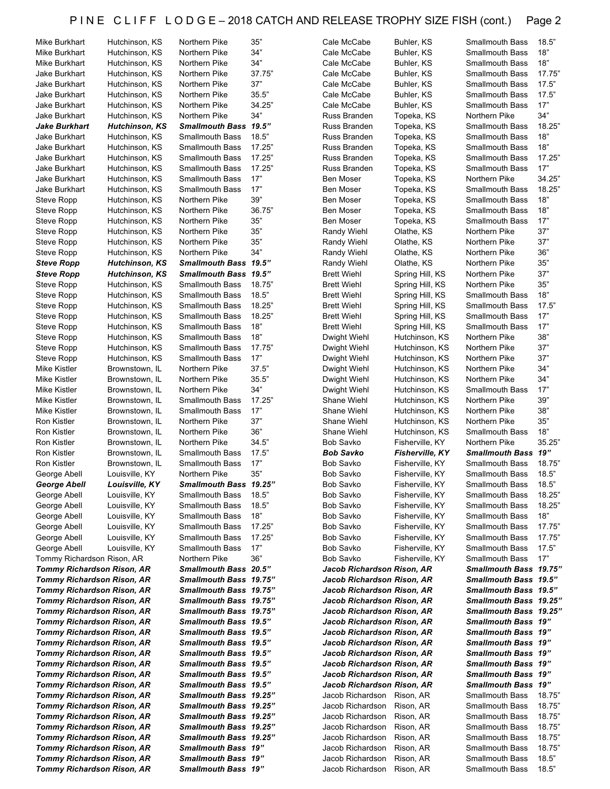| Mike Burkhart                                                          | Hutchinson, KS        | Northern Pike                              | 35"    | Cale McCabe                          | Buhler, KS             | Smallmouth Bass                    | 18.5"          |
|------------------------------------------------------------------------|-----------------------|--------------------------------------------|--------|--------------------------------------|------------------------|------------------------------------|----------------|
| Mike Burkhart                                                          | Hutchinson, KS        | Northern Pike                              | 34"    | Cale McCabe                          | Buhler, KS             | Smallmouth Bass                    | 18"            |
| Mike Burkhart                                                          | Hutchinson, KS        | Northern Pike                              | 34"    | Cale McCabe                          | Buhler, KS             | Smallmouth Bass                    | 18"            |
| Jake Burkhart                                                          | Hutchinson, KS        | Northern Pike                              | 37.75" | Cale McCabe                          | Buhler, KS             | Smallmouth Bass                    | 17.75"         |
| <b>Jake Burkhart</b>                                                   | Hutchinson, KS        | Northern Pike                              | 37"    | Cale McCabe                          | Buhler, KS             | Smallmouth Bass                    | 17.5"          |
| Jake Burkhart                                                          | Hutchinson, KS        | Northern Pike                              | 35.5"  | Cale McCabe                          | Buhler, KS             | <b>Smallmouth Bass</b>             | 17.5"          |
| Jake Burkhart                                                          | Hutchinson, KS        | Northern Pike                              | 34.25" | Cale McCabe                          | Buhler, KS             | Smallmouth Bass                    | 17"            |
| Jake Burkhart                                                          |                       | Northern Pike                              | 34"    | Russ Branden                         |                        | Northern Pike                      | 34"            |
|                                                                        | Hutchinson, KS        |                                            |        |                                      | Topeka, KS             |                                    |                |
| <b>Jake Burkhart</b>                                                   | <b>Hutchinson, KS</b> | <b>Smallmouth Bass</b>                     | 19.5"  | Russ Branden                         | Topeka, KS             | <b>Smallmouth Bass</b>             | 18.25"         |
| Jake Burkhart                                                          | Hutchinson, KS        | <b>Smallmouth Bass</b>                     | 18.5"  | Russ Branden                         | Topeka, KS             | Smallmouth Bass                    | 18"            |
| Jake Burkhart                                                          | Hutchinson, KS        | <b>Smallmouth Bass</b>                     | 17.25" | Russ Branden                         | Topeka, KS             | Smallmouth Bass                    | 18"            |
| Jake Burkhart                                                          | Hutchinson, KS        | <b>Smallmouth Bass</b>                     | 17.25" | Russ Branden                         | Topeka, KS             | Smallmouth Bass                    | 17.25"         |
| Jake Burkhart                                                          | Hutchinson, KS        | <b>Smallmouth Bass</b>                     | 17.25" | Russ Branden                         | Topeka, KS             | Smallmouth Bass                    | 17"            |
| <b>Jake Burkhart</b>                                                   | Hutchinson, KS        | <b>Smallmouth Bass</b>                     | 17"    | Ben Moser                            | Topeka, KS             | Northern Pike                      | 34.25"         |
| Jake Burkhart                                                          | Hutchinson, KS        | <b>Smallmouth Bass</b>                     | 17"    | Ben Moser                            | Topeka, KS             | Smallmouth Bass                    | 18.25"         |
| Steve Ropp                                                             | Hutchinson, KS        | Northern Pike                              | 39"    | Ben Moser                            | Topeka, KS             | Smallmouth Bass                    | 18"            |
| Steve Ropp                                                             | Hutchinson, KS        | Northern Pike                              | 36.75" | Ben Moser                            | Topeka, KS             | Smallmouth Bass                    | 18"            |
| Steve Ropp                                                             | Hutchinson, KS        | Northern Pike                              | 35"    | Ben Moser                            | Topeka, KS             | Smallmouth Bass                    | 17"            |
|                                                                        |                       |                                            | 35"    |                                      |                        |                                    | 37"            |
| Steve Ropp                                                             | Hutchinson, KS        | Northern Pike                              |        | Randy Wiehl                          | Olathe, KS             | Northern Pike                      |                |
| Steve Ropp                                                             | Hutchinson, KS        | Northern Pike                              | 35"    | Randy Wiehl                          | Olathe, KS             | Northern Pike                      | 37"            |
| Steve Ropp                                                             | Hutchinson, KS        | Northern Pike                              | 34"    | Randy Wiehl                          | Olathe, KS             | Northern Pike                      | 36"            |
| <b>Steve Ropp</b>                                                      | <b>Hutchinson, KS</b> | Smallmouth Bass 19.5"                      |        | Randy Wiehl                          | Olathe, KS             | Northern Pike                      | 35"            |
| <b>Steve Ropp</b>                                                      | <b>Hutchinson, KS</b> | Smallmouth Bass 19.5"                      |        | <b>Brett Wiehl</b>                   | Spring Hill, KS        | Northern Pike                      | 37"            |
| Steve Ropp                                                             | Hutchinson, KS        | <b>Smallmouth Bass</b>                     | 18.75" | <b>Brett Wiehl</b>                   | Spring Hill, KS        | Northern Pike                      | 35"            |
| Steve Ropp                                                             | Hutchinson, KS        | <b>Smallmouth Bass</b>                     | 18.5"  | <b>Brett Wiehl</b>                   | Spring Hill, KS        | Smallmouth Bass                    | 18"            |
| <b>Steve Ropp</b>                                                      | Hutchinson, KS        | <b>Smallmouth Bass</b>                     | 18.25" | <b>Brett Wiehl</b>                   | Spring Hill, KS        | Smallmouth Bass                    | 17.5"          |
| Steve Ropp                                                             | Hutchinson, KS        | <b>Smallmouth Bass</b>                     | 18.25" | <b>Brett Wiehl</b>                   | Spring Hill, KS        | <b>Smallmouth Bass</b>             | 17"            |
| Steve Ropp                                                             | Hutchinson, KS        | <b>Smallmouth Bass</b>                     | 18"    | <b>Brett Wiehl</b>                   | Spring Hill, KS        | <b>Smallmouth Bass</b>             | 17"            |
| Steve Ropp                                                             | Hutchinson, KS        | <b>Smallmouth Bass</b>                     | 18"    | Dwight Wiehl                         | Hutchinson, KS         | Northern Pike                      | 38"            |
|                                                                        |                       |                                            | 17.75" |                                      |                        |                                    | 37"            |
| Steve Ropp                                                             | Hutchinson, KS        | <b>Smallmouth Bass</b>                     |        | Dwight Wiehl                         | Hutchinson, KS         | Northern Pike                      |                |
| Steve Ropp                                                             | Hutchinson, KS        | <b>Smallmouth Bass</b>                     | 17"    | Dwight Wiehl                         | Hutchinson, KS         | Northern Pike                      | 37"            |
| Mike Kistler                                                           | Brownstown, IL        | Northern Pike                              | 37.5"  | Dwight Wiehl                         | Hutchinson, KS         | Northern Pike                      | 34"            |
| Mike Kistler                                                           | Brownstown, IL        | Northern Pike                              | 35.5"  | Dwight Wiehl                         | Hutchinson, KS         | Northern Pike                      | 34"            |
| Mike Kistler                                                           | Brownstown, IL        | Northern Pike                              | 34"    | Dwight Wiehl                         | Hutchinson, KS         | Smallmouth Bass                    | 17"            |
| Mike Kistler                                                           | Brownstown, IL        | <b>Smallmouth Bass</b>                     | 17.25" | Shane Wiehl                          | Hutchinson, KS         | Northern Pike                      | 39"            |
|                                                                        |                       |                                            |        |                                      |                        |                                    |                |
| Mike Kistler                                                           | Brownstown, IL        | <b>Smallmouth Bass</b>                     | 17"    | Shane Wiehl                          | Hutchinson, KS         | Northern Pike                      | 38"            |
| Ron Kistler                                                            | Brownstown, IL        | Northern Pike                              | 37"    | Shane Wiehl                          | Hutchinson, KS         | Northern Pike                      | 35"            |
| Ron Kistler                                                            |                       | Northern Pike                              | 36"    | Shane Wiehl                          | Hutchinson, KS         | <b>Smallmouth Bass</b>             | 18"            |
|                                                                        | Brownstown, IL        |                                            |        |                                      |                        |                                    |                |
| <b>Ron Kistler</b>                                                     | Brownstown, IL        | Northern Pike                              | 34.5"  | <b>Bob Savko</b>                     | Fisherville, KY        | Northern Pike                      | 35.25"         |
| <b>Ron Kistler</b>                                                     | Brownstown, IL        | <b>Smallmouth Bass</b>                     | 17.5"  | <b>Bob Savko</b>                     | <b>Fisherville, KY</b> | Smallmouth Bass 19"                |                |
| <b>Ron Kistler</b>                                                     | Brownstown, IL        | <b>Smallmouth Bass</b>                     | 17"    | Bob Savko                            | Fisherville, KY        | Smallmouth Bass                    | 18.75          |
| George Abell                                                           | Louisville, KY        | Northern Pike                              | 35"    | <b>Bob Savko</b>                     | Fisherville, KY        | Smallmouth Bass                    | 18.5"          |
| George Abell                                                           | Louisville, KY        | Smallmouth Bass 19.25"                     |        | Bob Savko                            | Fisherville, KY        | Smallmouth Bass                    | 18.5"          |
| George Abell                                                           | Louisville, KY        | Smallmouth Bass                            | 18.5"  | Bob Savko                            | Fisherville, KY        | Smallmouth Bass                    | 18.25"         |
| George Abell                                                           | Louisville, KY        | <b>Smallmouth Bass</b>                     | 18.5"  | Bob Savko                            | Fisherville, KY        | Smallmouth Bass                    | 18.25"         |
| George Abell                                                           | Louisville, KY        | <b>Smallmouth Bass</b>                     | 18"    | Bob Savko                            | Fisherville, KY        | Smallmouth Bass                    | 18"            |
| George Abell                                                           | Louisville, KY        | <b>Smallmouth Bass</b>                     | 17.25" | Bob Savko                            | Fisherville, KY        | <b>Smallmouth Bass</b>             | 17.75"         |
| George Abell                                                           | Louisville, KY        | <b>Smallmouth Bass</b>                     | 17.25" | Bob Savko                            | Fisherville, KY        | Smallmouth Bass                    | 17.75"         |
| George Abell                                                           | Louisville, KY        | <b>Smallmouth Bass</b>                     | 17"    | Bob Savko                            | Fisherville, KY        | Smallmouth Bass                    | 17.5"          |
|                                                                        |                       |                                            | 36"    |                                      | Fisherville, KY        |                                    | 17"            |
| Tommy Richardson Rison, AR                                             |                       | Northern Pike                              |        | Bob Savko                            |                        | Smallmouth Bass                    |                |
| <b>Tommy Richardson Rison, AR</b>                                      |                       | Smallmouth Bass 20.5"                      |        | Jacob Richardson Rison, AR           |                        | Smallmouth Bass 19.75"             |                |
| <b>Tommy Richardson Rison, AR</b>                                      |                       | Smallmouth Bass 19.75"                     |        | Jacob Richardson Rison, AR           |                        | Smallmouth Bass 19.5"              |                |
| <b>Tommy Richardson Rison, AR</b>                                      |                       | Smallmouth Bass 19.75"                     |        | Jacob Richardson Rison, AR           |                        | Smallmouth Bass 19.5"              |                |
| <b>Tommy Richardson Rison, AR</b>                                      |                       | Smallmouth Bass 19.75"                     |        | Jacob Richardson Rison, AR           |                        | Smallmouth Bass 19.25"             |                |
| <b>Tommy Richardson Rison, AR</b>                                      |                       | Smallmouth Bass 19.75"                     |        | Jacob Richardson Rison, AR           |                        | Smallmouth Bass 19.25"             |                |
| <b>Tommy Richardson Rison, AR</b>                                      |                       | Smallmouth Bass 19.5"                      |        | Jacob Richardson Rison, AR           |                        | <b>Smallmouth Bass 19"</b>         |                |
| Tommy Richardson Rison, AR                                             |                       | Smallmouth Bass 19.5"                      |        | Jacob Richardson Rison, AR           |                        | <b>Smallmouth Bass 19"</b>         |                |
| <b>Tommy Richardson Rison, AR</b>                                      |                       | Smallmouth Bass 19.5"                      |        | Jacob Richardson Rison, AR           |                        | <b>Smallmouth Bass 19"</b>         |                |
| <b>Tommy Richardson Rison, AR</b>                                      |                       | Smallmouth Bass 19.5"                      |        | Jacob Richardson Rison, AR           |                        | <b>Smallmouth Bass 19"</b>         |                |
| <b>Tommy Richardson Rison, AR</b>                                      |                       | Smallmouth Bass 19.5"                      |        | Jacob Richardson Rison, AR           |                        | <b>Smallmouth Bass 19"</b>         |                |
| <b>Tommy Richardson Rison, AR</b>                                      |                       | Smallmouth Bass 19.5"                      |        | Jacob Richardson Rison, AR           |                        | <b>Smallmouth Bass 19"</b>         |                |
| <b>Tommy Richardson Rison, AR</b>                                      |                       | Smallmouth Bass 19.5"                      |        | Jacob Richardson Rison, AR           |                        | <b>Smallmouth Bass 19"</b>         |                |
|                                                                        |                       |                                            |        |                                      |                        |                                    |                |
| <b>Tommy Richardson Rison, AR</b>                                      |                       | Smallmouth Bass 19.25"                     |        | Jacob Richardson Rison, AR           |                        | Smallmouth Bass                    | 18.75"         |
| <b>Tommy Richardson Rison, AR</b>                                      |                       | Smallmouth Bass 19.25"                     |        | Jacob Richardson                     | Rison, AR              | Smallmouth Bass                    | 18.75"         |
| <b>Tommy Richardson Rison, AR</b>                                      |                       | Smallmouth Bass 19.25"                     |        | Jacob Richardson                     | Rison, AR              | Smallmouth Bass                    | 18.75          |
| Tommy Richardson Rison, AR                                             |                       | Smallmouth Bass 19.25"                     |        | Jacob Richardson                     | Rison, AR              | Smallmouth Bass                    | 18.75"         |
| Tommy Richardson Rison, AR                                             |                       | Smallmouth Bass 19.25"                     |        | Jacob Richardson                     | Rison, AR              | Smallmouth Bass                    | 18.75"         |
| <b>Tommy Richardson Rison, AR</b>                                      |                       | Smallmouth Bass 19"                        |        | Jacob Richardson                     | Rison, AR              | Smallmouth Bass                    | 18.75"         |
| <b>Tommy Richardson Rison, AR</b><br><b>Tommy Richardson Rison, AR</b> |                       | Smallmouth Bass 19"<br>Smallmouth Bass 19" |        | Jacob Richardson<br>Jacob Richardson | Rison, AR<br>Rison, AR | Smallmouth Bass<br>Smallmouth Bass | 18.5"<br>18.5" |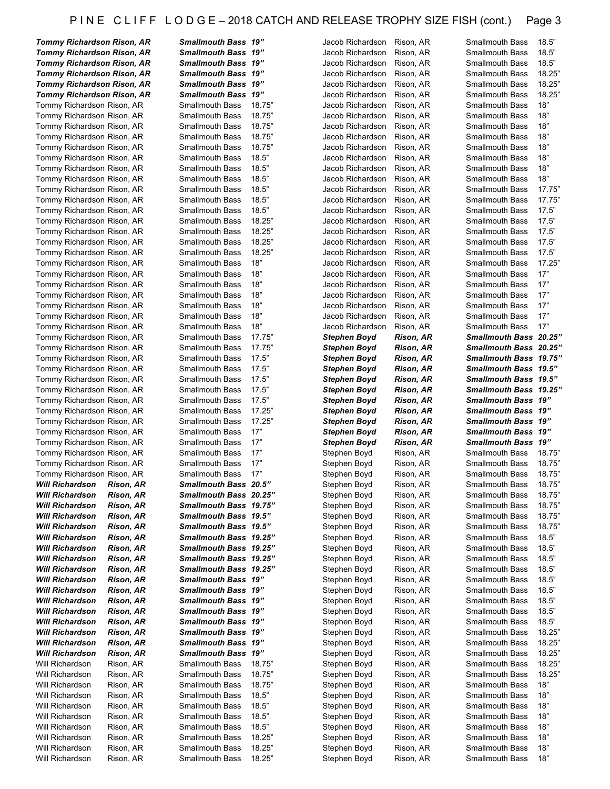| <b>Tommy Richardson Rison, AR</b>                                      |                        | <b>Smallmouth Bass 19"</b>                       |                  | Jacob Richardson                     | Rison, AR              | Smallmouth Bass                           | 18.5"           |
|------------------------------------------------------------------------|------------------------|--------------------------------------------------|------------------|--------------------------------------|------------------------|-------------------------------------------|-----------------|
| <b>Tommy Richardson Rison, AR</b>                                      |                        | Smallmouth Bass 19"                              |                  | Jacob Richardson                     | Rison, AR              | Smallmouth Bass                           | 18.5"           |
| <b>Tommy Richardson Rison, AR</b>                                      |                        | <b>Smallmouth Bass</b><br>Smallmouth Bass 19"    | 19"              | Jacob Richardson<br>Jacob Richardson | Rison, AR              | <b>Smallmouth Bass</b><br>Smallmouth Bass | 18.5"<br>18.25" |
| <b>Tommy Richardson Rison, AR</b><br><b>Tommy Richardson Rison, AR</b> |                        | <b>Smallmouth Bass</b>                           | 19"              | Jacob Richardson                     | Rison, AR<br>Rison, AR | <b>Smallmouth Bass</b>                    | 18.25'          |
| <b>Tommy Richardson Rison, AR</b>                                      |                        | Smallmouth Bass 19"                              |                  | Jacob Richardson                     | Rison, AR              | <b>Smallmouth Bass</b>                    | 18.25"          |
| Tommy Richardson Rison, AR                                             |                        | <b>Smallmouth Bass</b>                           | 18.75"           | Jacob Richardson                     | Rison, AR              | <b>Smallmouth Bass</b>                    | 18"             |
| Tommy Richardson Rison, AR                                             |                        | <b>Smallmouth Bass</b>                           | 18.75"           | Jacob Richardson                     | Rison, AR              | <b>Smallmouth Bass</b>                    | 18"             |
| Tommy Richardson Rison, AR                                             |                        | <b>Smallmouth Bass</b>                           | 18.75"           | Jacob Richardson                     | Rison, AR              | Smallmouth Bass                           | 18"             |
| Tommy Richardson Rison, AR                                             |                        | <b>Smallmouth Bass</b>                           | 18.75"           | Jacob Richardson                     | Rison, AR              | <b>Smallmouth Bass</b>                    | 18"             |
| Tommy Richardson Rison, AR                                             |                        | <b>Smallmouth Bass</b>                           | 18.75"           | Jacob Richardson                     | Rison, AR              | <b>Smallmouth Bass</b>                    | 18"             |
| Tommy Richardson Rison, AR                                             |                        | <b>Smallmouth Bass</b>                           | 18.5"            | Jacob Richardson                     | Rison, AR              | <b>Smallmouth Bass</b>                    | 18"             |
| Tommy Richardson Rison, AR                                             |                        | <b>Smallmouth Bass</b>                           | 18.5"            | Jacob Richardson                     | Rison, AR              | <b>Smallmouth Bass</b>                    | 18"             |
| Tommy Richardson Rison, AR                                             |                        | <b>Smallmouth Bass</b>                           | 18.5"            | Jacob Richardson                     | Rison, AR              | <b>Smallmouth Bass</b>                    | 18"             |
| Tommy Richardson Rison, AR                                             |                        | <b>Smallmouth Bass</b>                           | 18.5"            | Jacob Richardson                     | Rison, AR              | <b>Smallmouth Bass</b>                    | 17.75"          |
| Tommy Richardson Rison, AR                                             |                        | <b>Smallmouth Bass</b>                           | 18.5"            | Jacob Richardson                     | Rison, AR              | <b>Smallmouth Bass</b>                    | 17.75           |
| Tommy Richardson Rison, AR                                             |                        | <b>Smallmouth Bass</b>                           | 18.5"            | Jacob Richardson                     | Rison, AR              | <b>Smallmouth Bass</b>                    | 17.5"           |
| Tommy Richardson Rison, AR                                             |                        | <b>Smallmouth Bass</b>                           | 18.25"           | Jacob Richardson                     | Rison, AR              | <b>Smallmouth Bass</b>                    | 17.5"           |
| Tommy Richardson Rison, AR                                             |                        | <b>Smallmouth Bass</b>                           | 18.25"           | Jacob Richardson                     | Rison, AR              | <b>Smallmouth Bass</b>                    | 17.5"           |
| Tommy Richardson Rison, AR                                             |                        | <b>Smallmouth Bass</b>                           | 18.25"           | Jacob Richardson                     | Rison, AR              | <b>Smallmouth Bass</b>                    | 17.5"           |
| Tommy Richardson Rison, AR                                             |                        | <b>Smallmouth Bass</b>                           | 18.25"           | Jacob Richardson                     | Rison, AR              | <b>Smallmouth Bass</b>                    | 17.5"           |
| Tommy Richardson Rison, AR                                             |                        | <b>Smallmouth Bass</b>                           | 18"              | Jacob Richardson                     | Rison, AR              | <b>Smallmouth Bass</b>                    | 17.25"          |
| Tommy Richardson Rison, AR                                             |                        | <b>Smallmouth Bass</b>                           | 18"              | Jacob Richardson                     | Rison, AR              | <b>Smallmouth Bass</b>                    | 17"             |
| Tommy Richardson Rison, AR                                             |                        | <b>Smallmouth Bass</b>                           | 18"              | Jacob Richardson                     | Rison, AR              | <b>Smallmouth Bass</b>                    | 17"             |
| Tommy Richardson Rison, AR                                             |                        | <b>Smallmouth Bass</b>                           | 18"              | Jacob Richardson                     | Rison, AR              | <b>Smallmouth Bass</b>                    | 17"             |
| Tommy Richardson Rison, AR                                             |                        | <b>Smallmouth Bass</b>                           | 18"              | Jacob Richardson                     | Rison, AR              | <b>Smallmouth Bass</b>                    | 17"             |
| Tommy Richardson Rison, AR                                             |                        | <b>Smallmouth Bass</b>                           | 18"              | Jacob Richardson                     | Rison, AR              | <b>Smallmouth Bass</b>                    | 17"             |
| Tommy Richardson Rison, AR                                             |                        | <b>Smallmouth Bass</b>                           | 18"              | Jacob Richardson                     | Rison, AR              | <b>Smallmouth Bass</b>                    | 17"             |
| Tommy Richardson Rison, AR                                             |                        | <b>Smallmouth Bass</b>                           | 17.75"           | Stephen Boyd                         | <b>Rison, AR</b>       | Smallmouth Bass 20.25"                    |                 |
| Tommy Richardson Rison, AR                                             |                        | <b>Smallmouth Bass</b>                           | 17.75"           | Stephen Boyd                         | <b>Rison, AR</b>       | Smallmouth Bass 20.25"                    |                 |
| Tommy Richardson Rison, AR                                             |                        | <b>Smallmouth Bass</b>                           | 17.5"            | Stephen Boyd                         | <b>Rison, AR</b>       | Smallmouth Bass 19.75"                    |                 |
| Tommy Richardson Rison, AR                                             |                        | <b>Smallmouth Bass</b>                           | 17.5"            | Stephen Boyd                         | <b>Rison, AR</b>       | Smallmouth Bass 19.5"                     |                 |
| Tommy Richardson Rison, AR                                             |                        | <b>Smallmouth Bass</b>                           | 17.5"            | Stephen Boyd                         | <b>Rison, AR</b>       | Smallmouth Bass 19.5"                     |                 |
| Tommy Richardson Rison, AR                                             |                        | <b>Smallmouth Bass</b>                           | 17.5"            | <b>Stephen Boyd</b>                  | <b>Rison, AR</b>       | Smallmouth Bass 19.25"                    |                 |
|                                                                        |                        |                                                  |                  |                                      |                        |                                           |                 |
| Tommy Richardson Rison, AR                                             |                        | <b>Smallmouth Bass</b>                           | 17.5"            | Stephen Boyd                         | <b>Rison, AR</b>       | <b>Smallmouth Bass 19"</b>                |                 |
| Tommy Richardson Rison, AR                                             |                        | <b>Smallmouth Bass</b>                           | 17.25"           | Stephen Boyd                         | <b>Rison, AR</b>       | Smallmouth Bass 19"                       |                 |
| Tommy Richardson Rison, AR                                             |                        | <b>Smallmouth Bass</b>                           | 17.25"           | Stephen Boyd                         | <b>Rison, AR</b>       | Smallmouth Bass 19"                       |                 |
| Tommy Richardson Rison, AR                                             |                        | <b>Smallmouth Bass</b>                           | 17"              | <b>Stephen Boyd</b>                  | <b>Rison, AR</b>       | Smallmouth Bass 19"                       |                 |
| Tommy Richardson Rison, AR                                             |                        | <b>Smallmouth Bass</b>                           | 17"              | Stephen Boyd                         | <b>Rison, AR</b>       | <b>Smallmouth Bass 19"</b>                |                 |
| Tommy Richardson Rison, AR                                             |                        | <b>Smallmouth Bass</b>                           | 17"              | Stephen Boyd                         | Rison, AR              | Smallmouth Bass                           | 18.75"          |
| Tommy Richardson Rison, AR                                             |                        | <b>Smallmouth Bass</b>                           | 17"              | Stephen Boyd                         | Rison, AR              | <b>Smallmouth Bass</b>                    | 18.75"          |
| Tommy Richardson Rison, AR                                             |                        | <b>Smallmouth Bass</b>                           | 17"              | Stephen Boyd                         | Rison, AR              | Smallmouth Bass                           | 18.75"          |
| <b>Will Richardson</b>                                                 | Rison, AR              | Smallmouth Bass 20.5"                            |                  | Stephen Boyd                         | Rison, AR              | Smallmouth Bass                           | 18.75"          |
| <b>Will Richardson</b>                                                 | <b>Rison, AR</b>       | Smallmouth Bass 20.25"                           |                  | Stephen Boyd                         | Rison, AR              | <b>Smallmouth Bass</b>                    | 18.75"          |
| <b>Will Richardson</b>                                                 | <b>Rison, AR</b>       | Smallmouth Bass 19.75"                           |                  | Stephen Boyd                         | Rison, AR              | <b>Smallmouth Bass</b>                    | 18.75"          |
| <b>Will Richardson</b>                                                 | <b>Rison, AR</b>       | Smallmouth Bass 19.5"                            |                  | Stephen Boyd                         | Rison, AR              | <b>Smallmouth Bass</b>                    | 18.75"          |
| <b>Will Richardson</b>                                                 | <b>Rison, AR</b>       | Smallmouth Bass 19.5"                            |                  | Stephen Boyd                         | Rison, AR              | Smallmouth Bass                           | 18.75           |
| <b>Will Richardson</b>                                                 | <b>Rison, AR</b>       | Smallmouth Bass 19.25"                           |                  | Stephen Boyd                         | Rison, AR              | Smallmouth Bass                           | 18.5"           |
| <b>Will Richardson</b>                                                 | Rison, AR              | Smallmouth Bass 19.25"                           |                  | Stephen Boyd                         | Rison, AR              | <b>Smallmouth Bass</b>                    | 18.5"           |
| <b>Will Richardson</b>                                                 | <b>Rison, AR</b>       | Smallmouth Bass 19.25"                           |                  | Stephen Boyd                         | Rison, AR              | <b>Smallmouth Bass</b>                    | 18.5"           |
| <b>Will Richardson</b>                                                 | Rison, AR              | Smallmouth Bass 19.25"                           |                  | Stephen Boyd                         | Rison, AR              | <b>Smallmouth Bass</b>                    | 18.5"           |
| <b>Will Richardson</b>                                                 | Rison, AR              | Smallmouth Bass 19"                              |                  | Stephen Boyd                         | Rison, AR              | <b>Smallmouth Bass</b>                    | 18.5"           |
| <b>Will Richardson</b>                                                 | Rison, AR              | <b>Smallmouth Bass 19"</b>                       |                  | Stephen Boyd                         | Rison, AR              | <b>Smallmouth Bass</b>                    | 18.5"           |
| <b>Will Richardson</b>                                                 | <b>Rison, AR</b>       | <b>Smallmouth Bass 19"</b>                       |                  | Stephen Boyd                         | Rison, AR              | Smallmouth Bass                           | 18.5"           |
| <b>Will Richardson</b>                                                 | Rison, AR              | <b>Smallmouth Bass 19"</b>                       |                  | Stephen Boyd                         | Rison, AR              | <b>Smallmouth Bass</b>                    | 18.5"           |
| <b>Will Richardson</b>                                                 | <b>Rison, AR</b>       | <b>Smallmouth Bass 19"</b>                       |                  | Stephen Boyd                         | Rison, AR              | Smallmouth Bass                           | 18.5"           |
| <b>Will Richardson</b>                                                 | Rison, AR              | Smallmouth Bass 19"                              |                  | Stephen Boyd                         | Rison, AR              | Smallmouth Bass                           | 18.25"          |
| <b>Will Richardson</b>                                                 | <b>Rison, AR</b>       | <b>Smallmouth Bass</b>                           | 19"              | Stephen Boyd                         | Rison, AR              | <b>Smallmouth Bass</b>                    | 18.25"          |
| <b>Will Richardson</b>                                                 | <b>Rison, AR</b>       | <b>Smallmouth Bass 19"</b>                       |                  | Stephen Boyd                         | Rison, AR              | Smallmouth Bass                           | 18.25"          |
| Will Richardson                                                        | Rison, AR              | <b>Smallmouth Bass</b>                           | 18.75"           | Stephen Boyd                         | Rison, AR              | Smallmouth Bass                           | 18.25"          |
| Will Richardson                                                        | Rison, AR              | <b>Smallmouth Bass</b>                           | 18.75"           | Stephen Boyd                         | Rison, AR              | Smallmouth Bass                           | 18.25"          |
| Will Richardson                                                        | Rison, AR              | <b>Smallmouth Bass</b>                           | 18.75"           | Stephen Boyd                         | Rison, AR              | Smallmouth Bass                           | 18"             |
| Will Richardson                                                        | Rison, AR              | <b>Smallmouth Bass</b>                           | 18.5"            | Stephen Boyd                         | Rison, AR              | <b>Smallmouth Bass</b>                    | 18"             |
| Will Richardson                                                        | Rison, AR              | <b>Smallmouth Bass</b>                           | 18.5"            | Stephen Boyd                         | Rison, AR              | Smallmouth Bass                           | 18"             |
| Will Richardson                                                        | Rison, AR              | <b>Smallmouth Bass</b>                           | 18.5"            | Stephen Boyd                         | Rison, AR              | <b>Smallmouth Bass</b>                    | 18"             |
| Will Richardson                                                        | Rison, AR              | <b>Smallmouth Bass</b>                           | 18.5"            | Stephen Boyd                         | Rison, AR              | <b>Smallmouth Bass</b>                    | 18"             |
| Will Richardson                                                        | Rison, AR              | <b>Smallmouth Bass</b>                           | 18.25"           | Stephen Boyd                         | Rison, AR              | <b>Smallmouth Bass</b>                    | 18"             |
| Will Richardson<br>Will Richardson                                     | Rison, AR<br>Rison, AR | <b>Smallmouth Bass</b><br><b>Smallmouth Bass</b> | 18.25"<br>18.25" | Stephen Boyd<br>Stephen Boyd         | Rison, AR<br>Rison, AR | Smallmouth Bass<br>Smallmouth Bass        | 18"<br>18"      |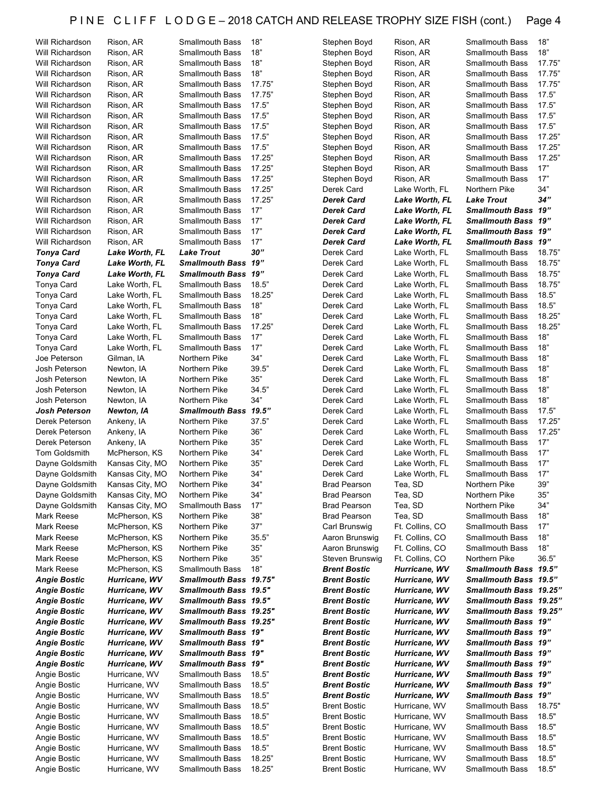| 18"<br><b>Smallmouth Bass</b><br>Stephen Boyd<br>Rison, AR<br><b>Smallmouth Bass</b><br>Will Richardson<br>Rison, AR<br>18"<br>Rison, AR<br><b>Smallmouth Bass</b><br>Stephen Boyd<br>Rison, AR<br><b>Smallmouth Bass</b><br>Will Richardson<br>18"<br><b>Smallmouth Bass</b><br>Rison, AR<br><b>Smallmouth Bass</b><br>Will Richardson<br>Rison, AR<br>Stephen Boyd<br>17.75"<br>Will Richardson<br>Rison, AR<br><b>Smallmouth Bass</b><br>Stephen Boyd<br>Rison, AR<br><b>Smallmouth Bass</b><br>17.75"<br>Will Richardson<br>Rison, AR<br><b>Smallmouth Bass</b><br>Stephen Boyd<br>Rison, AR<br><b>Smallmouth Bass</b><br>17.5"<br>Rison, AR<br><b>Smallmouth Bass</b><br>Stephen Boyd<br>Rison, AR<br><b>Smallmouth Bass</b><br>Will Richardson<br>17.5"<br>Will Richardson<br>Rison, AR<br><b>Smallmouth Bass</b><br>Stephen Boyd<br>Rison, AR<br><b>Smallmouth Bass</b><br>17.5"<br>Will Richardson<br>Rison, AR<br><b>Smallmouth Bass</b><br>Stephen Boyd<br>Rison, AR<br><b>Smallmouth Bass</b><br>17.5"<br>Will Richardson<br>Rison, AR<br><b>Smallmouth Bass</b><br>Stephen Boyd<br>Rison, AR<br><b>Smallmouth Bass</b><br>17.5"<br>Will Richardson<br>Rison, AR<br><b>Smallmouth Bass</b><br>Stephen Boyd<br>Rison, AR<br><b>Smallmouth Bass</b><br>17.25"<br>Will Richardson<br>Rison, AR<br><b>Smallmouth Bass</b><br>Stephen Boyd<br>Rison, AR<br><b>Smallmouth Bass</b><br>17.25"<br>Will Richardson<br>Rison, AR<br><b>Smallmouth Bass</b><br>Stephen Boyd<br>Rison, AR<br><b>Smallmouth Bass</b><br>17.25"<br>Will Richardson<br>Rison, AR<br><b>Smallmouth Bass</b><br>Stephen Boyd<br>Rison, AR<br><b>Smallmouth Bass</b><br>17.25"<br>Will Richardson<br>Rison, AR<br><b>Smallmouth Bass</b><br>Derek Card<br>Lake Worth, FL<br>Northern Pike<br>17.25"<br><b>Derek Card</b><br><b>Lake Trout</b><br>Will Richardson<br>Rison, AR<br><b>Smallmouth Bass</b><br>Lake Worth, FL<br>17"<br>Smallmouth Bass 19"<br>Will Richardson<br>Rison, AR<br><b>Smallmouth Bass</b><br><b>Derek Card</b><br>Lake Worth, FL<br>17"<br><b>Smallmouth Bass 19"</b><br>Will Richardson<br>Rison, AR<br><b>Smallmouth Bass</b><br><b>Derek Card</b><br>Lake Worth, FL<br>17"<br><b>Derek Card</b><br><b>Smallmouth Bass 19"</b><br>Will Richardson<br>Rison, AR<br><b>Smallmouth Bass</b><br>Lake Worth, FL<br>17"<br><b>Smallmouth Bass 19"</b><br>Will Richardson<br>Rison, AR<br><b>Smallmouth Bass</b><br><b>Derek Card</b><br>Lake Worth, FL<br>30"<br>Lake Worth, FL<br><b>Lake Trout</b><br>Derek Card<br>Lake Worth, FL<br><b>Smallmouth Bass</b><br>Tonya Card<br><b>Smallmouth Bass 19"</b><br>Derek Card<br><b>Smallmouth Bass</b><br>Tonya Card<br>Lake Worth, FL<br>Lake Worth, FL<br><b>Smallmouth Bass 19"</b><br>Derek Card<br><b>Tonya Card</b><br>Lake Worth, FL<br>Lake Worth, FL<br><b>Smallmouth Bass</b><br>Tonya Card<br>Lake Worth, FL<br><b>Smallmouth Bass</b><br>18.5"<br>Derek Card<br>Lake Worth, FL<br><b>Smallmouth Bass</b><br>18.25"<br>Tonya Card<br>Lake Worth, FL<br><b>Smallmouth Bass</b><br>Derek Card<br>Lake Worth, FL<br><b>Smallmouth Bass</b><br>18"<br>Tonya Card<br><b>Smallmouth Bass</b><br>Derek Card<br><b>Smallmouth Bass</b><br>Lake Worth, FL<br>Lake Worth, FL<br>18"<br>Tonya Card<br><b>Smallmouth Bass</b><br>Derek Card<br><b>Smallmouth Bass</b><br>Lake Worth, FL<br>Lake Worth, FL<br>Tonya Card<br>Lake Worth, FL<br><b>Smallmouth Bass</b><br>17.25"<br>Derek Card<br>Lake Worth, FL<br><b>Smallmouth Bass</b><br>17"<br>Tonya Card<br>Lake Worth, FL<br><b>Smallmouth Bass</b><br>Derek Card<br>Lake Worth, FL<br><b>Smallmouth Bass</b><br>17"<br>Tonya Card<br>Lake Worth, FL<br><b>Smallmouth Bass</b><br>Derek Card<br>Lake Worth, FL<br><b>Smallmouth Bass</b><br>34"<br>Joe Peterson<br>Gilman, IA<br>Northern Pike<br>Derek Card<br>Lake Worth, FL<br><b>Smallmouth Bass</b><br>Josh Peterson<br>Northern Pike<br>39.5"<br>Derek Card<br><b>Smallmouth Bass</b><br>Newton, IA<br>Lake Worth, FL<br>35"<br>Josh Peterson<br>Newton, IA<br>Northern Pike<br>Derek Card<br>Lake Worth, FL<br><b>Smallmouth Bass</b><br>Northern Pike<br>34.5"<br>Josh Peterson<br>Newton, IA<br>Derek Card<br>Lake Worth, FL<br><b>Smallmouth Bass</b><br>34"<br>Josh Peterson<br>Newton, IA<br>Northern Pike<br>Derek Card<br>Lake Worth, FL<br><b>Smallmouth Bass</b><br><b>Smallmouth Bass</b><br>19.5"<br>Derek Card<br><b>Smallmouth Bass</b><br>Josh Peterson<br>Newton, IA<br>Lake Worth, FL<br>37.5"<br>Northern Pike<br>Derek Card<br><b>Smallmouth Bass</b><br>Derek Peterson<br>Ankeny, IA<br>Lake Worth, FL<br>36"<br>Derek Peterson<br>Ankeny, IA<br>Northern Pike<br>Derek Card<br>Lake Worth, FL<br><b>Smallmouth Bass</b><br>35"<br>Derek Peterson<br>Ankeny, IA<br>Northern Pike<br>Derek Card<br>Lake Worth, FL<br><b>Smallmouth Bass</b><br>McPherson, KS<br>34"<br>Tom Goldsmith<br>Northern Pike<br>Derek Card<br>Lake Worth, FL<br><b>Smallmouth Bass</b><br>35"<br>Dayne Goldsmith<br>Kansas City, MO<br>Northern Pike<br>Derek Card<br><b>Smallmouth Bass</b><br>Lake Worth, FL<br>34"<br>Northern Pike<br><b>Smallmouth Bass</b><br>Dayne Goldsmith<br>Kansas City, MO<br>Derek Card<br>Lake Worth, FL<br>$34"$<br>Tea, SD<br>Northern Pike<br>Dayne Goldsmith<br>Kansas City, MO<br>Northern Pike<br><b>Brad Pearson</b><br>34"<br>Dayne Goldsmith<br>Kansas City, MO<br>Northern Pike<br><b>Brad Pearson</b><br>Tea, SD<br>Northern Pike<br>17"<br>Dayne Goldsmith<br>Kansas City, MO<br><b>Smallmouth Bass</b><br><b>Brad Pearson</b><br>Tea, SD<br>Northern Pike<br>38"<br>Tea, SD<br>Mark Reese<br>McPherson, KS<br>Northern Pike<br><b>Brad Pearson</b><br><b>Smallmouth Bass</b><br>37"<br>Mark Reese<br>McPherson, KS<br>Northern Pike<br>Carl Brunswig<br>Ft. Collins, CO<br><b>Smallmouth Bass</b><br>Ft. Collins, CO<br>Mark Reese<br>McPherson, KS<br>Northern Pike<br>35.5"<br>Aaron Brunswig<br><b>Smallmouth Bass</b><br>18"<br>Mark Reese<br>McPherson, KS<br>Northern Pike<br>35"<br>Aaron Brunswig<br>Ft. Collins, CO<br><b>Smallmouth Bass</b><br>35"<br>Mark Reese<br>McPherson, KS<br>Northern Pike<br>Steven Brunswig<br>Ft. Collins, CO<br>Northern Pike<br>18"<br>Mark Reese<br>McPherson, KS<br><b>Smallmouth Bass</b><br><b>Brent Bostic</b><br>Hurricane, WV<br>Smallmouth Bass 19.5"<br>Smallmouth Bass 19.5"<br><b>Angie Bostic</b><br>Hurricane, WV<br>Smallmouth Bass 19.75"<br><b>Brent Bostic</b><br>Hurricane, WV<br><b>Angie Bostic</b><br>Hurricane, WV<br>Smallmouth Bass 19.5"<br><b>Brent Bostic</b><br>Hurricane, WV<br>Smallmouth Bass 19.25"<br>Smallmouth Bass 19.5"<br><b>Angie Bostic</b><br>Hurricane, WV<br><b>Brent Bostic</b><br>Hurricane, WV<br>Smallmouth Bass 19.25"<br>Hurricane, WV<br>Smallmouth Bass 19.25"<br><b>Brent Bostic</b><br>Hurricane, WV<br>Smallmouth Bass 19.25"<br>Angie Bostic<br><b>Angie Bostic</b><br>Hurricane, WV<br>Smallmouth Bass 19.25"<br><b>Brent Bostic</b><br>Hurricane, WV<br><b>Smallmouth Bass 19"</b><br>Smallmouth Bass 19"<br>Smallmouth Bass 19"<br><b>Angie Bostic</b><br>Hurricane, WV<br><b>Brent Bostic</b><br>Hurricane, WV<br><b>Angie Bostic</b><br>Hurricane, WV<br><b>Smallmouth Bass 19"</b><br><b>Brent Bostic</b><br>Hurricane, WV<br><b>Smallmouth Bass 19"</b><br><b>Angie Bostic</b><br>Hurricane, WV<br><b>Smallmouth Bass 19"</b><br>Hurricane, WV<br><b>Smallmouth Bass 19"</b><br><b>Brent Bostic</b><br><b>Smallmouth Bass 19"</b><br>Hurricane, WV<br><b>Smallmouth Bass 19"</b><br><b>Angie Bostic</b><br>Hurricane, WV<br><b>Brent Bostic</b><br>Angie Bostic<br>Hurricane, WV<br><b>Smallmouth Bass</b><br>18.5"<br><b>Brent Bostic</b><br>Hurricane, WV<br><b>Smallmouth Bass 19"</b><br>Angie Bostic<br>Hurricane, WV<br><b>Smallmouth Bass</b><br>18.5"<br><b>Brent Bostic</b><br>Hurricane, WV<br><b>Smallmouth Bass 19"</b><br>18.5"<br>Smallmouth Bass 19"<br>Hurricane, WV<br><b>Smallmouth Bass</b><br><b>Brent Bostic</b><br>Hurricane, WV<br>Angie Bostic<br>18.5"<br>Hurricane, WV<br><b>Smallmouth Bass</b><br><b>Brent Bostic</b><br>Hurricane, WV<br><b>Smallmouth Bass</b><br>Angie Bostic<br>Angie Bostic<br>Hurricane, WV<br><b>Smallmouth Bass</b><br>18.5"<br>Hurricane, WV<br><b>Smallmouth Bass</b><br><b>Brent Bostic</b><br>Angie Bostic<br>Hurricane, WV<br><b>Smallmouth Bass</b><br>18.5"<br><b>Brent Bostic</b><br>Hurricane, WV<br><b>Smallmouth Bass</b><br>Angie Bostic<br>Hurricane, WV<br><b>Smallmouth Bass</b><br>18.5"<br><b>Brent Bostic</b><br>Hurricane, WV<br><b>Smallmouth Bass</b><br>Angie Bostic<br>Hurricane, WV<br><b>Smallmouth Bass</b><br>18.5"<br><b>Brent Bostic</b><br>Hurricane, WV<br><b>Smallmouth Bass</b><br>Angie Bostic<br>Hurricane, WV<br><b>Smallmouth Bass</b><br>18.25"<br><b>Brent Bostic</b><br>Hurricane, WV<br><b>Smallmouth Bass</b><br>Angie Bostic<br>Hurricane, WV<br><b>Smallmouth Bass</b><br>18.25"<br><b>Brent Bostic</b><br>Hurricane, WV<br><b>Smallmouth Bass</b><br>18.5" | Will Richardson | Rison, AR | <b>Smallmouth Bass</b> | 18" | Stephen Boyd | Rison, AR | Smallmouth Bass | 18"    |
|-------------------------------------------------------------------------------------------------------------------------------------------------------------------------------------------------------------------------------------------------------------------------------------------------------------------------------------------------------------------------------------------------------------------------------------------------------------------------------------------------------------------------------------------------------------------------------------------------------------------------------------------------------------------------------------------------------------------------------------------------------------------------------------------------------------------------------------------------------------------------------------------------------------------------------------------------------------------------------------------------------------------------------------------------------------------------------------------------------------------------------------------------------------------------------------------------------------------------------------------------------------------------------------------------------------------------------------------------------------------------------------------------------------------------------------------------------------------------------------------------------------------------------------------------------------------------------------------------------------------------------------------------------------------------------------------------------------------------------------------------------------------------------------------------------------------------------------------------------------------------------------------------------------------------------------------------------------------------------------------------------------------------------------------------------------------------------------------------------------------------------------------------------------------------------------------------------------------------------------------------------------------------------------------------------------------------------------------------------------------------------------------------------------------------------------------------------------------------------------------------------------------------------------------------------------------------------------------------------------------------------------------------------------------------------------------------------------------------------------------------------------------------------------------------------------------------------------------------------------------------------------------------------------------------------------------------------------------------------------------------------------------------------------------------------------------------------------------------------------------------------------------------------------------------------------------------------------------------------------------------------------------------------------------------------------------------------------------------------------------------------------------------------------------------------------------------------------------------------------------------------------------------------------------------------------------------------------------------------------------------------------------------------------------------------------------------------------------------------------------------------------------------------------------------------------------------------------------------------------------------------------------------------------------------------------------------------------------------------------------------------------------------------------------------------------------------------------------------------------------------------------------------------------------------------------------------------------------------------------------------------------------------------------------------------------------------------------------------------------------------------------------------------------------------------------------------------------------------------------------------------------------------------------------------------------------------------------------------------------------------------------------------------------------------------------------------------------------------------------------------------------------------------------------------------------------------------------------------------------------------------------------------------------------------------------------------------------------------------------------------------------------------------------------------------------------------------------------------------------------------------------------------------------------------------------------------------------------------------------------------------------------------------------------------------------------------------------------------------------------------------------------------------------------------------------------------------------------------------------------------------------------------------------------------------------------------------------------------------------------------------------------------------------------------------------------------------------------------------------------------------------------------------------------------------------------------------------------------------------------------------------------------------------------------------------------------------------------------------------------------------------------------------------------------------------------------------------------------------------------------------------------------------------------------------------------------------------------------------------------------------------------------------------------------------------------------------------------------------------------------------------------------------------------------------------------------------------------------------------------------------------------------------------------------------------------------------------------------------------------------------------------------------------------------------------------------------------------------------------------------------------------------------------------------------------------------------------------------------------------------------------------------------------------------------------------------------------------------------------------------------------------------------------------------------------------------------------------------------------------------------------------------------------------------------------------------------------------------------------------------------------------------------------------------------------------------------------------------------------------------------------------------------------------------------------------------------------------------------------------------------------------------------------------------------------------------------------------------------------------------------------------------------------------------------------------------------------------------------------------------------------------------------------------------------------------------------------------------------------------------------------------------------------------------------------------------------------------------------------------------------------------------------------------------------------------------------------------------------------------------------------------------------------------------------------------------------------------------------------------------------------------------------------------------------------------------------------------------------------------------------------------------------------------------------------------------------------------------------------------------------------------------------------------------------------------------------------------------------------------------------------------------------------------------------------------------------------------------------------------------------------------------------------------------------------------------------------------------------------------------------------------------------------------------------------------------------------|-----------------|-----------|------------------------|-----|--------------|-----------|-----------------|--------|
|                                                                                                                                                                                                                                                                                                                                                                                                                                                                                                                                                                                                                                                                                                                                                                                                                                                                                                                                                                                                                                                                                                                                                                                                                                                                                                                                                                                                                                                                                                                                                                                                                                                                                                                                                                                                                                                                                                                                                                                                                                                                                                                                                                                                                                                                                                                                                                                                                                                                                                                                                                                                                                                                                                                                                                                                                                                                                                                                                                                                                                                                                                                                                                                                                                                                                                                                                                                                                                                                                                                                                                                                                                                                                                                                                                                                                                                                                                                                                                                                                                                                                                                                                                                                                                                                                                                                                                                                                                                                                                                                                                                                                                                                                                                                                                                                                                                                                                                                                                                                                                                                                                                                                                                                                                                                                                                                                                                                                                                                                                                                                                                                                                                                                                                                                                                                                                                                                                                                                                                                                                                                                                                                                                                                                                                                                                                                                                                                                                                                                                                                                                                                                                                                                                                                                                                                                                                                                                                                                                                                                                                                                                                                                                                                                                                                                                                                                                                                                                                                                                                                                                                                                                                                                                                                                                                                                                                                                                                                                                                                                                                                                                                                                                                                                                                                                                                                                                                                                                                                                                                                                                                                                                                                                                                                                                                                                                                                                                                                                             |                 |           |                        |     |              |           |                 | 18"    |
|                                                                                                                                                                                                                                                                                                                                                                                                                                                                                                                                                                                                                                                                                                                                                                                                                                                                                                                                                                                                                                                                                                                                                                                                                                                                                                                                                                                                                                                                                                                                                                                                                                                                                                                                                                                                                                                                                                                                                                                                                                                                                                                                                                                                                                                                                                                                                                                                                                                                                                                                                                                                                                                                                                                                                                                                                                                                                                                                                                                                                                                                                                                                                                                                                                                                                                                                                                                                                                                                                                                                                                                                                                                                                                                                                                                                                                                                                                                                                                                                                                                                                                                                                                                                                                                                                                                                                                                                                                                                                                                                                                                                                                                                                                                                                                                                                                                                                                                                                                                                                                                                                                                                                                                                                                                                                                                                                                                                                                                                                                                                                                                                                                                                                                                                                                                                                                                                                                                                                                                                                                                                                                                                                                                                                                                                                                                                                                                                                                                                                                                                                                                                                                                                                                                                                                                                                                                                                                                                                                                                                                                                                                                                                                                                                                                                                                                                                                                                                                                                                                                                                                                                                                                                                                                                                                                                                                                                                                                                                                                                                                                                                                                                                                                                                                                                                                                                                                                                                                                                                                                                                                                                                                                                                                                                                                                                                                                                                                                                                             |                 |           |                        |     |              |           |                 | 17.75" |
|                                                                                                                                                                                                                                                                                                                                                                                                                                                                                                                                                                                                                                                                                                                                                                                                                                                                                                                                                                                                                                                                                                                                                                                                                                                                                                                                                                                                                                                                                                                                                                                                                                                                                                                                                                                                                                                                                                                                                                                                                                                                                                                                                                                                                                                                                                                                                                                                                                                                                                                                                                                                                                                                                                                                                                                                                                                                                                                                                                                                                                                                                                                                                                                                                                                                                                                                                                                                                                                                                                                                                                                                                                                                                                                                                                                                                                                                                                                                                                                                                                                                                                                                                                                                                                                                                                                                                                                                                                                                                                                                                                                                                                                                                                                                                                                                                                                                                                                                                                                                                                                                                                                                                                                                                                                                                                                                                                                                                                                                                                                                                                                                                                                                                                                                                                                                                                                                                                                                                                                                                                                                                                                                                                                                                                                                                                                                                                                                                                                                                                                                                                                                                                                                                                                                                                                                                                                                                                                                                                                                                                                                                                                                                                                                                                                                                                                                                                                                                                                                                                                                                                                                                                                                                                                                                                                                                                                                                                                                                                                                                                                                                                                                                                                                                                                                                                                                                                                                                                                                                                                                                                                                                                                                                                                                                                                                                                                                                                                                                             |                 |           |                        |     |              |           |                 | 17.75" |
|                                                                                                                                                                                                                                                                                                                                                                                                                                                                                                                                                                                                                                                                                                                                                                                                                                                                                                                                                                                                                                                                                                                                                                                                                                                                                                                                                                                                                                                                                                                                                                                                                                                                                                                                                                                                                                                                                                                                                                                                                                                                                                                                                                                                                                                                                                                                                                                                                                                                                                                                                                                                                                                                                                                                                                                                                                                                                                                                                                                                                                                                                                                                                                                                                                                                                                                                                                                                                                                                                                                                                                                                                                                                                                                                                                                                                                                                                                                                                                                                                                                                                                                                                                                                                                                                                                                                                                                                                                                                                                                                                                                                                                                                                                                                                                                                                                                                                                                                                                                                                                                                                                                                                                                                                                                                                                                                                                                                                                                                                                                                                                                                                                                                                                                                                                                                                                                                                                                                                                                                                                                                                                                                                                                                                                                                                                                                                                                                                                                                                                                                                                                                                                                                                                                                                                                                                                                                                                                                                                                                                                                                                                                                                                                                                                                                                                                                                                                                                                                                                                                                                                                                                                                                                                                                                                                                                                                                                                                                                                                                                                                                                                                                                                                                                                                                                                                                                                                                                                                                                                                                                                                                                                                                                                                                                                                                                                                                                                                                                             |                 |           |                        |     |              |           |                 |        |
|                                                                                                                                                                                                                                                                                                                                                                                                                                                                                                                                                                                                                                                                                                                                                                                                                                                                                                                                                                                                                                                                                                                                                                                                                                                                                                                                                                                                                                                                                                                                                                                                                                                                                                                                                                                                                                                                                                                                                                                                                                                                                                                                                                                                                                                                                                                                                                                                                                                                                                                                                                                                                                                                                                                                                                                                                                                                                                                                                                                                                                                                                                                                                                                                                                                                                                                                                                                                                                                                                                                                                                                                                                                                                                                                                                                                                                                                                                                                                                                                                                                                                                                                                                                                                                                                                                                                                                                                                                                                                                                                                                                                                                                                                                                                                                                                                                                                                                                                                                                                                                                                                                                                                                                                                                                                                                                                                                                                                                                                                                                                                                                                                                                                                                                                                                                                                                                                                                                                                                                                                                                                                                                                                                                                                                                                                                                                                                                                                                                                                                                                                                                                                                                                                                                                                                                                                                                                                                                                                                                                                                                                                                                                                                                                                                                                                                                                                                                                                                                                                                                                                                                                                                                                                                                                                                                                                                                                                                                                                                                                                                                                                                                                                                                                                                                                                                                                                                                                                                                                                                                                                                                                                                                                                                                                                                                                                                                                                                                                                             |                 |           |                        |     |              |           |                 | 17.75" |
|                                                                                                                                                                                                                                                                                                                                                                                                                                                                                                                                                                                                                                                                                                                                                                                                                                                                                                                                                                                                                                                                                                                                                                                                                                                                                                                                                                                                                                                                                                                                                                                                                                                                                                                                                                                                                                                                                                                                                                                                                                                                                                                                                                                                                                                                                                                                                                                                                                                                                                                                                                                                                                                                                                                                                                                                                                                                                                                                                                                                                                                                                                                                                                                                                                                                                                                                                                                                                                                                                                                                                                                                                                                                                                                                                                                                                                                                                                                                                                                                                                                                                                                                                                                                                                                                                                                                                                                                                                                                                                                                                                                                                                                                                                                                                                                                                                                                                                                                                                                                                                                                                                                                                                                                                                                                                                                                                                                                                                                                                                                                                                                                                                                                                                                                                                                                                                                                                                                                                                                                                                                                                                                                                                                                                                                                                                                                                                                                                                                                                                                                                                                                                                                                                                                                                                                                                                                                                                                                                                                                                                                                                                                                                                                                                                                                                                                                                                                                                                                                                                                                                                                                                                                                                                                                                                                                                                                                                                                                                                                                                                                                                                                                                                                                                                                                                                                                                                                                                                                                                                                                                                                                                                                                                                                                                                                                                                                                                                                                                             |                 |           |                        |     |              |           |                 | 17.5"  |
|                                                                                                                                                                                                                                                                                                                                                                                                                                                                                                                                                                                                                                                                                                                                                                                                                                                                                                                                                                                                                                                                                                                                                                                                                                                                                                                                                                                                                                                                                                                                                                                                                                                                                                                                                                                                                                                                                                                                                                                                                                                                                                                                                                                                                                                                                                                                                                                                                                                                                                                                                                                                                                                                                                                                                                                                                                                                                                                                                                                                                                                                                                                                                                                                                                                                                                                                                                                                                                                                                                                                                                                                                                                                                                                                                                                                                                                                                                                                                                                                                                                                                                                                                                                                                                                                                                                                                                                                                                                                                                                                                                                                                                                                                                                                                                                                                                                                                                                                                                                                                                                                                                                                                                                                                                                                                                                                                                                                                                                                                                                                                                                                                                                                                                                                                                                                                                                                                                                                                                                                                                                                                                                                                                                                                                                                                                                                                                                                                                                                                                                                                                                                                                                                                                                                                                                                                                                                                                                                                                                                                                                                                                                                                                                                                                                                                                                                                                                                                                                                                                                                                                                                                                                                                                                                                                                                                                                                                                                                                                                                                                                                                                                                                                                                                                                                                                                                                                                                                                                                                                                                                                                                                                                                                                                                                                                                                                                                                                                                                             |                 |           |                        |     |              |           |                 | 17.5"  |
|                                                                                                                                                                                                                                                                                                                                                                                                                                                                                                                                                                                                                                                                                                                                                                                                                                                                                                                                                                                                                                                                                                                                                                                                                                                                                                                                                                                                                                                                                                                                                                                                                                                                                                                                                                                                                                                                                                                                                                                                                                                                                                                                                                                                                                                                                                                                                                                                                                                                                                                                                                                                                                                                                                                                                                                                                                                                                                                                                                                                                                                                                                                                                                                                                                                                                                                                                                                                                                                                                                                                                                                                                                                                                                                                                                                                                                                                                                                                                                                                                                                                                                                                                                                                                                                                                                                                                                                                                                                                                                                                                                                                                                                                                                                                                                                                                                                                                                                                                                                                                                                                                                                                                                                                                                                                                                                                                                                                                                                                                                                                                                                                                                                                                                                                                                                                                                                                                                                                                                                                                                                                                                                                                                                                                                                                                                                                                                                                                                                                                                                                                                                                                                                                                                                                                                                                                                                                                                                                                                                                                                                                                                                                                                                                                                                                                                                                                                                                                                                                                                                                                                                                                                                                                                                                                                                                                                                                                                                                                                                                                                                                                                                                                                                                                                                                                                                                                                                                                                                                                                                                                                                                                                                                                                                                                                                                                                                                                                                                                             |                 |           |                        |     |              |           |                 | 17.5"  |
|                                                                                                                                                                                                                                                                                                                                                                                                                                                                                                                                                                                                                                                                                                                                                                                                                                                                                                                                                                                                                                                                                                                                                                                                                                                                                                                                                                                                                                                                                                                                                                                                                                                                                                                                                                                                                                                                                                                                                                                                                                                                                                                                                                                                                                                                                                                                                                                                                                                                                                                                                                                                                                                                                                                                                                                                                                                                                                                                                                                                                                                                                                                                                                                                                                                                                                                                                                                                                                                                                                                                                                                                                                                                                                                                                                                                                                                                                                                                                                                                                                                                                                                                                                                                                                                                                                                                                                                                                                                                                                                                                                                                                                                                                                                                                                                                                                                                                                                                                                                                                                                                                                                                                                                                                                                                                                                                                                                                                                                                                                                                                                                                                                                                                                                                                                                                                                                                                                                                                                                                                                                                                                                                                                                                                                                                                                                                                                                                                                                                                                                                                                                                                                                                                                                                                                                                                                                                                                                                                                                                                                                                                                                                                                                                                                                                                                                                                                                                                                                                                                                                                                                                                                                                                                                                                                                                                                                                                                                                                                                                                                                                                                                                                                                                                                                                                                                                                                                                                                                                                                                                                                                                                                                                                                                                                                                                                                                                                                                                                             |                 |           |                        |     |              |           |                 | 17.5"  |
|                                                                                                                                                                                                                                                                                                                                                                                                                                                                                                                                                                                                                                                                                                                                                                                                                                                                                                                                                                                                                                                                                                                                                                                                                                                                                                                                                                                                                                                                                                                                                                                                                                                                                                                                                                                                                                                                                                                                                                                                                                                                                                                                                                                                                                                                                                                                                                                                                                                                                                                                                                                                                                                                                                                                                                                                                                                                                                                                                                                                                                                                                                                                                                                                                                                                                                                                                                                                                                                                                                                                                                                                                                                                                                                                                                                                                                                                                                                                                                                                                                                                                                                                                                                                                                                                                                                                                                                                                                                                                                                                                                                                                                                                                                                                                                                                                                                                                                                                                                                                                                                                                                                                                                                                                                                                                                                                                                                                                                                                                                                                                                                                                                                                                                                                                                                                                                                                                                                                                                                                                                                                                                                                                                                                                                                                                                                                                                                                                                                                                                                                                                                                                                                                                                                                                                                                                                                                                                                                                                                                                                                                                                                                                                                                                                                                                                                                                                                                                                                                                                                                                                                                                                                                                                                                                                                                                                                                                                                                                                                                                                                                                                                                                                                                                                                                                                                                                                                                                                                                                                                                                                                                                                                                                                                                                                                                                                                                                                                                                             |                 |           |                        |     |              |           |                 | 17.25" |
|                                                                                                                                                                                                                                                                                                                                                                                                                                                                                                                                                                                                                                                                                                                                                                                                                                                                                                                                                                                                                                                                                                                                                                                                                                                                                                                                                                                                                                                                                                                                                                                                                                                                                                                                                                                                                                                                                                                                                                                                                                                                                                                                                                                                                                                                                                                                                                                                                                                                                                                                                                                                                                                                                                                                                                                                                                                                                                                                                                                                                                                                                                                                                                                                                                                                                                                                                                                                                                                                                                                                                                                                                                                                                                                                                                                                                                                                                                                                                                                                                                                                                                                                                                                                                                                                                                                                                                                                                                                                                                                                                                                                                                                                                                                                                                                                                                                                                                                                                                                                                                                                                                                                                                                                                                                                                                                                                                                                                                                                                                                                                                                                                                                                                                                                                                                                                                                                                                                                                                                                                                                                                                                                                                                                                                                                                                                                                                                                                                                                                                                                                                                                                                                                                                                                                                                                                                                                                                                                                                                                                                                                                                                                                                                                                                                                                                                                                                                                                                                                                                                                                                                                                                                                                                                                                                                                                                                                                                                                                                                                                                                                                                                                                                                                                                                                                                                                                                                                                                                                                                                                                                                                                                                                                                                                                                                                                                                                                                                                                             |                 |           |                        |     |              |           |                 | 17.25" |
|                                                                                                                                                                                                                                                                                                                                                                                                                                                                                                                                                                                                                                                                                                                                                                                                                                                                                                                                                                                                                                                                                                                                                                                                                                                                                                                                                                                                                                                                                                                                                                                                                                                                                                                                                                                                                                                                                                                                                                                                                                                                                                                                                                                                                                                                                                                                                                                                                                                                                                                                                                                                                                                                                                                                                                                                                                                                                                                                                                                                                                                                                                                                                                                                                                                                                                                                                                                                                                                                                                                                                                                                                                                                                                                                                                                                                                                                                                                                                                                                                                                                                                                                                                                                                                                                                                                                                                                                                                                                                                                                                                                                                                                                                                                                                                                                                                                                                                                                                                                                                                                                                                                                                                                                                                                                                                                                                                                                                                                                                                                                                                                                                                                                                                                                                                                                                                                                                                                                                                                                                                                                                                                                                                                                                                                                                                                                                                                                                                                                                                                                                                                                                                                                                                                                                                                                                                                                                                                                                                                                                                                                                                                                                                                                                                                                                                                                                                                                                                                                                                                                                                                                                                                                                                                                                                                                                                                                                                                                                                                                                                                                                                                                                                                                                                                                                                                                                                                                                                                                                                                                                                                                                                                                                                                                                                                                                                                                                                                                                             |                 |           |                        |     |              |           |                 | 17.25" |
|                                                                                                                                                                                                                                                                                                                                                                                                                                                                                                                                                                                                                                                                                                                                                                                                                                                                                                                                                                                                                                                                                                                                                                                                                                                                                                                                                                                                                                                                                                                                                                                                                                                                                                                                                                                                                                                                                                                                                                                                                                                                                                                                                                                                                                                                                                                                                                                                                                                                                                                                                                                                                                                                                                                                                                                                                                                                                                                                                                                                                                                                                                                                                                                                                                                                                                                                                                                                                                                                                                                                                                                                                                                                                                                                                                                                                                                                                                                                                                                                                                                                                                                                                                                                                                                                                                                                                                                                                                                                                                                                                                                                                                                                                                                                                                                                                                                                                                                                                                                                                                                                                                                                                                                                                                                                                                                                                                                                                                                                                                                                                                                                                                                                                                                                                                                                                                                                                                                                                                                                                                                                                                                                                                                                                                                                                                                                                                                                                                                                                                                                                                                                                                                                                                                                                                                                                                                                                                                                                                                                                                                                                                                                                                                                                                                                                                                                                                                                                                                                                                                                                                                                                                                                                                                                                                                                                                                                                                                                                                                                                                                                                                                                                                                                                                                                                                                                                                                                                                                                                                                                                                                                                                                                                                                                                                                                                                                                                                                                                             |                 |           |                        |     |              |           |                 |        |
|                                                                                                                                                                                                                                                                                                                                                                                                                                                                                                                                                                                                                                                                                                                                                                                                                                                                                                                                                                                                                                                                                                                                                                                                                                                                                                                                                                                                                                                                                                                                                                                                                                                                                                                                                                                                                                                                                                                                                                                                                                                                                                                                                                                                                                                                                                                                                                                                                                                                                                                                                                                                                                                                                                                                                                                                                                                                                                                                                                                                                                                                                                                                                                                                                                                                                                                                                                                                                                                                                                                                                                                                                                                                                                                                                                                                                                                                                                                                                                                                                                                                                                                                                                                                                                                                                                                                                                                                                                                                                                                                                                                                                                                                                                                                                                                                                                                                                                                                                                                                                                                                                                                                                                                                                                                                                                                                                                                                                                                                                                                                                                                                                                                                                                                                                                                                                                                                                                                                                                                                                                                                                                                                                                                                                                                                                                                                                                                                                                                                                                                                                                                                                                                                                                                                                                                                                                                                                                                                                                                                                                                                                                                                                                                                                                                                                                                                                                                                                                                                                                                                                                                                                                                                                                                                                                                                                                                                                                                                                                                                                                                                                                                                                                                                                                                                                                                                                                                                                                                                                                                                                                                                                                                                                                                                                                                                                                                                                                                                                             |                 |           |                        |     |              |           |                 | 17"    |
|                                                                                                                                                                                                                                                                                                                                                                                                                                                                                                                                                                                                                                                                                                                                                                                                                                                                                                                                                                                                                                                                                                                                                                                                                                                                                                                                                                                                                                                                                                                                                                                                                                                                                                                                                                                                                                                                                                                                                                                                                                                                                                                                                                                                                                                                                                                                                                                                                                                                                                                                                                                                                                                                                                                                                                                                                                                                                                                                                                                                                                                                                                                                                                                                                                                                                                                                                                                                                                                                                                                                                                                                                                                                                                                                                                                                                                                                                                                                                                                                                                                                                                                                                                                                                                                                                                                                                                                                                                                                                                                                                                                                                                                                                                                                                                                                                                                                                                                                                                                                                                                                                                                                                                                                                                                                                                                                                                                                                                                                                                                                                                                                                                                                                                                                                                                                                                                                                                                                                                                                                                                                                                                                                                                                                                                                                                                                                                                                                                                                                                                                                                                                                                                                                                                                                                                                                                                                                                                                                                                                                                                                                                                                                                                                                                                                                                                                                                                                                                                                                                                                                                                                                                                                                                                                                                                                                                                                                                                                                                                                                                                                                                                                                                                                                                                                                                                                                                                                                                                                                                                                                                                                                                                                                                                                                                                                                                                                                                                                                             |                 |           |                        |     |              |           |                 | 17"    |
|                                                                                                                                                                                                                                                                                                                                                                                                                                                                                                                                                                                                                                                                                                                                                                                                                                                                                                                                                                                                                                                                                                                                                                                                                                                                                                                                                                                                                                                                                                                                                                                                                                                                                                                                                                                                                                                                                                                                                                                                                                                                                                                                                                                                                                                                                                                                                                                                                                                                                                                                                                                                                                                                                                                                                                                                                                                                                                                                                                                                                                                                                                                                                                                                                                                                                                                                                                                                                                                                                                                                                                                                                                                                                                                                                                                                                                                                                                                                                                                                                                                                                                                                                                                                                                                                                                                                                                                                                                                                                                                                                                                                                                                                                                                                                                                                                                                                                                                                                                                                                                                                                                                                                                                                                                                                                                                                                                                                                                                                                                                                                                                                                                                                                                                                                                                                                                                                                                                                                                                                                                                                                                                                                                                                                                                                                                                                                                                                                                                                                                                                                                                                                                                                                                                                                                                                                                                                                                                                                                                                                                                                                                                                                                                                                                                                                                                                                                                                                                                                                                                                                                                                                                                                                                                                                                                                                                                                                                                                                                                                                                                                                                                                                                                                                                                                                                                                                                                                                                                                                                                                                                                                                                                                                                                                                                                                                                                                                                                                                             |                 |           |                        |     |              |           |                 | 34"    |
|                                                                                                                                                                                                                                                                                                                                                                                                                                                                                                                                                                                                                                                                                                                                                                                                                                                                                                                                                                                                                                                                                                                                                                                                                                                                                                                                                                                                                                                                                                                                                                                                                                                                                                                                                                                                                                                                                                                                                                                                                                                                                                                                                                                                                                                                                                                                                                                                                                                                                                                                                                                                                                                                                                                                                                                                                                                                                                                                                                                                                                                                                                                                                                                                                                                                                                                                                                                                                                                                                                                                                                                                                                                                                                                                                                                                                                                                                                                                                                                                                                                                                                                                                                                                                                                                                                                                                                                                                                                                                                                                                                                                                                                                                                                                                                                                                                                                                                                                                                                                                                                                                                                                                                                                                                                                                                                                                                                                                                                                                                                                                                                                                                                                                                                                                                                                                                                                                                                                                                                                                                                                                                                                                                                                                                                                                                                                                                                                                                                                                                                                                                                                                                                                                                                                                                                                                                                                                                                                                                                                                                                                                                                                                                                                                                                                                                                                                                                                                                                                                                                                                                                                                                                                                                                                                                                                                                                                                                                                                                                                                                                                                                                                                                                                                                                                                                                                                                                                                                                                                                                                                                                                                                                                                                                                                                                                                                                                                                                                                             |                 |           |                        |     |              |           |                 | 34"    |
|                                                                                                                                                                                                                                                                                                                                                                                                                                                                                                                                                                                                                                                                                                                                                                                                                                                                                                                                                                                                                                                                                                                                                                                                                                                                                                                                                                                                                                                                                                                                                                                                                                                                                                                                                                                                                                                                                                                                                                                                                                                                                                                                                                                                                                                                                                                                                                                                                                                                                                                                                                                                                                                                                                                                                                                                                                                                                                                                                                                                                                                                                                                                                                                                                                                                                                                                                                                                                                                                                                                                                                                                                                                                                                                                                                                                                                                                                                                                                                                                                                                                                                                                                                                                                                                                                                                                                                                                                                                                                                                                                                                                                                                                                                                                                                                                                                                                                                                                                                                                                                                                                                                                                                                                                                                                                                                                                                                                                                                                                                                                                                                                                                                                                                                                                                                                                                                                                                                                                                                                                                                                                                                                                                                                                                                                                                                                                                                                                                                                                                                                                                                                                                                                                                                                                                                                                                                                                                                                                                                                                                                                                                                                                                                                                                                                                                                                                                                                                                                                                                                                                                                                                                                                                                                                                                                                                                                                                                                                                                                                                                                                                                                                                                                                                                                                                                                                                                                                                                                                                                                                                                                                                                                                                                                                                                                                                                                                                                                                                             |                 |           |                        |     |              |           |                 |        |
|                                                                                                                                                                                                                                                                                                                                                                                                                                                                                                                                                                                                                                                                                                                                                                                                                                                                                                                                                                                                                                                                                                                                                                                                                                                                                                                                                                                                                                                                                                                                                                                                                                                                                                                                                                                                                                                                                                                                                                                                                                                                                                                                                                                                                                                                                                                                                                                                                                                                                                                                                                                                                                                                                                                                                                                                                                                                                                                                                                                                                                                                                                                                                                                                                                                                                                                                                                                                                                                                                                                                                                                                                                                                                                                                                                                                                                                                                                                                                                                                                                                                                                                                                                                                                                                                                                                                                                                                                                                                                                                                                                                                                                                                                                                                                                                                                                                                                                                                                                                                                                                                                                                                                                                                                                                                                                                                                                                                                                                                                                                                                                                                                                                                                                                                                                                                                                                                                                                                                                                                                                                                                                                                                                                                                                                                                                                                                                                                                                                                                                                                                                                                                                                                                                                                                                                                                                                                                                                                                                                                                                                                                                                                                                                                                                                                                                                                                                                                                                                                                                                                                                                                                                                                                                                                                                                                                                                                                                                                                                                                                                                                                                                                                                                                                                                                                                                                                                                                                                                                                                                                                                                                                                                                                                                                                                                                                                                                                                                                                             |                 |           |                        |     |              |           |                 |        |
|                                                                                                                                                                                                                                                                                                                                                                                                                                                                                                                                                                                                                                                                                                                                                                                                                                                                                                                                                                                                                                                                                                                                                                                                                                                                                                                                                                                                                                                                                                                                                                                                                                                                                                                                                                                                                                                                                                                                                                                                                                                                                                                                                                                                                                                                                                                                                                                                                                                                                                                                                                                                                                                                                                                                                                                                                                                                                                                                                                                                                                                                                                                                                                                                                                                                                                                                                                                                                                                                                                                                                                                                                                                                                                                                                                                                                                                                                                                                                                                                                                                                                                                                                                                                                                                                                                                                                                                                                                                                                                                                                                                                                                                                                                                                                                                                                                                                                                                                                                                                                                                                                                                                                                                                                                                                                                                                                                                                                                                                                                                                                                                                                                                                                                                                                                                                                                                                                                                                                                                                                                                                                                                                                                                                                                                                                                                                                                                                                                                                                                                                                                                                                                                                                                                                                                                                                                                                                                                                                                                                                                                                                                                                                                                                                                                                                                                                                                                                                                                                                                                                                                                                                                                                                                                                                                                                                                                                                                                                                                                                                                                                                                                                                                                                                                                                                                                                                                                                                                                                                                                                                                                                                                                                                                                                                                                                                                                                                                                                                             |                 |           |                        |     |              |           |                 |        |
|                                                                                                                                                                                                                                                                                                                                                                                                                                                                                                                                                                                                                                                                                                                                                                                                                                                                                                                                                                                                                                                                                                                                                                                                                                                                                                                                                                                                                                                                                                                                                                                                                                                                                                                                                                                                                                                                                                                                                                                                                                                                                                                                                                                                                                                                                                                                                                                                                                                                                                                                                                                                                                                                                                                                                                                                                                                                                                                                                                                                                                                                                                                                                                                                                                                                                                                                                                                                                                                                                                                                                                                                                                                                                                                                                                                                                                                                                                                                                                                                                                                                                                                                                                                                                                                                                                                                                                                                                                                                                                                                                                                                                                                                                                                                                                                                                                                                                                                                                                                                                                                                                                                                                                                                                                                                                                                                                                                                                                                                                                                                                                                                                                                                                                                                                                                                                                                                                                                                                                                                                                                                                                                                                                                                                                                                                                                                                                                                                                                                                                                                                                                                                                                                                                                                                                                                                                                                                                                                                                                                                                                                                                                                                                                                                                                                                                                                                                                                                                                                                                                                                                                                                                                                                                                                                                                                                                                                                                                                                                                                                                                                                                                                                                                                                                                                                                                                                                                                                                                                                                                                                                                                                                                                                                                                                                                                                                                                                                                                                             |                 |           |                        |     |              |           |                 |        |
|                                                                                                                                                                                                                                                                                                                                                                                                                                                                                                                                                                                                                                                                                                                                                                                                                                                                                                                                                                                                                                                                                                                                                                                                                                                                                                                                                                                                                                                                                                                                                                                                                                                                                                                                                                                                                                                                                                                                                                                                                                                                                                                                                                                                                                                                                                                                                                                                                                                                                                                                                                                                                                                                                                                                                                                                                                                                                                                                                                                                                                                                                                                                                                                                                                                                                                                                                                                                                                                                                                                                                                                                                                                                                                                                                                                                                                                                                                                                                                                                                                                                                                                                                                                                                                                                                                                                                                                                                                                                                                                                                                                                                                                                                                                                                                                                                                                                                                                                                                                                                                                                                                                                                                                                                                                                                                                                                                                                                                                                                                                                                                                                                                                                                                                                                                                                                                                                                                                                                                                                                                                                                                                                                                                                                                                                                                                                                                                                                                                                                                                                                                                                                                                                                                                                                                                                                                                                                                                                                                                                                                                                                                                                                                                                                                                                                                                                                                                                                                                                                                                                                                                                                                                                                                                                                                                                                                                                                                                                                                                                                                                                                                                                                                                                                                                                                                                                                                                                                                                                                                                                                                                                                                                                                                                                                                                                                                                                                                                                                             |                 |           |                        |     |              |           |                 | 18.75" |
|                                                                                                                                                                                                                                                                                                                                                                                                                                                                                                                                                                                                                                                                                                                                                                                                                                                                                                                                                                                                                                                                                                                                                                                                                                                                                                                                                                                                                                                                                                                                                                                                                                                                                                                                                                                                                                                                                                                                                                                                                                                                                                                                                                                                                                                                                                                                                                                                                                                                                                                                                                                                                                                                                                                                                                                                                                                                                                                                                                                                                                                                                                                                                                                                                                                                                                                                                                                                                                                                                                                                                                                                                                                                                                                                                                                                                                                                                                                                                                                                                                                                                                                                                                                                                                                                                                                                                                                                                                                                                                                                                                                                                                                                                                                                                                                                                                                                                                                                                                                                                                                                                                                                                                                                                                                                                                                                                                                                                                                                                                                                                                                                                                                                                                                                                                                                                                                                                                                                                                                                                                                                                                                                                                                                                                                                                                                                                                                                                                                                                                                                                                                                                                                                                                                                                                                                                                                                                                                                                                                                                                                                                                                                                                                                                                                                                                                                                                                                                                                                                                                                                                                                                                                                                                                                                                                                                                                                                                                                                                                                                                                                                                                                                                                                                                                                                                                                                                                                                                                                                                                                                                                                                                                                                                                                                                                                                                                                                                                                                             |                 |           |                        |     |              |           |                 | 18.75" |
|                                                                                                                                                                                                                                                                                                                                                                                                                                                                                                                                                                                                                                                                                                                                                                                                                                                                                                                                                                                                                                                                                                                                                                                                                                                                                                                                                                                                                                                                                                                                                                                                                                                                                                                                                                                                                                                                                                                                                                                                                                                                                                                                                                                                                                                                                                                                                                                                                                                                                                                                                                                                                                                                                                                                                                                                                                                                                                                                                                                                                                                                                                                                                                                                                                                                                                                                                                                                                                                                                                                                                                                                                                                                                                                                                                                                                                                                                                                                                                                                                                                                                                                                                                                                                                                                                                                                                                                                                                                                                                                                                                                                                                                                                                                                                                                                                                                                                                                                                                                                                                                                                                                                                                                                                                                                                                                                                                                                                                                                                                                                                                                                                                                                                                                                                                                                                                                                                                                                                                                                                                                                                                                                                                                                                                                                                                                                                                                                                                                                                                                                                                                                                                                                                                                                                                                                                                                                                                                                                                                                                                                                                                                                                                                                                                                                                                                                                                                                                                                                                                                                                                                                                                                                                                                                                                                                                                                                                                                                                                                                                                                                                                                                                                                                                                                                                                                                                                                                                                                                                                                                                                                                                                                                                                                                                                                                                                                                                                                                                             |                 |           |                        |     |              |           |                 | 18.75" |
|                                                                                                                                                                                                                                                                                                                                                                                                                                                                                                                                                                                                                                                                                                                                                                                                                                                                                                                                                                                                                                                                                                                                                                                                                                                                                                                                                                                                                                                                                                                                                                                                                                                                                                                                                                                                                                                                                                                                                                                                                                                                                                                                                                                                                                                                                                                                                                                                                                                                                                                                                                                                                                                                                                                                                                                                                                                                                                                                                                                                                                                                                                                                                                                                                                                                                                                                                                                                                                                                                                                                                                                                                                                                                                                                                                                                                                                                                                                                                                                                                                                                                                                                                                                                                                                                                                                                                                                                                                                                                                                                                                                                                                                                                                                                                                                                                                                                                                                                                                                                                                                                                                                                                                                                                                                                                                                                                                                                                                                                                                                                                                                                                                                                                                                                                                                                                                                                                                                                                                                                                                                                                                                                                                                                                                                                                                                                                                                                                                                                                                                                                                                                                                                                                                                                                                                                                                                                                                                                                                                                                                                                                                                                                                                                                                                                                                                                                                                                                                                                                                                                                                                                                                                                                                                                                                                                                                                                                                                                                                                                                                                                                                                                                                                                                                                                                                                                                                                                                                                                                                                                                                                                                                                                                                                                                                                                                                                                                                                                                             |                 |           |                        |     |              |           |                 | 18.75" |
|                                                                                                                                                                                                                                                                                                                                                                                                                                                                                                                                                                                                                                                                                                                                                                                                                                                                                                                                                                                                                                                                                                                                                                                                                                                                                                                                                                                                                                                                                                                                                                                                                                                                                                                                                                                                                                                                                                                                                                                                                                                                                                                                                                                                                                                                                                                                                                                                                                                                                                                                                                                                                                                                                                                                                                                                                                                                                                                                                                                                                                                                                                                                                                                                                                                                                                                                                                                                                                                                                                                                                                                                                                                                                                                                                                                                                                                                                                                                                                                                                                                                                                                                                                                                                                                                                                                                                                                                                                                                                                                                                                                                                                                                                                                                                                                                                                                                                                                                                                                                                                                                                                                                                                                                                                                                                                                                                                                                                                                                                                                                                                                                                                                                                                                                                                                                                                                                                                                                                                                                                                                                                                                                                                                                                                                                                                                                                                                                                                                                                                                                                                                                                                                                                                                                                                                                                                                                                                                                                                                                                                                                                                                                                                                                                                                                                                                                                                                                                                                                                                                                                                                                                                                                                                                                                                                                                                                                                                                                                                                                                                                                                                                                                                                                                                                                                                                                                                                                                                                                                                                                                                                                                                                                                                                                                                                                                                                                                                                                                             |                 |           |                        |     |              |           |                 | 18.5"  |
|                                                                                                                                                                                                                                                                                                                                                                                                                                                                                                                                                                                                                                                                                                                                                                                                                                                                                                                                                                                                                                                                                                                                                                                                                                                                                                                                                                                                                                                                                                                                                                                                                                                                                                                                                                                                                                                                                                                                                                                                                                                                                                                                                                                                                                                                                                                                                                                                                                                                                                                                                                                                                                                                                                                                                                                                                                                                                                                                                                                                                                                                                                                                                                                                                                                                                                                                                                                                                                                                                                                                                                                                                                                                                                                                                                                                                                                                                                                                                                                                                                                                                                                                                                                                                                                                                                                                                                                                                                                                                                                                                                                                                                                                                                                                                                                                                                                                                                                                                                                                                                                                                                                                                                                                                                                                                                                                                                                                                                                                                                                                                                                                                                                                                                                                                                                                                                                                                                                                                                                                                                                                                                                                                                                                                                                                                                                                                                                                                                                                                                                                                                                                                                                                                                                                                                                                                                                                                                                                                                                                                                                                                                                                                                                                                                                                                                                                                                                                                                                                                                                                                                                                                                                                                                                                                                                                                                                                                                                                                                                                                                                                                                                                                                                                                                                                                                                                                                                                                                                                                                                                                                                                                                                                                                                                                                                                                                                                                                                                                             |                 |           |                        |     |              |           |                 |        |
|                                                                                                                                                                                                                                                                                                                                                                                                                                                                                                                                                                                                                                                                                                                                                                                                                                                                                                                                                                                                                                                                                                                                                                                                                                                                                                                                                                                                                                                                                                                                                                                                                                                                                                                                                                                                                                                                                                                                                                                                                                                                                                                                                                                                                                                                                                                                                                                                                                                                                                                                                                                                                                                                                                                                                                                                                                                                                                                                                                                                                                                                                                                                                                                                                                                                                                                                                                                                                                                                                                                                                                                                                                                                                                                                                                                                                                                                                                                                                                                                                                                                                                                                                                                                                                                                                                                                                                                                                                                                                                                                                                                                                                                                                                                                                                                                                                                                                                                                                                                                                                                                                                                                                                                                                                                                                                                                                                                                                                                                                                                                                                                                                                                                                                                                                                                                                                                                                                                                                                                                                                                                                                                                                                                                                                                                                                                                                                                                                                                                                                                                                                                                                                                                                                                                                                                                                                                                                                                                                                                                                                                                                                                                                                                                                                                                                                                                                                                                                                                                                                                                                                                                                                                                                                                                                                                                                                                                                                                                                                                                                                                                                                                                                                                                                                                                                                                                                                                                                                                                                                                                                                                                                                                                                                                                                                                                                                                                                                                                                             |                 |           |                        |     |              |           |                 | 18.5"  |
|                                                                                                                                                                                                                                                                                                                                                                                                                                                                                                                                                                                                                                                                                                                                                                                                                                                                                                                                                                                                                                                                                                                                                                                                                                                                                                                                                                                                                                                                                                                                                                                                                                                                                                                                                                                                                                                                                                                                                                                                                                                                                                                                                                                                                                                                                                                                                                                                                                                                                                                                                                                                                                                                                                                                                                                                                                                                                                                                                                                                                                                                                                                                                                                                                                                                                                                                                                                                                                                                                                                                                                                                                                                                                                                                                                                                                                                                                                                                                                                                                                                                                                                                                                                                                                                                                                                                                                                                                                                                                                                                                                                                                                                                                                                                                                                                                                                                                                                                                                                                                                                                                                                                                                                                                                                                                                                                                                                                                                                                                                                                                                                                                                                                                                                                                                                                                                                                                                                                                                                                                                                                                                                                                                                                                                                                                                                                                                                                                                                                                                                                                                                                                                                                                                                                                                                                                                                                                                                                                                                                                                                                                                                                                                                                                                                                                                                                                                                                                                                                                                                                                                                                                                                                                                                                                                                                                                                                                                                                                                                                                                                                                                                                                                                                                                                                                                                                                                                                                                                                                                                                                                                                                                                                                                                                                                                                                                                                                                                                                             |                 |           |                        |     |              |           |                 | 18.25" |
|                                                                                                                                                                                                                                                                                                                                                                                                                                                                                                                                                                                                                                                                                                                                                                                                                                                                                                                                                                                                                                                                                                                                                                                                                                                                                                                                                                                                                                                                                                                                                                                                                                                                                                                                                                                                                                                                                                                                                                                                                                                                                                                                                                                                                                                                                                                                                                                                                                                                                                                                                                                                                                                                                                                                                                                                                                                                                                                                                                                                                                                                                                                                                                                                                                                                                                                                                                                                                                                                                                                                                                                                                                                                                                                                                                                                                                                                                                                                                                                                                                                                                                                                                                                                                                                                                                                                                                                                                                                                                                                                                                                                                                                                                                                                                                                                                                                                                                                                                                                                                                                                                                                                                                                                                                                                                                                                                                                                                                                                                                                                                                                                                                                                                                                                                                                                                                                                                                                                                                                                                                                                                                                                                                                                                                                                                                                                                                                                                                                                                                                                                                                                                                                                                                                                                                                                                                                                                                                                                                                                                                                                                                                                                                                                                                                                                                                                                                                                                                                                                                                                                                                                                                                                                                                                                                                                                                                                                                                                                                                                                                                                                                                                                                                                                                                                                                                                                                                                                                                                                                                                                                                                                                                                                                                                                                                                                                                                                                                                                             |                 |           |                        |     |              |           |                 | 18.25" |
|                                                                                                                                                                                                                                                                                                                                                                                                                                                                                                                                                                                                                                                                                                                                                                                                                                                                                                                                                                                                                                                                                                                                                                                                                                                                                                                                                                                                                                                                                                                                                                                                                                                                                                                                                                                                                                                                                                                                                                                                                                                                                                                                                                                                                                                                                                                                                                                                                                                                                                                                                                                                                                                                                                                                                                                                                                                                                                                                                                                                                                                                                                                                                                                                                                                                                                                                                                                                                                                                                                                                                                                                                                                                                                                                                                                                                                                                                                                                                                                                                                                                                                                                                                                                                                                                                                                                                                                                                                                                                                                                                                                                                                                                                                                                                                                                                                                                                                                                                                                                                                                                                                                                                                                                                                                                                                                                                                                                                                                                                                                                                                                                                                                                                                                                                                                                                                                                                                                                                                                                                                                                                                                                                                                                                                                                                                                                                                                                                                                                                                                                                                                                                                                                                                                                                                                                                                                                                                                                                                                                                                                                                                                                                                                                                                                                                                                                                                                                                                                                                                                                                                                                                                                                                                                                                                                                                                                                                                                                                                                                                                                                                                                                                                                                                                                                                                                                                                                                                                                                                                                                                                                                                                                                                                                                                                                                                                                                                                                                                             |                 |           |                        |     |              |           |                 | 18"    |
|                                                                                                                                                                                                                                                                                                                                                                                                                                                                                                                                                                                                                                                                                                                                                                                                                                                                                                                                                                                                                                                                                                                                                                                                                                                                                                                                                                                                                                                                                                                                                                                                                                                                                                                                                                                                                                                                                                                                                                                                                                                                                                                                                                                                                                                                                                                                                                                                                                                                                                                                                                                                                                                                                                                                                                                                                                                                                                                                                                                                                                                                                                                                                                                                                                                                                                                                                                                                                                                                                                                                                                                                                                                                                                                                                                                                                                                                                                                                                                                                                                                                                                                                                                                                                                                                                                                                                                                                                                                                                                                                                                                                                                                                                                                                                                                                                                                                                                                                                                                                                                                                                                                                                                                                                                                                                                                                                                                                                                                                                                                                                                                                                                                                                                                                                                                                                                                                                                                                                                                                                                                                                                                                                                                                                                                                                                                                                                                                                                                                                                                                                                                                                                                                                                                                                                                                                                                                                                                                                                                                                                                                                                                                                                                                                                                                                                                                                                                                                                                                                                                                                                                                                                                                                                                                                                                                                                                                                                                                                                                                                                                                                                                                                                                                                                                                                                                                                                                                                                                                                                                                                                                                                                                                                                                                                                                                                                                                                                                                                             |                 |           |                        |     |              |           |                 | 18"    |
|                                                                                                                                                                                                                                                                                                                                                                                                                                                                                                                                                                                                                                                                                                                                                                                                                                                                                                                                                                                                                                                                                                                                                                                                                                                                                                                                                                                                                                                                                                                                                                                                                                                                                                                                                                                                                                                                                                                                                                                                                                                                                                                                                                                                                                                                                                                                                                                                                                                                                                                                                                                                                                                                                                                                                                                                                                                                                                                                                                                                                                                                                                                                                                                                                                                                                                                                                                                                                                                                                                                                                                                                                                                                                                                                                                                                                                                                                                                                                                                                                                                                                                                                                                                                                                                                                                                                                                                                                                                                                                                                                                                                                                                                                                                                                                                                                                                                                                                                                                                                                                                                                                                                                                                                                                                                                                                                                                                                                                                                                                                                                                                                                                                                                                                                                                                                                                                                                                                                                                                                                                                                                                                                                                                                                                                                                                                                                                                                                                                                                                                                                                                                                                                                                                                                                                                                                                                                                                                                                                                                                                                                                                                                                                                                                                                                                                                                                                                                                                                                                                                                                                                                                                                                                                                                                                                                                                                                                                                                                                                                                                                                                                                                                                                                                                                                                                                                                                                                                                                                                                                                                                                                                                                                                                                                                                                                                                                                                                                                                             |                 |           |                        |     |              |           |                 | 18"    |
|                                                                                                                                                                                                                                                                                                                                                                                                                                                                                                                                                                                                                                                                                                                                                                                                                                                                                                                                                                                                                                                                                                                                                                                                                                                                                                                                                                                                                                                                                                                                                                                                                                                                                                                                                                                                                                                                                                                                                                                                                                                                                                                                                                                                                                                                                                                                                                                                                                                                                                                                                                                                                                                                                                                                                                                                                                                                                                                                                                                                                                                                                                                                                                                                                                                                                                                                                                                                                                                                                                                                                                                                                                                                                                                                                                                                                                                                                                                                                                                                                                                                                                                                                                                                                                                                                                                                                                                                                                                                                                                                                                                                                                                                                                                                                                                                                                                                                                                                                                                                                                                                                                                                                                                                                                                                                                                                                                                                                                                                                                                                                                                                                                                                                                                                                                                                                                                                                                                                                                                                                                                                                                                                                                                                                                                                                                                                                                                                                                                                                                                                                                                                                                                                                                                                                                                                                                                                                                                                                                                                                                                                                                                                                                                                                                                                                                                                                                                                                                                                                                                                                                                                                                                                                                                                                                                                                                                                                                                                                                                                                                                                                                                                                                                                                                                                                                                                                                                                                                                                                                                                                                                                                                                                                                                                                                                                                                                                                                                                                             |                 |           |                        |     |              |           |                 | 18"    |
|                                                                                                                                                                                                                                                                                                                                                                                                                                                                                                                                                                                                                                                                                                                                                                                                                                                                                                                                                                                                                                                                                                                                                                                                                                                                                                                                                                                                                                                                                                                                                                                                                                                                                                                                                                                                                                                                                                                                                                                                                                                                                                                                                                                                                                                                                                                                                                                                                                                                                                                                                                                                                                                                                                                                                                                                                                                                                                                                                                                                                                                                                                                                                                                                                                                                                                                                                                                                                                                                                                                                                                                                                                                                                                                                                                                                                                                                                                                                                                                                                                                                                                                                                                                                                                                                                                                                                                                                                                                                                                                                                                                                                                                                                                                                                                                                                                                                                                                                                                                                                                                                                                                                                                                                                                                                                                                                                                                                                                                                                                                                                                                                                                                                                                                                                                                                                                                                                                                                                                                                                                                                                                                                                                                                                                                                                                                                                                                                                                                                                                                                                                                                                                                                                                                                                                                                                                                                                                                                                                                                                                                                                                                                                                                                                                                                                                                                                                                                                                                                                                                                                                                                                                                                                                                                                                                                                                                                                                                                                                                                                                                                                                                                                                                                                                                                                                                                                                                                                                                                                                                                                                                                                                                                                                                                                                                                                                                                                                                                                             |                 |           |                        |     |              |           |                 | 18"    |
|                                                                                                                                                                                                                                                                                                                                                                                                                                                                                                                                                                                                                                                                                                                                                                                                                                                                                                                                                                                                                                                                                                                                                                                                                                                                                                                                                                                                                                                                                                                                                                                                                                                                                                                                                                                                                                                                                                                                                                                                                                                                                                                                                                                                                                                                                                                                                                                                                                                                                                                                                                                                                                                                                                                                                                                                                                                                                                                                                                                                                                                                                                                                                                                                                                                                                                                                                                                                                                                                                                                                                                                                                                                                                                                                                                                                                                                                                                                                                                                                                                                                                                                                                                                                                                                                                                                                                                                                                                                                                                                                                                                                                                                                                                                                                                                                                                                                                                                                                                                                                                                                                                                                                                                                                                                                                                                                                                                                                                                                                                                                                                                                                                                                                                                                                                                                                                                                                                                                                                                                                                                                                                                                                                                                                                                                                                                                                                                                                                                                                                                                                                                                                                                                                                                                                                                                                                                                                                                                                                                                                                                                                                                                                                                                                                                                                                                                                                                                                                                                                                                                                                                                                                                                                                                                                                                                                                                                                                                                                                                                                                                                                                                                                                                                                                                                                                                                                                                                                                                                                                                                                                                                                                                                                                                                                                                                                                                                                                                                                             |                 |           |                        |     |              |           |                 | 18"    |
|                                                                                                                                                                                                                                                                                                                                                                                                                                                                                                                                                                                                                                                                                                                                                                                                                                                                                                                                                                                                                                                                                                                                                                                                                                                                                                                                                                                                                                                                                                                                                                                                                                                                                                                                                                                                                                                                                                                                                                                                                                                                                                                                                                                                                                                                                                                                                                                                                                                                                                                                                                                                                                                                                                                                                                                                                                                                                                                                                                                                                                                                                                                                                                                                                                                                                                                                                                                                                                                                                                                                                                                                                                                                                                                                                                                                                                                                                                                                                                                                                                                                                                                                                                                                                                                                                                                                                                                                                                                                                                                                                                                                                                                                                                                                                                                                                                                                                                                                                                                                                                                                                                                                                                                                                                                                                                                                                                                                                                                                                                                                                                                                                                                                                                                                                                                                                                                                                                                                                                                                                                                                                                                                                                                                                                                                                                                                                                                                                                                                                                                                                                                                                                                                                                                                                                                                                                                                                                                                                                                                                                                                                                                                                                                                                                                                                                                                                                                                                                                                                                                                                                                                                                                                                                                                                                                                                                                                                                                                                                                                                                                                                                                                                                                                                                                                                                                                                                                                                                                                                                                                                                                                                                                                                                                                                                                                                                                                                                                                                             |                 |           |                        |     |              |           |                 | 18"    |
|                                                                                                                                                                                                                                                                                                                                                                                                                                                                                                                                                                                                                                                                                                                                                                                                                                                                                                                                                                                                                                                                                                                                                                                                                                                                                                                                                                                                                                                                                                                                                                                                                                                                                                                                                                                                                                                                                                                                                                                                                                                                                                                                                                                                                                                                                                                                                                                                                                                                                                                                                                                                                                                                                                                                                                                                                                                                                                                                                                                                                                                                                                                                                                                                                                                                                                                                                                                                                                                                                                                                                                                                                                                                                                                                                                                                                                                                                                                                                                                                                                                                                                                                                                                                                                                                                                                                                                                                                                                                                                                                                                                                                                                                                                                                                                                                                                                                                                                                                                                                                                                                                                                                                                                                                                                                                                                                                                                                                                                                                                                                                                                                                                                                                                                                                                                                                                                                                                                                                                                                                                                                                                                                                                                                                                                                                                                                                                                                                                                                                                                                                                                                                                                                                                                                                                                                                                                                                                                                                                                                                                                                                                                                                                                                                                                                                                                                                                                                                                                                                                                                                                                                                                                                                                                                                                                                                                                                                                                                                                                                                                                                                                                                                                                                                                                                                                                                                                                                                                                                                                                                                                                                                                                                                                                                                                                                                                                                                                                                                             |                 |           |                        |     |              |           |                 | 17.5"  |
|                                                                                                                                                                                                                                                                                                                                                                                                                                                                                                                                                                                                                                                                                                                                                                                                                                                                                                                                                                                                                                                                                                                                                                                                                                                                                                                                                                                                                                                                                                                                                                                                                                                                                                                                                                                                                                                                                                                                                                                                                                                                                                                                                                                                                                                                                                                                                                                                                                                                                                                                                                                                                                                                                                                                                                                                                                                                                                                                                                                                                                                                                                                                                                                                                                                                                                                                                                                                                                                                                                                                                                                                                                                                                                                                                                                                                                                                                                                                                                                                                                                                                                                                                                                                                                                                                                                                                                                                                                                                                                                                                                                                                                                                                                                                                                                                                                                                                                                                                                                                                                                                                                                                                                                                                                                                                                                                                                                                                                                                                                                                                                                                                                                                                                                                                                                                                                                                                                                                                                                                                                                                                                                                                                                                                                                                                                                                                                                                                                                                                                                                                                                                                                                                                                                                                                                                                                                                                                                                                                                                                                                                                                                                                                                                                                                                                                                                                                                                                                                                                                                                                                                                                                                                                                                                                                                                                                                                                                                                                                                                                                                                                                                                                                                                                                                                                                                                                                                                                                                                                                                                                                                                                                                                                                                                                                                                                                                                                                                                                             |                 |           |                        |     |              |           |                 |        |
|                                                                                                                                                                                                                                                                                                                                                                                                                                                                                                                                                                                                                                                                                                                                                                                                                                                                                                                                                                                                                                                                                                                                                                                                                                                                                                                                                                                                                                                                                                                                                                                                                                                                                                                                                                                                                                                                                                                                                                                                                                                                                                                                                                                                                                                                                                                                                                                                                                                                                                                                                                                                                                                                                                                                                                                                                                                                                                                                                                                                                                                                                                                                                                                                                                                                                                                                                                                                                                                                                                                                                                                                                                                                                                                                                                                                                                                                                                                                                                                                                                                                                                                                                                                                                                                                                                                                                                                                                                                                                                                                                                                                                                                                                                                                                                                                                                                                                                                                                                                                                                                                                                                                                                                                                                                                                                                                                                                                                                                                                                                                                                                                                                                                                                                                                                                                                                                                                                                                                                                                                                                                                                                                                                                                                                                                                                                                                                                                                                                                                                                                                                                                                                                                                                                                                                                                                                                                                                                                                                                                                                                                                                                                                                                                                                                                                                                                                                                                                                                                                                                                                                                                                                                                                                                                                                                                                                                                                                                                                                                                                                                                                                                                                                                                                                                                                                                                                                                                                                                                                                                                                                                                                                                                                                                                                                                                                                                                                                                                                             |                 |           |                        |     |              |           |                 | 17.25" |
|                                                                                                                                                                                                                                                                                                                                                                                                                                                                                                                                                                                                                                                                                                                                                                                                                                                                                                                                                                                                                                                                                                                                                                                                                                                                                                                                                                                                                                                                                                                                                                                                                                                                                                                                                                                                                                                                                                                                                                                                                                                                                                                                                                                                                                                                                                                                                                                                                                                                                                                                                                                                                                                                                                                                                                                                                                                                                                                                                                                                                                                                                                                                                                                                                                                                                                                                                                                                                                                                                                                                                                                                                                                                                                                                                                                                                                                                                                                                                                                                                                                                                                                                                                                                                                                                                                                                                                                                                                                                                                                                                                                                                                                                                                                                                                                                                                                                                                                                                                                                                                                                                                                                                                                                                                                                                                                                                                                                                                                                                                                                                                                                                                                                                                                                                                                                                                                                                                                                                                                                                                                                                                                                                                                                                                                                                                                                                                                                                                                                                                                                                                                                                                                                                                                                                                                                                                                                                                                                                                                                                                                                                                                                                                                                                                                                                                                                                                                                                                                                                                                                                                                                                                                                                                                                                                                                                                                                                                                                                                                                                                                                                                                                                                                                                                                                                                                                                                                                                                                                                                                                                                                                                                                                                                                                                                                                                                                                                                                                                             |                 |           |                        |     |              |           |                 | 17.25" |
|                                                                                                                                                                                                                                                                                                                                                                                                                                                                                                                                                                                                                                                                                                                                                                                                                                                                                                                                                                                                                                                                                                                                                                                                                                                                                                                                                                                                                                                                                                                                                                                                                                                                                                                                                                                                                                                                                                                                                                                                                                                                                                                                                                                                                                                                                                                                                                                                                                                                                                                                                                                                                                                                                                                                                                                                                                                                                                                                                                                                                                                                                                                                                                                                                                                                                                                                                                                                                                                                                                                                                                                                                                                                                                                                                                                                                                                                                                                                                                                                                                                                                                                                                                                                                                                                                                                                                                                                                                                                                                                                                                                                                                                                                                                                                                                                                                                                                                                                                                                                                                                                                                                                                                                                                                                                                                                                                                                                                                                                                                                                                                                                                                                                                                                                                                                                                                                                                                                                                                                                                                                                                                                                                                                                                                                                                                                                                                                                                                                                                                                                                                                                                                                                                                                                                                                                                                                                                                                                                                                                                                                                                                                                                                                                                                                                                                                                                                                                                                                                                                                                                                                                                                                                                                                                                                                                                                                                                                                                                                                                                                                                                                                                                                                                                                                                                                                                                                                                                                                                                                                                                                                                                                                                                                                                                                                                                                                                                                                                                             |                 |           |                        |     |              |           |                 | 17"    |
|                                                                                                                                                                                                                                                                                                                                                                                                                                                                                                                                                                                                                                                                                                                                                                                                                                                                                                                                                                                                                                                                                                                                                                                                                                                                                                                                                                                                                                                                                                                                                                                                                                                                                                                                                                                                                                                                                                                                                                                                                                                                                                                                                                                                                                                                                                                                                                                                                                                                                                                                                                                                                                                                                                                                                                                                                                                                                                                                                                                                                                                                                                                                                                                                                                                                                                                                                                                                                                                                                                                                                                                                                                                                                                                                                                                                                                                                                                                                                                                                                                                                                                                                                                                                                                                                                                                                                                                                                                                                                                                                                                                                                                                                                                                                                                                                                                                                                                                                                                                                                                                                                                                                                                                                                                                                                                                                                                                                                                                                                                                                                                                                                                                                                                                                                                                                                                                                                                                                                                                                                                                                                                                                                                                                                                                                                                                                                                                                                                                                                                                                                                                                                                                                                                                                                                                                                                                                                                                                                                                                                                                                                                                                                                                                                                                                                                                                                                                                                                                                                                                                                                                                                                                                                                                                                                                                                                                                                                                                                                                                                                                                                                                                                                                                                                                                                                                                                                                                                                                                                                                                                                                                                                                                                                                                                                                                                                                                                                                                                             |                 |           |                        |     |              |           |                 | 17"    |
|                                                                                                                                                                                                                                                                                                                                                                                                                                                                                                                                                                                                                                                                                                                                                                                                                                                                                                                                                                                                                                                                                                                                                                                                                                                                                                                                                                                                                                                                                                                                                                                                                                                                                                                                                                                                                                                                                                                                                                                                                                                                                                                                                                                                                                                                                                                                                                                                                                                                                                                                                                                                                                                                                                                                                                                                                                                                                                                                                                                                                                                                                                                                                                                                                                                                                                                                                                                                                                                                                                                                                                                                                                                                                                                                                                                                                                                                                                                                                                                                                                                                                                                                                                                                                                                                                                                                                                                                                                                                                                                                                                                                                                                                                                                                                                                                                                                                                                                                                                                                                                                                                                                                                                                                                                                                                                                                                                                                                                                                                                                                                                                                                                                                                                                                                                                                                                                                                                                                                                                                                                                                                                                                                                                                                                                                                                                                                                                                                                                                                                                                                                                                                                                                                                                                                                                                                                                                                                                                                                                                                                                                                                                                                                                                                                                                                                                                                                                                                                                                                                                                                                                                                                                                                                                                                                                                                                                                                                                                                                                                                                                                                                                                                                                                                                                                                                                                                                                                                                                                                                                                                                                                                                                                                                                                                                                                                                                                                                                                                             |                 |           |                        |     |              |           |                 | 17"    |
|                                                                                                                                                                                                                                                                                                                                                                                                                                                                                                                                                                                                                                                                                                                                                                                                                                                                                                                                                                                                                                                                                                                                                                                                                                                                                                                                                                                                                                                                                                                                                                                                                                                                                                                                                                                                                                                                                                                                                                                                                                                                                                                                                                                                                                                                                                                                                                                                                                                                                                                                                                                                                                                                                                                                                                                                                                                                                                                                                                                                                                                                                                                                                                                                                                                                                                                                                                                                                                                                                                                                                                                                                                                                                                                                                                                                                                                                                                                                                                                                                                                                                                                                                                                                                                                                                                                                                                                                                                                                                                                                                                                                                                                                                                                                                                                                                                                                                                                                                                                                                                                                                                                                                                                                                                                                                                                                                                                                                                                                                                                                                                                                                                                                                                                                                                                                                                                                                                                                                                                                                                                                                                                                                                                                                                                                                                                                                                                                                                                                                                                                                                                                                                                                                                                                                                                                                                                                                                                                                                                                                                                                                                                                                                                                                                                                                                                                                                                                                                                                                                                                                                                                                                                                                                                                                                                                                                                                                                                                                                                                                                                                                                                                                                                                                                                                                                                                                                                                                                                                                                                                                                                                                                                                                                                                                                                                                                                                                                                                                             |                 |           |                        |     |              |           |                 | 17"    |
|                                                                                                                                                                                                                                                                                                                                                                                                                                                                                                                                                                                                                                                                                                                                                                                                                                                                                                                                                                                                                                                                                                                                                                                                                                                                                                                                                                                                                                                                                                                                                                                                                                                                                                                                                                                                                                                                                                                                                                                                                                                                                                                                                                                                                                                                                                                                                                                                                                                                                                                                                                                                                                                                                                                                                                                                                                                                                                                                                                                                                                                                                                                                                                                                                                                                                                                                                                                                                                                                                                                                                                                                                                                                                                                                                                                                                                                                                                                                                                                                                                                                                                                                                                                                                                                                                                                                                                                                                                                                                                                                                                                                                                                                                                                                                                                                                                                                                                                                                                                                                                                                                                                                                                                                                                                                                                                                                                                                                                                                                                                                                                                                                                                                                                                                                                                                                                                                                                                                                                                                                                                                                                                                                                                                                                                                                                                                                                                                                                                                                                                                                                                                                                                                                                                                                                                                                                                                                                                                                                                                                                                                                                                                                                                                                                                                                                                                                                                                                                                                                                                                                                                                                                                                                                                                                                                                                                                                                                                                                                                                                                                                                                                                                                                                                                                                                                                                                                                                                                                                                                                                                                                                                                                                                                                                                                                                                                                                                                                                                             |                 |           |                        |     |              |           |                 | 39"    |
|                                                                                                                                                                                                                                                                                                                                                                                                                                                                                                                                                                                                                                                                                                                                                                                                                                                                                                                                                                                                                                                                                                                                                                                                                                                                                                                                                                                                                                                                                                                                                                                                                                                                                                                                                                                                                                                                                                                                                                                                                                                                                                                                                                                                                                                                                                                                                                                                                                                                                                                                                                                                                                                                                                                                                                                                                                                                                                                                                                                                                                                                                                                                                                                                                                                                                                                                                                                                                                                                                                                                                                                                                                                                                                                                                                                                                                                                                                                                                                                                                                                                                                                                                                                                                                                                                                                                                                                                                                                                                                                                                                                                                                                                                                                                                                                                                                                                                                                                                                                                                                                                                                                                                                                                                                                                                                                                                                                                                                                                                                                                                                                                                                                                                                                                                                                                                                                                                                                                                                                                                                                                                                                                                                                                                                                                                                                                                                                                                                                                                                                                                                                                                                                                                                                                                                                                                                                                                                                                                                                                                                                                                                                                                                                                                                                                                                                                                                                                                                                                                                                                                                                                                                                                                                                                                                                                                                                                                                                                                                                                                                                                                                                                                                                                                                                                                                                                                                                                                                                                                                                                                                                                                                                                                                                                                                                                                                                                                                                                                             |                 |           |                        |     |              |           |                 | 35"    |
|                                                                                                                                                                                                                                                                                                                                                                                                                                                                                                                                                                                                                                                                                                                                                                                                                                                                                                                                                                                                                                                                                                                                                                                                                                                                                                                                                                                                                                                                                                                                                                                                                                                                                                                                                                                                                                                                                                                                                                                                                                                                                                                                                                                                                                                                                                                                                                                                                                                                                                                                                                                                                                                                                                                                                                                                                                                                                                                                                                                                                                                                                                                                                                                                                                                                                                                                                                                                                                                                                                                                                                                                                                                                                                                                                                                                                                                                                                                                                                                                                                                                                                                                                                                                                                                                                                                                                                                                                                                                                                                                                                                                                                                                                                                                                                                                                                                                                                                                                                                                                                                                                                                                                                                                                                                                                                                                                                                                                                                                                                                                                                                                                                                                                                                                                                                                                                                                                                                                                                                                                                                                                                                                                                                                                                                                                                                                                                                                                                                                                                                                                                                                                                                                                                                                                                                                                                                                                                                                                                                                                                                                                                                                                                                                                                                                                                                                                                                                                                                                                                                                                                                                                                                                                                                                                                                                                                                                                                                                                                                                                                                                                                                                                                                                                                                                                                                                                                                                                                                                                                                                                                                                                                                                                                                                                                                                                                                                                                                                                             |                 |           |                        |     |              |           |                 | 34"    |
|                                                                                                                                                                                                                                                                                                                                                                                                                                                                                                                                                                                                                                                                                                                                                                                                                                                                                                                                                                                                                                                                                                                                                                                                                                                                                                                                                                                                                                                                                                                                                                                                                                                                                                                                                                                                                                                                                                                                                                                                                                                                                                                                                                                                                                                                                                                                                                                                                                                                                                                                                                                                                                                                                                                                                                                                                                                                                                                                                                                                                                                                                                                                                                                                                                                                                                                                                                                                                                                                                                                                                                                                                                                                                                                                                                                                                                                                                                                                                                                                                                                                                                                                                                                                                                                                                                                                                                                                                                                                                                                                                                                                                                                                                                                                                                                                                                                                                                                                                                                                                                                                                                                                                                                                                                                                                                                                                                                                                                                                                                                                                                                                                                                                                                                                                                                                                                                                                                                                                                                                                                                                                                                                                                                                                                                                                                                                                                                                                                                                                                                                                                                                                                                                                                                                                                                                                                                                                                                                                                                                                                                                                                                                                                                                                                                                                                                                                                                                                                                                                                                                                                                                                                                                                                                                                                                                                                                                                                                                                                                                                                                                                                                                                                                                                                                                                                                                                                                                                                                                                                                                                                                                                                                                                                                                                                                                                                                                                                                                                             |                 |           |                        |     |              |           |                 | 18"    |
|                                                                                                                                                                                                                                                                                                                                                                                                                                                                                                                                                                                                                                                                                                                                                                                                                                                                                                                                                                                                                                                                                                                                                                                                                                                                                                                                                                                                                                                                                                                                                                                                                                                                                                                                                                                                                                                                                                                                                                                                                                                                                                                                                                                                                                                                                                                                                                                                                                                                                                                                                                                                                                                                                                                                                                                                                                                                                                                                                                                                                                                                                                                                                                                                                                                                                                                                                                                                                                                                                                                                                                                                                                                                                                                                                                                                                                                                                                                                                                                                                                                                                                                                                                                                                                                                                                                                                                                                                                                                                                                                                                                                                                                                                                                                                                                                                                                                                                                                                                                                                                                                                                                                                                                                                                                                                                                                                                                                                                                                                                                                                                                                                                                                                                                                                                                                                                                                                                                                                                                                                                                                                                                                                                                                                                                                                                                                                                                                                                                                                                                                                                                                                                                                                                                                                                                                                                                                                                                                                                                                                                                                                                                                                                                                                                                                                                                                                                                                                                                                                                                                                                                                                                                                                                                                                                                                                                                                                                                                                                                                                                                                                                                                                                                                                                                                                                                                                                                                                                                                                                                                                                                                                                                                                                                                                                                                                                                                                                                                                             |                 |           |                        |     |              |           |                 | 17"    |
|                                                                                                                                                                                                                                                                                                                                                                                                                                                                                                                                                                                                                                                                                                                                                                                                                                                                                                                                                                                                                                                                                                                                                                                                                                                                                                                                                                                                                                                                                                                                                                                                                                                                                                                                                                                                                                                                                                                                                                                                                                                                                                                                                                                                                                                                                                                                                                                                                                                                                                                                                                                                                                                                                                                                                                                                                                                                                                                                                                                                                                                                                                                                                                                                                                                                                                                                                                                                                                                                                                                                                                                                                                                                                                                                                                                                                                                                                                                                                                                                                                                                                                                                                                                                                                                                                                                                                                                                                                                                                                                                                                                                                                                                                                                                                                                                                                                                                                                                                                                                                                                                                                                                                                                                                                                                                                                                                                                                                                                                                                                                                                                                                                                                                                                                                                                                                                                                                                                                                                                                                                                                                                                                                                                                                                                                                                                                                                                                                                                                                                                                                                                                                                                                                                                                                                                                                                                                                                                                                                                                                                                                                                                                                                                                                                                                                                                                                                                                                                                                                                                                                                                                                                                                                                                                                                                                                                                                                                                                                                                                                                                                                                                                                                                                                                                                                                                                                                                                                                                                                                                                                                                                                                                                                                                                                                                                                                                                                                                                                             |                 |           |                        |     |              |           |                 |        |
|                                                                                                                                                                                                                                                                                                                                                                                                                                                                                                                                                                                                                                                                                                                                                                                                                                                                                                                                                                                                                                                                                                                                                                                                                                                                                                                                                                                                                                                                                                                                                                                                                                                                                                                                                                                                                                                                                                                                                                                                                                                                                                                                                                                                                                                                                                                                                                                                                                                                                                                                                                                                                                                                                                                                                                                                                                                                                                                                                                                                                                                                                                                                                                                                                                                                                                                                                                                                                                                                                                                                                                                                                                                                                                                                                                                                                                                                                                                                                                                                                                                                                                                                                                                                                                                                                                                                                                                                                                                                                                                                                                                                                                                                                                                                                                                                                                                                                                                                                                                                                                                                                                                                                                                                                                                                                                                                                                                                                                                                                                                                                                                                                                                                                                                                                                                                                                                                                                                                                                                                                                                                                                                                                                                                                                                                                                                                                                                                                                                                                                                                                                                                                                                                                                                                                                                                                                                                                                                                                                                                                                                                                                                                                                                                                                                                                                                                                                                                                                                                                                                                                                                                                                                                                                                                                                                                                                                                                                                                                                                                                                                                                                                                                                                                                                                                                                                                                                                                                                                                                                                                                                                                                                                                                                                                                                                                                                                                                                                                                             |                 |           |                        |     |              |           |                 |        |
|                                                                                                                                                                                                                                                                                                                                                                                                                                                                                                                                                                                                                                                                                                                                                                                                                                                                                                                                                                                                                                                                                                                                                                                                                                                                                                                                                                                                                                                                                                                                                                                                                                                                                                                                                                                                                                                                                                                                                                                                                                                                                                                                                                                                                                                                                                                                                                                                                                                                                                                                                                                                                                                                                                                                                                                                                                                                                                                                                                                                                                                                                                                                                                                                                                                                                                                                                                                                                                                                                                                                                                                                                                                                                                                                                                                                                                                                                                                                                                                                                                                                                                                                                                                                                                                                                                                                                                                                                                                                                                                                                                                                                                                                                                                                                                                                                                                                                                                                                                                                                                                                                                                                                                                                                                                                                                                                                                                                                                                                                                                                                                                                                                                                                                                                                                                                                                                                                                                                                                                                                                                                                                                                                                                                                                                                                                                                                                                                                                                                                                                                                                                                                                                                                                                                                                                                                                                                                                                                                                                                                                                                                                                                                                                                                                                                                                                                                                                                                                                                                                                                                                                                                                                                                                                                                                                                                                                                                                                                                                                                                                                                                                                                                                                                                                                                                                                                                                                                                                                                                                                                                                                                                                                                                                                                                                                                                                                                                                                                                             |                 |           |                        |     |              |           |                 | 18"    |
|                                                                                                                                                                                                                                                                                                                                                                                                                                                                                                                                                                                                                                                                                                                                                                                                                                                                                                                                                                                                                                                                                                                                                                                                                                                                                                                                                                                                                                                                                                                                                                                                                                                                                                                                                                                                                                                                                                                                                                                                                                                                                                                                                                                                                                                                                                                                                                                                                                                                                                                                                                                                                                                                                                                                                                                                                                                                                                                                                                                                                                                                                                                                                                                                                                                                                                                                                                                                                                                                                                                                                                                                                                                                                                                                                                                                                                                                                                                                                                                                                                                                                                                                                                                                                                                                                                                                                                                                                                                                                                                                                                                                                                                                                                                                                                                                                                                                                                                                                                                                                                                                                                                                                                                                                                                                                                                                                                                                                                                                                                                                                                                                                                                                                                                                                                                                                                                                                                                                                                                                                                                                                                                                                                                                                                                                                                                                                                                                                                                                                                                                                                                                                                                                                                                                                                                                                                                                                                                                                                                                                                                                                                                                                                                                                                                                                                                                                                                                                                                                                                                                                                                                                                                                                                                                                                                                                                                                                                                                                                                                                                                                                                                                                                                                                                                                                                                                                                                                                                                                                                                                                                                                                                                                                                                                                                                                                                                                                                                                                             |                 |           |                        |     |              |           |                 | 36.5"  |
|                                                                                                                                                                                                                                                                                                                                                                                                                                                                                                                                                                                                                                                                                                                                                                                                                                                                                                                                                                                                                                                                                                                                                                                                                                                                                                                                                                                                                                                                                                                                                                                                                                                                                                                                                                                                                                                                                                                                                                                                                                                                                                                                                                                                                                                                                                                                                                                                                                                                                                                                                                                                                                                                                                                                                                                                                                                                                                                                                                                                                                                                                                                                                                                                                                                                                                                                                                                                                                                                                                                                                                                                                                                                                                                                                                                                                                                                                                                                                                                                                                                                                                                                                                                                                                                                                                                                                                                                                                                                                                                                                                                                                                                                                                                                                                                                                                                                                                                                                                                                                                                                                                                                                                                                                                                                                                                                                                                                                                                                                                                                                                                                                                                                                                                                                                                                                                                                                                                                                                                                                                                                                                                                                                                                                                                                                                                                                                                                                                                                                                                                                                                                                                                                                                                                                                                                                                                                                                                                                                                                                                                                                                                                                                                                                                                                                                                                                                                                                                                                                                                                                                                                                                                                                                                                                                                                                                                                                                                                                                                                                                                                                                                                                                                                                                                                                                                                                                                                                                                                                                                                                                                                                                                                                                                                                                                                                                                                                                                                                             |                 |           |                        |     |              |           |                 |        |
|                                                                                                                                                                                                                                                                                                                                                                                                                                                                                                                                                                                                                                                                                                                                                                                                                                                                                                                                                                                                                                                                                                                                                                                                                                                                                                                                                                                                                                                                                                                                                                                                                                                                                                                                                                                                                                                                                                                                                                                                                                                                                                                                                                                                                                                                                                                                                                                                                                                                                                                                                                                                                                                                                                                                                                                                                                                                                                                                                                                                                                                                                                                                                                                                                                                                                                                                                                                                                                                                                                                                                                                                                                                                                                                                                                                                                                                                                                                                                                                                                                                                                                                                                                                                                                                                                                                                                                                                                                                                                                                                                                                                                                                                                                                                                                                                                                                                                                                                                                                                                                                                                                                                                                                                                                                                                                                                                                                                                                                                                                                                                                                                                                                                                                                                                                                                                                                                                                                                                                                                                                                                                                                                                                                                                                                                                                                                                                                                                                                                                                                                                                                                                                                                                                                                                                                                                                                                                                                                                                                                                                                                                                                                                                                                                                                                                                                                                                                                                                                                                                                                                                                                                                                                                                                                                                                                                                                                                                                                                                                                                                                                                                                                                                                                                                                                                                                                                                                                                                                                                                                                                                                                                                                                                                                                                                                                                                                                                                                                                             |                 |           |                        |     |              |           |                 |        |
|                                                                                                                                                                                                                                                                                                                                                                                                                                                                                                                                                                                                                                                                                                                                                                                                                                                                                                                                                                                                                                                                                                                                                                                                                                                                                                                                                                                                                                                                                                                                                                                                                                                                                                                                                                                                                                                                                                                                                                                                                                                                                                                                                                                                                                                                                                                                                                                                                                                                                                                                                                                                                                                                                                                                                                                                                                                                                                                                                                                                                                                                                                                                                                                                                                                                                                                                                                                                                                                                                                                                                                                                                                                                                                                                                                                                                                                                                                                                                                                                                                                                                                                                                                                                                                                                                                                                                                                                                                                                                                                                                                                                                                                                                                                                                                                                                                                                                                                                                                                                                                                                                                                                                                                                                                                                                                                                                                                                                                                                                                                                                                                                                                                                                                                                                                                                                                                                                                                                                                                                                                                                                                                                                                                                                                                                                                                                                                                                                                                                                                                                                                                                                                                                                                                                                                                                                                                                                                                                                                                                                                                                                                                                                                                                                                                                                                                                                                                                                                                                                                                                                                                                                                                                                                                                                                                                                                                                                                                                                                                                                                                                                                                                                                                                                                                                                                                                                                                                                                                                                                                                                                                                                                                                                                                                                                                                                                                                                                                                                             |                 |           |                        |     |              |           |                 |        |
|                                                                                                                                                                                                                                                                                                                                                                                                                                                                                                                                                                                                                                                                                                                                                                                                                                                                                                                                                                                                                                                                                                                                                                                                                                                                                                                                                                                                                                                                                                                                                                                                                                                                                                                                                                                                                                                                                                                                                                                                                                                                                                                                                                                                                                                                                                                                                                                                                                                                                                                                                                                                                                                                                                                                                                                                                                                                                                                                                                                                                                                                                                                                                                                                                                                                                                                                                                                                                                                                                                                                                                                                                                                                                                                                                                                                                                                                                                                                                                                                                                                                                                                                                                                                                                                                                                                                                                                                                                                                                                                                                                                                                                                                                                                                                                                                                                                                                                                                                                                                                                                                                                                                                                                                                                                                                                                                                                                                                                                                                                                                                                                                                                                                                                                                                                                                                                                                                                                                                                                                                                                                                                                                                                                                                                                                                                                                                                                                                                                                                                                                                                                                                                                                                                                                                                                                                                                                                                                                                                                                                                                                                                                                                                                                                                                                                                                                                                                                                                                                                                                                                                                                                                                                                                                                                                                                                                                                                                                                                                                                                                                                                                                                                                                                                                                                                                                                                                                                                                                                                                                                                                                                                                                                                                                                                                                                                                                                                                                                                             |                 |           |                        |     |              |           |                 |        |
|                                                                                                                                                                                                                                                                                                                                                                                                                                                                                                                                                                                                                                                                                                                                                                                                                                                                                                                                                                                                                                                                                                                                                                                                                                                                                                                                                                                                                                                                                                                                                                                                                                                                                                                                                                                                                                                                                                                                                                                                                                                                                                                                                                                                                                                                                                                                                                                                                                                                                                                                                                                                                                                                                                                                                                                                                                                                                                                                                                                                                                                                                                                                                                                                                                                                                                                                                                                                                                                                                                                                                                                                                                                                                                                                                                                                                                                                                                                                                                                                                                                                                                                                                                                                                                                                                                                                                                                                                                                                                                                                                                                                                                                                                                                                                                                                                                                                                                                                                                                                                                                                                                                                                                                                                                                                                                                                                                                                                                                                                                                                                                                                                                                                                                                                                                                                                                                                                                                                                                                                                                                                                                                                                                                                                                                                                                                                                                                                                                                                                                                                                                                                                                                                                                                                                                                                                                                                                                                                                                                                                                                                                                                                                                                                                                                                                                                                                                                                                                                                                                                                                                                                                                                                                                                                                                                                                                                                                                                                                                                                                                                                                                                                                                                                                                                                                                                                                                                                                                                                                                                                                                                                                                                                                                                                                                                                                                                                                                                                                             |                 |           |                        |     |              |           |                 |        |
|                                                                                                                                                                                                                                                                                                                                                                                                                                                                                                                                                                                                                                                                                                                                                                                                                                                                                                                                                                                                                                                                                                                                                                                                                                                                                                                                                                                                                                                                                                                                                                                                                                                                                                                                                                                                                                                                                                                                                                                                                                                                                                                                                                                                                                                                                                                                                                                                                                                                                                                                                                                                                                                                                                                                                                                                                                                                                                                                                                                                                                                                                                                                                                                                                                                                                                                                                                                                                                                                                                                                                                                                                                                                                                                                                                                                                                                                                                                                                                                                                                                                                                                                                                                                                                                                                                                                                                                                                                                                                                                                                                                                                                                                                                                                                                                                                                                                                                                                                                                                                                                                                                                                                                                                                                                                                                                                                                                                                                                                                                                                                                                                                                                                                                                                                                                                                                                                                                                                                                                                                                                                                                                                                                                                                                                                                                                                                                                                                                                                                                                                                                                                                                                                                                                                                                                                                                                                                                                                                                                                                                                                                                                                                                                                                                                                                                                                                                                                                                                                                                                                                                                                                                                                                                                                                                                                                                                                                                                                                                                                                                                                                                                                                                                                                                                                                                                                                                                                                                                                                                                                                                                                                                                                                                                                                                                                                                                                                                                                                             |                 |           |                        |     |              |           |                 |        |
|                                                                                                                                                                                                                                                                                                                                                                                                                                                                                                                                                                                                                                                                                                                                                                                                                                                                                                                                                                                                                                                                                                                                                                                                                                                                                                                                                                                                                                                                                                                                                                                                                                                                                                                                                                                                                                                                                                                                                                                                                                                                                                                                                                                                                                                                                                                                                                                                                                                                                                                                                                                                                                                                                                                                                                                                                                                                                                                                                                                                                                                                                                                                                                                                                                                                                                                                                                                                                                                                                                                                                                                                                                                                                                                                                                                                                                                                                                                                                                                                                                                                                                                                                                                                                                                                                                                                                                                                                                                                                                                                                                                                                                                                                                                                                                                                                                                                                                                                                                                                                                                                                                                                                                                                                                                                                                                                                                                                                                                                                                                                                                                                                                                                                                                                                                                                                                                                                                                                                                                                                                                                                                                                                                                                                                                                                                                                                                                                                                                                                                                                                                                                                                                                                                                                                                                                                                                                                                                                                                                                                                                                                                                                                                                                                                                                                                                                                                                                                                                                                                                                                                                                                                                                                                                                                                                                                                                                                                                                                                                                                                                                                                                                                                                                                                                                                                                                                                                                                                                                                                                                                                                                                                                                                                                                                                                                                                                                                                                                                             |                 |           |                        |     |              |           |                 |        |
|                                                                                                                                                                                                                                                                                                                                                                                                                                                                                                                                                                                                                                                                                                                                                                                                                                                                                                                                                                                                                                                                                                                                                                                                                                                                                                                                                                                                                                                                                                                                                                                                                                                                                                                                                                                                                                                                                                                                                                                                                                                                                                                                                                                                                                                                                                                                                                                                                                                                                                                                                                                                                                                                                                                                                                                                                                                                                                                                                                                                                                                                                                                                                                                                                                                                                                                                                                                                                                                                                                                                                                                                                                                                                                                                                                                                                                                                                                                                                                                                                                                                                                                                                                                                                                                                                                                                                                                                                                                                                                                                                                                                                                                                                                                                                                                                                                                                                                                                                                                                                                                                                                                                                                                                                                                                                                                                                                                                                                                                                                                                                                                                                                                                                                                                                                                                                                                                                                                                                                                                                                                                                                                                                                                                                                                                                                                                                                                                                                                                                                                                                                                                                                                                                                                                                                                                                                                                                                                                                                                                                                                                                                                                                                                                                                                                                                                                                                                                                                                                                                                                                                                                                                                                                                                                                                                                                                                                                                                                                                                                                                                                                                                                                                                                                                                                                                                                                                                                                                                                                                                                                                                                                                                                                                                                                                                                                                                                                                                                                             |                 |           |                        |     |              |           |                 |        |
|                                                                                                                                                                                                                                                                                                                                                                                                                                                                                                                                                                                                                                                                                                                                                                                                                                                                                                                                                                                                                                                                                                                                                                                                                                                                                                                                                                                                                                                                                                                                                                                                                                                                                                                                                                                                                                                                                                                                                                                                                                                                                                                                                                                                                                                                                                                                                                                                                                                                                                                                                                                                                                                                                                                                                                                                                                                                                                                                                                                                                                                                                                                                                                                                                                                                                                                                                                                                                                                                                                                                                                                                                                                                                                                                                                                                                                                                                                                                                                                                                                                                                                                                                                                                                                                                                                                                                                                                                                                                                                                                                                                                                                                                                                                                                                                                                                                                                                                                                                                                                                                                                                                                                                                                                                                                                                                                                                                                                                                                                                                                                                                                                                                                                                                                                                                                                                                                                                                                                                                                                                                                                                                                                                                                                                                                                                                                                                                                                                                                                                                                                                                                                                                                                                                                                                                                                                                                                                                                                                                                                                                                                                                                                                                                                                                                                                                                                                                                                                                                                                                                                                                                                                                                                                                                                                                                                                                                                                                                                                                                                                                                                                                                                                                                                                                                                                                                                                                                                                                                                                                                                                                                                                                                                                                                                                                                                                                                                                                                                             |                 |           |                        |     |              |           |                 |        |
|                                                                                                                                                                                                                                                                                                                                                                                                                                                                                                                                                                                                                                                                                                                                                                                                                                                                                                                                                                                                                                                                                                                                                                                                                                                                                                                                                                                                                                                                                                                                                                                                                                                                                                                                                                                                                                                                                                                                                                                                                                                                                                                                                                                                                                                                                                                                                                                                                                                                                                                                                                                                                                                                                                                                                                                                                                                                                                                                                                                                                                                                                                                                                                                                                                                                                                                                                                                                                                                                                                                                                                                                                                                                                                                                                                                                                                                                                                                                                                                                                                                                                                                                                                                                                                                                                                                                                                                                                                                                                                                                                                                                                                                                                                                                                                                                                                                                                                                                                                                                                                                                                                                                                                                                                                                                                                                                                                                                                                                                                                                                                                                                                                                                                                                                                                                                                                                                                                                                                                                                                                                                                                                                                                                                                                                                                                                                                                                                                                                                                                                                                                                                                                                                                                                                                                                                                                                                                                                                                                                                                                                                                                                                                                                                                                                                                                                                                                                                                                                                                                                                                                                                                                                                                                                                                                                                                                                                                                                                                                                                                                                                                                                                                                                                                                                                                                                                                                                                                                                                                                                                                                                                                                                                                                                                                                                                                                                                                                                                                             |                 |           |                        |     |              |           |                 |        |
|                                                                                                                                                                                                                                                                                                                                                                                                                                                                                                                                                                                                                                                                                                                                                                                                                                                                                                                                                                                                                                                                                                                                                                                                                                                                                                                                                                                                                                                                                                                                                                                                                                                                                                                                                                                                                                                                                                                                                                                                                                                                                                                                                                                                                                                                                                                                                                                                                                                                                                                                                                                                                                                                                                                                                                                                                                                                                                                                                                                                                                                                                                                                                                                                                                                                                                                                                                                                                                                                                                                                                                                                                                                                                                                                                                                                                                                                                                                                                                                                                                                                                                                                                                                                                                                                                                                                                                                                                                                                                                                                                                                                                                                                                                                                                                                                                                                                                                                                                                                                                                                                                                                                                                                                                                                                                                                                                                                                                                                                                                                                                                                                                                                                                                                                                                                                                                                                                                                                                                                                                                                                                                                                                                                                                                                                                                                                                                                                                                                                                                                                                                                                                                                                                                                                                                                                                                                                                                                                                                                                                                                                                                                                                                                                                                                                                                                                                                                                                                                                                                                                                                                                                                                                                                                                                                                                                                                                                                                                                                                                                                                                                                                                                                                                                                                                                                                                                                                                                                                                                                                                                                                                                                                                                                                                                                                                                                                                                                                                                             |                 |           |                        |     |              |           |                 |        |
|                                                                                                                                                                                                                                                                                                                                                                                                                                                                                                                                                                                                                                                                                                                                                                                                                                                                                                                                                                                                                                                                                                                                                                                                                                                                                                                                                                                                                                                                                                                                                                                                                                                                                                                                                                                                                                                                                                                                                                                                                                                                                                                                                                                                                                                                                                                                                                                                                                                                                                                                                                                                                                                                                                                                                                                                                                                                                                                                                                                                                                                                                                                                                                                                                                                                                                                                                                                                                                                                                                                                                                                                                                                                                                                                                                                                                                                                                                                                                                                                                                                                                                                                                                                                                                                                                                                                                                                                                                                                                                                                                                                                                                                                                                                                                                                                                                                                                                                                                                                                                                                                                                                                                                                                                                                                                                                                                                                                                                                                                                                                                                                                                                                                                                                                                                                                                                                                                                                                                                                                                                                                                                                                                                                                                                                                                                                                                                                                                                                                                                                                                                                                                                                                                                                                                                                                                                                                                                                                                                                                                                                                                                                                                                                                                                                                                                                                                                                                                                                                                                                                                                                                                                                                                                                                                                                                                                                                                                                                                                                                                                                                                                                                                                                                                                                                                                                                                                                                                                                                                                                                                                                                                                                                                                                                                                                                                                                                                                                                                             |                 |           |                        |     |              |           |                 |        |
|                                                                                                                                                                                                                                                                                                                                                                                                                                                                                                                                                                                                                                                                                                                                                                                                                                                                                                                                                                                                                                                                                                                                                                                                                                                                                                                                                                                                                                                                                                                                                                                                                                                                                                                                                                                                                                                                                                                                                                                                                                                                                                                                                                                                                                                                                                                                                                                                                                                                                                                                                                                                                                                                                                                                                                                                                                                                                                                                                                                                                                                                                                                                                                                                                                                                                                                                                                                                                                                                                                                                                                                                                                                                                                                                                                                                                                                                                                                                                                                                                                                                                                                                                                                                                                                                                                                                                                                                                                                                                                                                                                                                                                                                                                                                                                                                                                                                                                                                                                                                                                                                                                                                                                                                                                                                                                                                                                                                                                                                                                                                                                                                                                                                                                                                                                                                                                                                                                                                                                                                                                                                                                                                                                                                                                                                                                                                                                                                                                                                                                                                                                                                                                                                                                                                                                                                                                                                                                                                                                                                                                                                                                                                                                                                                                                                                                                                                                                                                                                                                                                                                                                                                                                                                                                                                                                                                                                                                                                                                                                                                                                                                                                                                                                                                                                                                                                                                                                                                                                                                                                                                                                                                                                                                                                                                                                                                                                                                                                                                             |                 |           |                        |     |              |           |                 |        |
|                                                                                                                                                                                                                                                                                                                                                                                                                                                                                                                                                                                                                                                                                                                                                                                                                                                                                                                                                                                                                                                                                                                                                                                                                                                                                                                                                                                                                                                                                                                                                                                                                                                                                                                                                                                                                                                                                                                                                                                                                                                                                                                                                                                                                                                                                                                                                                                                                                                                                                                                                                                                                                                                                                                                                                                                                                                                                                                                                                                                                                                                                                                                                                                                                                                                                                                                                                                                                                                                                                                                                                                                                                                                                                                                                                                                                                                                                                                                                                                                                                                                                                                                                                                                                                                                                                                                                                                                                                                                                                                                                                                                                                                                                                                                                                                                                                                                                                                                                                                                                                                                                                                                                                                                                                                                                                                                                                                                                                                                                                                                                                                                                                                                                                                                                                                                                                                                                                                                                                                                                                                                                                                                                                                                                                                                                                                                                                                                                                                                                                                                                                                                                                                                                                                                                                                                                                                                                                                                                                                                                                                                                                                                                                                                                                                                                                                                                                                                                                                                                                                                                                                                                                                                                                                                                                                                                                                                                                                                                                                                                                                                                                                                                                                                                                                                                                                                                                                                                                                                                                                                                                                                                                                                                                                                                                                                                                                                                                                                                             |                 |           |                        |     |              |           |                 |        |
|                                                                                                                                                                                                                                                                                                                                                                                                                                                                                                                                                                                                                                                                                                                                                                                                                                                                                                                                                                                                                                                                                                                                                                                                                                                                                                                                                                                                                                                                                                                                                                                                                                                                                                                                                                                                                                                                                                                                                                                                                                                                                                                                                                                                                                                                                                                                                                                                                                                                                                                                                                                                                                                                                                                                                                                                                                                                                                                                                                                                                                                                                                                                                                                                                                                                                                                                                                                                                                                                                                                                                                                                                                                                                                                                                                                                                                                                                                                                                                                                                                                                                                                                                                                                                                                                                                                                                                                                                                                                                                                                                                                                                                                                                                                                                                                                                                                                                                                                                                                                                                                                                                                                                                                                                                                                                                                                                                                                                                                                                                                                                                                                                                                                                                                                                                                                                                                                                                                                                                                                                                                                                                                                                                                                                                                                                                                                                                                                                                                                                                                                                                                                                                                                                                                                                                                                                                                                                                                                                                                                                                                                                                                                                                                                                                                                                                                                                                                                                                                                                                                                                                                                                                                                                                                                                                                                                                                                                                                                                                                                                                                                                                                                                                                                                                                                                                                                                                                                                                                                                                                                                                                                                                                                                                                                                                                                                                                                                                                                                             |                 |           |                        |     |              |           |                 | 18.75" |
|                                                                                                                                                                                                                                                                                                                                                                                                                                                                                                                                                                                                                                                                                                                                                                                                                                                                                                                                                                                                                                                                                                                                                                                                                                                                                                                                                                                                                                                                                                                                                                                                                                                                                                                                                                                                                                                                                                                                                                                                                                                                                                                                                                                                                                                                                                                                                                                                                                                                                                                                                                                                                                                                                                                                                                                                                                                                                                                                                                                                                                                                                                                                                                                                                                                                                                                                                                                                                                                                                                                                                                                                                                                                                                                                                                                                                                                                                                                                                                                                                                                                                                                                                                                                                                                                                                                                                                                                                                                                                                                                                                                                                                                                                                                                                                                                                                                                                                                                                                                                                                                                                                                                                                                                                                                                                                                                                                                                                                                                                                                                                                                                                                                                                                                                                                                                                                                                                                                                                                                                                                                                                                                                                                                                                                                                                                                                                                                                                                                                                                                                                                                                                                                                                                                                                                                                                                                                                                                                                                                                                                                                                                                                                                                                                                                                                                                                                                                                                                                                                                                                                                                                                                                                                                                                                                                                                                                                                                                                                                                                                                                                                                                                                                                                                                                                                                                                                                                                                                                                                                                                                                                                                                                                                                                                                                                                                                                                                                                                                             |                 |           |                        |     |              |           |                 | 18.5"  |
|                                                                                                                                                                                                                                                                                                                                                                                                                                                                                                                                                                                                                                                                                                                                                                                                                                                                                                                                                                                                                                                                                                                                                                                                                                                                                                                                                                                                                                                                                                                                                                                                                                                                                                                                                                                                                                                                                                                                                                                                                                                                                                                                                                                                                                                                                                                                                                                                                                                                                                                                                                                                                                                                                                                                                                                                                                                                                                                                                                                                                                                                                                                                                                                                                                                                                                                                                                                                                                                                                                                                                                                                                                                                                                                                                                                                                                                                                                                                                                                                                                                                                                                                                                                                                                                                                                                                                                                                                                                                                                                                                                                                                                                                                                                                                                                                                                                                                                                                                                                                                                                                                                                                                                                                                                                                                                                                                                                                                                                                                                                                                                                                                                                                                                                                                                                                                                                                                                                                                                                                                                                                                                                                                                                                                                                                                                                                                                                                                                                                                                                                                                                                                                                                                                                                                                                                                                                                                                                                                                                                                                                                                                                                                                                                                                                                                                                                                                                                                                                                                                                                                                                                                                                                                                                                                                                                                                                                                                                                                                                                                                                                                                                                                                                                                                                                                                                                                                                                                                                                                                                                                                                                                                                                                                                                                                                                                                                                                                                                                             |                 |           |                        |     |              |           |                 | 18.5"  |
|                                                                                                                                                                                                                                                                                                                                                                                                                                                                                                                                                                                                                                                                                                                                                                                                                                                                                                                                                                                                                                                                                                                                                                                                                                                                                                                                                                                                                                                                                                                                                                                                                                                                                                                                                                                                                                                                                                                                                                                                                                                                                                                                                                                                                                                                                                                                                                                                                                                                                                                                                                                                                                                                                                                                                                                                                                                                                                                                                                                                                                                                                                                                                                                                                                                                                                                                                                                                                                                                                                                                                                                                                                                                                                                                                                                                                                                                                                                                                                                                                                                                                                                                                                                                                                                                                                                                                                                                                                                                                                                                                                                                                                                                                                                                                                                                                                                                                                                                                                                                                                                                                                                                                                                                                                                                                                                                                                                                                                                                                                                                                                                                                                                                                                                                                                                                                                                                                                                                                                                                                                                                                                                                                                                                                                                                                                                                                                                                                                                                                                                                                                                                                                                                                                                                                                                                                                                                                                                                                                                                                                                                                                                                                                                                                                                                                                                                                                                                                                                                                                                                                                                                                                                                                                                                                                                                                                                                                                                                                                                                                                                                                                                                                                                                                                                                                                                                                                                                                                                                                                                                                                                                                                                                                                                                                                                                                                                                                                                                                             |                 |           |                        |     |              |           |                 | 18.5"  |
|                                                                                                                                                                                                                                                                                                                                                                                                                                                                                                                                                                                                                                                                                                                                                                                                                                                                                                                                                                                                                                                                                                                                                                                                                                                                                                                                                                                                                                                                                                                                                                                                                                                                                                                                                                                                                                                                                                                                                                                                                                                                                                                                                                                                                                                                                                                                                                                                                                                                                                                                                                                                                                                                                                                                                                                                                                                                                                                                                                                                                                                                                                                                                                                                                                                                                                                                                                                                                                                                                                                                                                                                                                                                                                                                                                                                                                                                                                                                                                                                                                                                                                                                                                                                                                                                                                                                                                                                                                                                                                                                                                                                                                                                                                                                                                                                                                                                                                                                                                                                                                                                                                                                                                                                                                                                                                                                                                                                                                                                                                                                                                                                                                                                                                                                                                                                                                                                                                                                                                                                                                                                                                                                                                                                                                                                                                                                                                                                                                                                                                                                                                                                                                                                                                                                                                                                                                                                                                                                                                                                                                                                                                                                                                                                                                                                                                                                                                                                                                                                                                                                                                                                                                                                                                                                                                                                                                                                                                                                                                                                                                                                                                                                                                                                                                                                                                                                                                                                                                                                                                                                                                                                                                                                                                                                                                                                                                                                                                                                                             |                 |           |                        |     |              |           |                 |        |
|                                                                                                                                                                                                                                                                                                                                                                                                                                                                                                                                                                                                                                                                                                                                                                                                                                                                                                                                                                                                                                                                                                                                                                                                                                                                                                                                                                                                                                                                                                                                                                                                                                                                                                                                                                                                                                                                                                                                                                                                                                                                                                                                                                                                                                                                                                                                                                                                                                                                                                                                                                                                                                                                                                                                                                                                                                                                                                                                                                                                                                                                                                                                                                                                                                                                                                                                                                                                                                                                                                                                                                                                                                                                                                                                                                                                                                                                                                                                                                                                                                                                                                                                                                                                                                                                                                                                                                                                                                                                                                                                                                                                                                                                                                                                                                                                                                                                                                                                                                                                                                                                                                                                                                                                                                                                                                                                                                                                                                                                                                                                                                                                                                                                                                                                                                                                                                                                                                                                                                                                                                                                                                                                                                                                                                                                                                                                                                                                                                                                                                                                                                                                                                                                                                                                                                                                                                                                                                                                                                                                                                                                                                                                                                                                                                                                                                                                                                                                                                                                                                                                                                                                                                                                                                                                                                                                                                                                                                                                                                                                                                                                                                                                                                                                                                                                                                                                                                                                                                                                                                                                                                                                                                                                                                                                                                                                                                                                                                                                                             |                 |           |                        |     |              |           |                 | 18.5"  |
|                                                                                                                                                                                                                                                                                                                                                                                                                                                                                                                                                                                                                                                                                                                                                                                                                                                                                                                                                                                                                                                                                                                                                                                                                                                                                                                                                                                                                                                                                                                                                                                                                                                                                                                                                                                                                                                                                                                                                                                                                                                                                                                                                                                                                                                                                                                                                                                                                                                                                                                                                                                                                                                                                                                                                                                                                                                                                                                                                                                                                                                                                                                                                                                                                                                                                                                                                                                                                                                                                                                                                                                                                                                                                                                                                                                                                                                                                                                                                                                                                                                                                                                                                                                                                                                                                                                                                                                                                                                                                                                                                                                                                                                                                                                                                                                                                                                                                                                                                                                                                                                                                                                                                                                                                                                                                                                                                                                                                                                                                                                                                                                                                                                                                                                                                                                                                                                                                                                                                                                                                                                                                                                                                                                                                                                                                                                                                                                                                                                                                                                                                                                                                                                                                                                                                                                                                                                                                                                                                                                                                                                                                                                                                                                                                                                                                                                                                                                                                                                                                                                                                                                                                                                                                                                                                                                                                                                                                                                                                                                                                                                                                                                                                                                                                                                                                                                                                                                                                                                                                                                                                                                                                                                                                                                                                                                                                                                                                                                                                             |                 |           |                        |     |              |           |                 | 18.5"  |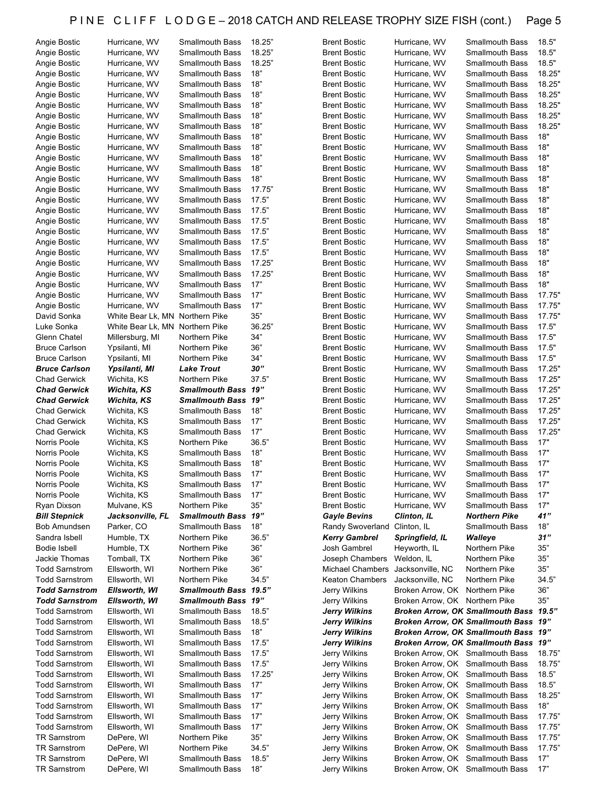| Angie Bostic          | Hurricane, WV     | <b>Smallmouth Bass</b> | 18.25" | <b>Brent Bostic</b>    | Hurricane, WV                    | <b>Smallmouth Bass</b>                  | 18.5"  |
|-----------------------|-------------------|------------------------|--------|------------------------|----------------------------------|-----------------------------------------|--------|
| Angie Bostic          | Hurricane, WV     | <b>Smallmouth Bass</b> | 18.25" | <b>Brent Bostic</b>    | Hurricane, WV                    | <b>Smallmouth Bass</b>                  | 18.5"  |
| Angie Bostic          | Hurricane, WV     | <b>Smallmouth Bass</b> | 18.25" | <b>Brent Bostic</b>    | Hurricane, WV                    | <b>Smallmouth Bass</b>                  | 18.5"  |
| Angie Bostic          | Hurricane, WV     | <b>Smallmouth Bass</b> | 18"    | <b>Brent Bostic</b>    | Hurricane, WV                    | <b>Smallmouth Bass</b>                  | 18.25" |
|                       |                   | <b>Smallmouth Bass</b> | 18"    |                        |                                  | <b>Smallmouth Bass</b>                  | 18.25" |
| Angie Bostic          | Hurricane, WV     |                        |        | <b>Brent Bostic</b>    | Hurricane, WV                    |                                         |        |
| Angie Bostic          | Hurricane, WV     | <b>Smallmouth Bass</b> | 18"    | <b>Brent Bostic</b>    | Hurricane, WV                    | <b>Smallmouth Bass</b>                  | 18.25" |
| Angie Bostic          | Hurricane, WV     | <b>Smallmouth Bass</b> | 18"    | <b>Brent Bostic</b>    | Hurricane, WV                    | <b>Smallmouth Bass</b>                  | 18.25" |
| Angie Bostic          | Hurricane, WV     | <b>Smallmouth Bass</b> | 18"    | <b>Brent Bostic</b>    | Hurricane, WV                    | <b>Smallmouth Bass</b>                  | 18.25" |
| Angie Bostic          | Hurricane, WV     | <b>Smallmouth Bass</b> | 18"    | <b>Brent Bostic</b>    | Hurricane, WV                    | <b>Smallmouth Bass</b>                  | 18.25" |
|                       | Hurricane, WV     | <b>Smallmouth Bass</b> | 18"    | <b>Brent Bostic</b>    | Hurricane, WV                    | <b>Smallmouth Bass</b>                  | 18"    |
| Angie Bostic          |                   |                        |        |                        |                                  |                                         |        |
| Angie Bostic          | Hurricane, WV     | <b>Smallmouth Bass</b> | 18"    | <b>Brent Bostic</b>    | Hurricane, WV                    | <b>Smallmouth Bass</b>                  | 18"    |
| Angie Bostic          | Hurricane, WV     | <b>Smallmouth Bass</b> | 18"    | <b>Brent Bostic</b>    | Hurricane, WV                    | <b>Smallmouth Bass</b>                  | 18"    |
| Angie Bostic          | Hurricane, WV     | <b>Smallmouth Bass</b> | 18"    | <b>Brent Bostic</b>    | Hurricane, WV                    | <b>Smallmouth Bass</b>                  | 18"    |
| Angie Bostic          | Hurricane, WV     | <b>Smallmouth Bass</b> | 18"    | <b>Brent Bostic</b>    | Hurricane, WV                    | <b>Smallmouth Bass</b>                  | 18"    |
|                       |                   |                        |        |                        |                                  |                                         | 18"    |
| Angie Bostic          | Hurricane, WV     | <b>Smallmouth Bass</b> | 17.75" | <b>Brent Bostic</b>    | Hurricane, WV                    | <b>Smallmouth Bass</b>                  |        |
| Angie Bostic          | Hurricane, WV     | <b>Smallmouth Bass</b> | 17.5"  | <b>Brent Bostic</b>    | Hurricane, WV                    | <b>Smallmouth Bass</b>                  | 18"    |
| Angie Bostic          | Hurricane, WV     | <b>Smallmouth Bass</b> | 17.5"  | <b>Brent Bostic</b>    | Hurricane, WV                    | <b>Smallmouth Bass</b>                  | 18"    |
| Angie Bostic          | Hurricane, WV     | <b>Smallmouth Bass</b> | 17.5"  | <b>Brent Bostic</b>    | Hurricane, WV                    | <b>Smallmouth Bass</b>                  | 18"    |
| Angie Bostic          | Hurricane, WV     | <b>Smallmouth Bass</b> | 17.5"  | <b>Brent Bostic</b>    | Hurricane, WV                    | <b>Smallmouth Bass</b>                  | 18"    |
|                       |                   |                        |        |                        |                                  |                                         |        |
| Angie Bostic          | Hurricane, WV     | <b>Smallmouth Bass</b> | 17.5"  | <b>Brent Bostic</b>    | Hurricane, WV                    | <b>Smallmouth Bass</b>                  | 18"    |
| Angie Bostic          | Hurricane, WV     | <b>Smallmouth Bass</b> | 17.5"  | <b>Brent Bostic</b>    | Hurricane, WV                    | <b>Smallmouth Bass</b>                  | 18"    |
| Angie Bostic          | Hurricane, WV     | <b>Smallmouth Bass</b> | 17.25" | <b>Brent Bostic</b>    | Hurricane, WV                    | <b>Smallmouth Bass</b>                  | 18"    |
| Angie Bostic          | Hurricane, WV     | <b>Smallmouth Bass</b> | 17.25" | <b>Brent Bostic</b>    | Hurricane, WV                    | <b>Smallmouth Bass</b>                  | 18"    |
|                       |                   |                        | 17"    |                        |                                  | <b>Smallmouth Bass</b>                  | 18"    |
| Angie Bostic          | Hurricane, WV     | <b>Smallmouth Bass</b> |        | <b>Brent Bostic</b>    | Hurricane, WV                    |                                         |        |
| Angie Bostic          | Hurricane, WV     | <b>Smallmouth Bass</b> | 17"    | <b>Brent Bostic</b>    | Hurricane, WV                    | <b>Smallmouth Bass</b>                  | 17.75" |
| Angie Bostic          | Hurricane, WV     | <b>Smallmouth Bass</b> | 17"    | <b>Brent Bostic</b>    | Hurricane, WV                    | <b>Smallmouth Bass</b>                  | 17.75" |
| David Sonka           | White Bear Lk, MN | Northern Pike          | 35"    | <b>Brent Bostic</b>    | Hurricane, WV                    | <b>Smallmouth Bass</b>                  | 17.75" |
| Luke Sonka            | White Bear Lk, MN | Northern Pike          | 36.25" | <b>Brent Bostic</b>    | Hurricane, WV                    | <b>Smallmouth Bass</b>                  | 17.5"  |
|                       |                   |                        | 34"    |                        |                                  |                                         | 17.5"  |
| Glenn Chatel          | Millersburg, MI   | Northern Pike          |        | <b>Brent Bostic</b>    | Hurricane, WV                    | <b>Smallmouth Bass</b>                  |        |
| <b>Bruce Carlson</b>  | Ypsilanti, MI     | Northern Pike          | 36"    | <b>Brent Bostic</b>    | Hurricane, WV                    | <b>Smallmouth Bass</b>                  | 17.5"  |
| <b>Bruce Carlson</b>  | Ypsilanti, MI     | Northern Pike          | 34"    | <b>Brent Bostic</b>    | Hurricane, WV                    | <b>Smallmouth Bass</b>                  | 17.5"  |
| <b>Bruce Carlson</b>  | Ypsilanti, MI     | <b>Lake Trout</b>      | 30"    | <b>Brent Bostic</b>    | Hurricane, WV                    | <b>Smallmouth Bass</b>                  | 17.25" |
| <b>Chad Gerwick</b>   | Wichita, KS       | Northern Pike          | 37.5"  | <b>Brent Bostic</b>    | Hurricane, WV                    | <b>Smallmouth Bass</b>                  | 17.25" |
|                       |                   |                        |        |                        |                                  |                                         |        |
| <b>Chad Gerwick</b>   | Wichita, KS       | Smallmouth Bass 19"    |        | <b>Brent Bostic</b>    | Hurricane, WV                    | <b>Smallmouth Bass</b>                  | 17.25" |
| <b>Chad Gerwick</b>   | Wichita, KS       | Smallmouth Bass 19"    |        | <b>Brent Bostic</b>    | Hurricane, WV                    | <b>Smallmouth Bass</b>                  | 17.25" |
| <b>Chad Gerwick</b>   | Wichita, KS       | <b>Smallmouth Bass</b> | 18"    | <b>Brent Bostic</b>    | Hurricane, WV                    | <b>Smallmouth Bass</b>                  | 17.25" |
| <b>Chad Gerwick</b>   | Wichita, KS       | <b>Smallmouth Bass</b> | 17"    | <b>Brent Bostic</b>    | Hurricane, WV                    | <b>Smallmouth Bass</b>                  | 17.25" |
| <b>Chad Gerwick</b>   | Wichita, KS       | <b>Smallmouth Bass</b> | 17"    | <b>Brent Bostic</b>    | Hurricane, WV                    | <b>Smallmouth Bass</b>                  | 17.25" |
| Norris Poole          |                   | Northern Pike          |        |                        |                                  |                                         |        |
|                       |                   |                        | 36.5"  | <b>Brent Bostic</b>    | Hurricane, WV                    | <b>Smallmouth Bass</b>                  | 17"    |
|                       | Wichita, KS       |                        |        |                        |                                  |                                         |        |
| Norris Poole          | Wichita, KS       | <b>Smallmouth Bass</b> | 18"    | <b>Brent Bostic</b>    | Hurricane, WV                    | <b>Smallmouth Bass</b>                  | 17"    |
| Norris Poole          | Wichita, KS       | <b>Smallmouth Bass</b> | 18"    | <b>Brent Bostic</b>    | Hurricane, WV                    | <b>Smallmouth Bass</b>                  | 17"    |
|                       |                   |                        |        |                        |                                  |                                         |        |
| Norris Poole          | Wichita, KS       | <b>Smallmouth Bass</b> | 17"    | <b>Brent Bostic</b>    | Hurricane, WV                    | <b>Smallmouth Bass</b>                  | 17"    |
| Norris Poole          | Wichita, KS       | Smallmouth Bass        | 17"    | <b>Brent Bostic</b>    | Hurricane, WV                    | Smallmouth Bass                         | 17"    |
| Norris Poole          | Wichita, KS       | <b>Smallmouth Bass</b> | 17"    | <b>Brent Bostic</b>    | Hurricane, WV                    | Smallmouth Bass                         | 17"    |
| Ryan Dixson           | Mulvane, KS       | Northern Pike          | 35"    | <b>Brent Bostic</b>    | Hurricane, WV                    | <b>Smallmouth Bass</b>                  | 17"    |
|                       |                   |                        |        | <b>Gayle Bevins</b>    | Clinton, IL                      | Northern Pike                           | 41"    |
| <b>Bill Stepnick</b>  | Jacksonville, FL  | Smallmouth Bass 19"    |        |                        |                                  |                                         |        |
| Bob Amundsen          | Parker, CO        | <b>Smallmouth Bass</b> | 18"    | Randy Swoverland       | Clinton, IL                      | <b>Smallmouth Bass</b>                  | 18"    |
| Sandra Isbell         | Humble, TX        | Northern Pike          | 36.5"  | <b>Kerry Gambrel</b>   | Springfield, IL                  | Walleye                                 | 31"    |
| Bodie Isbell          | Humble, TX        | Northern Pike          | 36"    | Josh Gambrel           | Heyworth, IL                     | Northern Pike                           | 35"    |
| Jackie Thomas         | Tomball, TX       | Northern Pike          | 36"    | Joseph Chambers        | Weldon, IL                       | Northern Pike                           | 35"    |
| <b>Todd Sarnstrom</b> | Ellsworth, WI     | Northern Pike          | 36"    | Michael Chambers       | Jacksonville, NC                 | Northern Pike                           | 35"    |
|                       |                   |                        |        |                        |                                  |                                         |        |
| <b>Todd Sarnstrom</b> | Ellsworth, WI     | Northern Pike          | 34.5"  | <b>Keaton Chambers</b> | Jacksonville, NC                 | Northern Pike                           | 34.5"  |
| <b>Todd Sarnstrom</b> | Ellsworth, WI     | Smallmouth Bass 19.5"  |        | Jerry Wilkins          | Broken Arrow, OK                 | Northern Pike                           | 36"    |
| <b>Todd Sarnstrom</b> | Ellsworth, WI     | Smallmouth Bass 19"    |        | Jerry Wilkins          | Broken Arrow, OK Northern Pike   |                                         | 35"    |
| <b>Todd Sarnstrom</b> | Ellsworth, WI     | <b>Smallmouth Bass</b> | 18.5"  | Jerry Wilkins          |                                  | Broken Arrow, OK Smallmouth Bass 19.5"  |        |
|                       |                   |                        |        |                        |                                  |                                         |        |
| <b>Todd Sarnstrom</b> | Ellsworth, WI     | <b>Smallmouth Bass</b> | 18.5"  | Jerry Wilkins          |                                  | Broken Arrow, OK Smallmouth Bass 19"    |        |
| <b>Todd Sarnstrom</b> | Ellsworth, WI     | <b>Smallmouth Bass</b> | 18"    | <b>Jerry Wilkins</b>   |                                  | Broken Arrow, OK Smallmouth Bass 19"    |        |
| <b>Todd Sarnstrom</b> | Ellsworth, WI     | <b>Smallmouth Bass</b> | 17.5"  | <b>Jerry Wilkins</b>   |                                  | <b>Broken Arrow, OK Smallmouth Bass</b> | 19"    |
| <b>Todd Sarnstrom</b> | Ellsworth, WI     | <b>Smallmouth Bass</b> | 17.5"  | Jerry Wilkins          | Broken Arrow, OK Smallmouth Bass |                                         | 18.75" |
| <b>Todd Sarnstrom</b> | Ellsworth, WI     | <b>Smallmouth Bass</b> | 17.5"  | Jerry Wilkins          | Broken Arrow, OK Smallmouth Bass |                                         | 18.75" |
|                       |                   |                        |        |                        |                                  |                                         |        |
| <b>Todd Sarnstrom</b> | Ellsworth, WI     | <b>Smallmouth Bass</b> | 17.25" | Jerry Wilkins          | Broken Arrow, OK Smallmouth Bass |                                         | 18.5"  |
| <b>Todd Sarnstrom</b> | Ellsworth, WI     | <b>Smallmouth Bass</b> | 17"    | Jerry Wilkins          | Broken Arrow, OK Smallmouth Bass |                                         | 18.5"  |
| <b>Todd Sarnstrom</b> | Ellsworth, WI     | <b>Smallmouth Bass</b> | 17"    | Jerry Wilkins          | Broken Arrow, OK Smallmouth Bass |                                         | 18.25" |
| <b>Todd Sarnstrom</b> | Ellsworth, WI     | <b>Smallmouth Bass</b> | 17"    | Jerry Wilkins          | Broken Arrow, OK Smallmouth Bass |                                         | 18"    |
| <b>Todd Sarnstrom</b> | Ellsworth, WI     | <b>Smallmouth Bass</b> | 17"    | Jerry Wilkins          | Broken Arrow, OK Smallmouth Bass |                                         | 17.75" |
|                       |                   |                        |        |                        |                                  |                                         |        |
| <b>Todd Sarnstrom</b> | Ellsworth, WI     | <b>Smallmouth Bass</b> | 17"    | Jerry Wilkins          | Broken Arrow, OK Smallmouth Bass |                                         | 17.75" |
| <b>TR Sarnstrom</b>   | DePere, WI        | Northern Pike          | 35"    | Jerry Wilkins          | Broken Arrow, OK Smallmouth Bass |                                         | 17.75" |
| <b>TR Sarnstrom</b>   | DePere, WI        | Northern Pike          | 34.5"  | Jerry Wilkins          | Broken Arrow, OK Smallmouth Bass |                                         | 17.75" |
| <b>TR Sarnstrom</b>   | DePere, WI        | <b>Smallmouth Bass</b> | 18.5"  | Jerry Wilkins          | Broken Arrow, OK Smallmouth Bass |                                         | 17"    |
| <b>TR Sarnstrom</b>   | DePere, WI        | <b>Smallmouth Bass</b> | 18"    | Jerry Wilkins          | Broken Arrow, OK Smallmouth Bass |                                         | 17"    |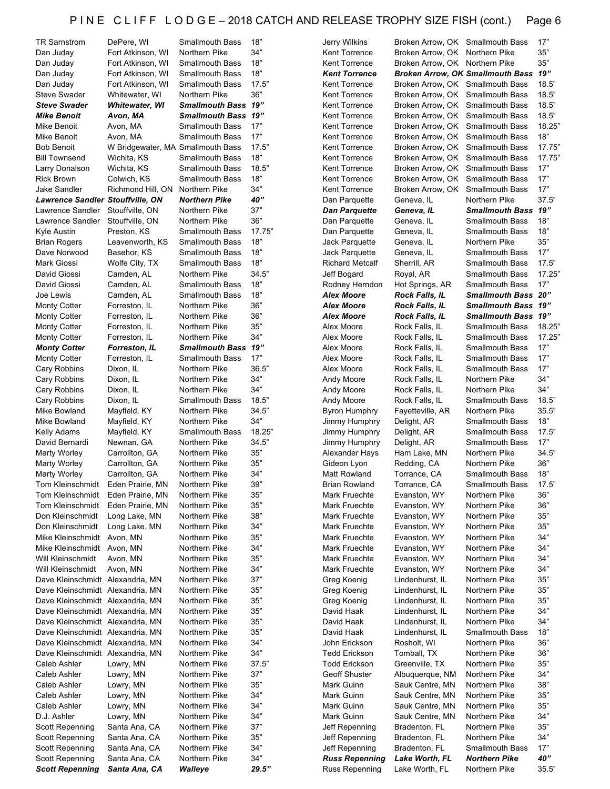| <b>TR Sarnstrom</b>                     | DePere, WI                        | <b>Smallmouth Bass</b>     | 18"    | Jerry Wilkins          | Broken Arrow, OK Smallmouth Bass |                                         | 17"    |
|-----------------------------------------|-----------------------------------|----------------------------|--------|------------------------|----------------------------------|-----------------------------------------|--------|
| Dan Juday                               | Fort Atkinson, WI                 | Northern Pike              | 34"    | Kent Torrence          | Broken Arrow, OK Northern Pike   |                                         | 35"    |
| Dan Juday                               | Fort Atkinson, WI                 | <b>Smallmouth Bass</b>     | 18"    | Kent Torrence          | Broken Arrow, OK Northern Pike   |                                         | 35"    |
| Dan Juday                               | Fort Atkinson, WI                 | <b>Smallmouth Bass</b>     | 18"    | <b>Kent Torrence</b>   |                                  | <b>Broken Arrow, OK Smallmouth Bass</b> | 19"    |
| Dan Juday                               | Fort Atkinson, WI                 | <b>Smallmouth Bass</b>     | 17.5"  | Kent Torrence          | Broken Arrow, OK Smallmouth Bass |                                         | 18.5"  |
| <b>Steve Swader</b>                     | Whitewater, WI                    | Northern Pike              | 36"    | Kent Torrence          | Broken Arrow, OK Smallmouth Bass |                                         | 18.5"  |
| <b>Steve Swader</b>                     | <b>Whitewater, WI</b>             | Smallmouth Bass 19"        |        | Kent Torrence          | Broken Arrow, OK Smallmouth Bass |                                         | 18.5"  |
| <b>Mike Benoit</b>                      | Avon, MA                          | <b>Smallmouth Bass 19"</b> |        | Kent Torrence          | Broken Arrow, OK Smallmouth Bass |                                         | 18.5"  |
| Mike Benoit                             | Avon, MA                          | <b>Smallmouth Bass</b>     | 17"    | Kent Torrence          | Broken Arrow, OK Smallmouth Bass |                                         | 18.25" |
| Mike Benoit                             | Avon, MA                          | <b>Smallmouth Bass</b>     | 17"    | Kent Torrence          | Broken Arrow, OK Smallmouth Bass |                                         | 18"    |
| <b>Bob Benoit</b>                       | W Bridgewater, MA Smallmouth Bass |                            | 17.5"  | Kent Torrence          | Broken Arrow, OK Smallmouth Bass |                                         | 17.75' |
| <b>Bill Townsend</b>                    | Wichita, KS                       | <b>Smallmouth Bass</b>     | 18"    | Kent Torrence          | Broken Arrow, OK                 | <b>Smallmouth Bass</b>                  | 17.75" |
| Larry Donalson                          | Wichita, KS                       | <b>Smallmouth Bass</b>     | 18.5"  | Kent Torrence          | Broken Arrow, OK Smallmouth Bass |                                         | 17"    |
| <b>Rick Brown</b>                       | Colwich, KS                       | <b>Smallmouth Bass</b>     | 18"    | Kent Torrence          | Broken Arrow, OK                 | <b>Smallmouth Bass</b>                  | 17"    |
| Jake Sandler                            | Richmond Hill, ON                 | Northern Pike              | 34"    | Kent Torrence          | Broken Arrow, OK                 | <b>Smallmouth Bass</b>                  | 17"    |
| <b>Lawrence Sandler Stouffville, ON</b> |                                   | <b>Northern Pike</b>       | 40"    | Dan Parquette          | Geneva, IL                       | Northern Pike                           | 37.5"  |
| Lawrence Sandler                        | Stouffville, ON                   | Northern Pike              | 37"    | Dan Parquette          | Geneva, IL                       | Smallmouth Bass 19"                     |        |
| Lawrence Sandler                        | Stouffville, ON                   | Northern Pike              | 36"    | Dan Parquette          | Geneva, IL                       | <b>Smallmouth Bass</b>                  | 18"    |
| Kyle Austin                             | Preston, KS                       | <b>Smallmouth Bass</b>     | 17.75" | Dan Parquette          | Geneva, IL                       | <b>Smallmouth Bass</b>                  | 18"    |
| <b>Brian Rogers</b>                     | Leavenworth, KS                   | <b>Smallmouth Bass</b>     | 18"    | Jack Parquette         | Geneva, IL                       | Northern Pike                           | 35"    |
| Dave Norwood                            | Basehor, KS                       | <b>Smallmouth Bass</b>     | 18"    | Jack Parquette         | Geneva, IL                       | <b>Smallmouth Bass</b>                  | 17"    |
| Mark Giossi                             | Wolfe City, TX                    | <b>Smallmouth Bass</b>     | 18"    | <b>Richard Metcalf</b> | Sherrill, AR                     | <b>Smallmouth Bass</b>                  | 17.5"  |
| David Giossi                            | Camden, AL                        | Northern Pike              | 34.5"  | Jeff Bogard            | Royal, AR                        | Smallmouth Bass                         | 17.25" |
| David Giossi                            | Camden, AL                        | <b>Smallmouth Bass</b>     | 18"    | Rodney Herndon         | Hot Springs, AR                  | <b>Smallmouth Bass</b>                  | 17"    |
| Joe Lewis                               | Camden, AL                        | <b>Smallmouth Bass</b>     | 18"    | Alex Moore             | <b>Rock Falls, IL</b>            | Smallmouth Bass 20"                     |        |
| <b>Monty Cotter</b>                     | Forreston, IL                     | Northern Pike              | $36"$  | Alex Moore             | <b>Rock Falls, IL</b>            | Smallmouth Bass 19"                     |        |
| <b>Monty Cotter</b>                     | Forreston, IL                     | Northern Pike              | 36"    | <b>Alex Moore</b>      | <b>Rock Falls, IL</b>            | <b>Smallmouth Bass</b>                  | 19"    |
| <b>Monty Cotter</b>                     | Forreston, IL                     | Northern Pike              | 35"    | Alex Moore             | Rock Falls, IL                   | <b>Smallmouth Bass</b>                  | 18.25' |
| <b>Monty Cotter</b>                     | Forreston, IL                     | Northern Pike              | 34"    | Alex Moore             | Rock Falls, IL                   | <b>Smallmouth Bass</b>                  | 17.25' |
| <b>Monty Cotter</b>                     | Forreston, IL                     | <b>Smallmouth Bass</b>     | "19    | Alex Moore             | Rock Falls, IL                   | <b>Smallmouth Bass</b>                  | 17"    |
| <b>Monty Cotter</b>                     | Forreston, IL                     | <b>Smallmouth Bass</b>     | 17"    | Alex Moore             | Rock Falls, IL                   | <b>Smallmouth Bass</b>                  | 17"    |
| Cary Robbins                            | Dixon, IL                         | Northern Pike              | 36.5"  | Alex Moore             | Rock Falls, IL                   | <b>Smallmouth Bass</b>                  | 17"    |
| Cary Robbins                            | Dixon, IL                         | Northern Pike              | 34"    | Andy Moore             | Rock Falls, IL                   | Northern Pike                           | 34"    |
| Cary Robbins                            | Dixon, IL                         | Northern Pike              | 34"    | Andy Moore             | Rock Falls, IL                   | Northern Pike                           | 34"    |
| Cary Robbins                            | Dixon, IL                         | <b>Smallmouth Bass</b>     | 18.5"  | Andy Moore             | Rock Falls, IL                   | <b>Smallmouth Bass</b>                  | 18.5"  |
| Mike Bowland                            | Mayfield, KY                      | Northern Pike              | 34.5"  | Byron Humphry          | Fayetteville, AR                 | Northern Pike                           | 35.5"  |
| Mike Bowland                            | Mayfield, KY                      | Northern Pike              | 34"    | Jimmy Humphry          | Delight, AR                      | <b>Smallmouth Bass</b>                  | 18"    |
| Kelly Adams                             | Mayfield, KY                      | <b>Smallmouth Bass</b>     | 18.25" | Jimmy Humphry          | Delight, AR                      | <b>Smallmouth Bass</b>                  | 17.5"  |
| David Bernardi                          | Newnan, GA                        | Northern Pike              | 34.5"  | Jimmy Humphry          | Delight, AR                      | <b>Smallmouth Bass</b>                  | 17"    |
| <b>Marty Worley</b>                     | Carrollton, GA                    | Northern Pike              | 35"    | Alexander Hays         | Ham Lake, MN                     | Northern Pike                           | 34.5"  |
| <b>Marty Worley</b>                     | Carrollton, GA                    | Northern Pike              | 35"    | Gideon Lyon            | Redding, CA                      | Northern Pike                           | 36"    |
| <b>Marty Worley</b>                     | Carrollton, GA                    | Northern Pike              | 34"    | Matt Rowland           | Torrance, CA                     | <b>Smallmouth Bass</b>                  | 18"    |
| Tom Kleinschmidt                        | Eden Prairie, MN                  | Northern Pike              | 39"    | <b>Brian Rowland</b>   | Torrance, CA                     | <b>Smallmouth Bass</b>                  | 17.5"  |
| Tom Kleinschmidt                        | Eden Prairie, MN                  | Northern Pike              | 35"    | Mark Fruechte          | Evanston, WY                     | Northern Pike                           | 36"    |
| Tom Kleinschmidt                        | Eden Prairie, MN                  | Northern Pike              | $35"$  | Mark Fruechte          | Evanston, WY                     | Northern Pike                           | 36"    |
| Don Kleinschmidt                        | Long Lake, MN                     | Northern Pike              | 38"    | Mark Fruechte          | Evanston, WY                     | Northern Pike                           | 35"    |
| Don Kleinschmidt                        | Long Lake, MN                     | Northern Pike              | 34"    | Mark Fruechte          | Evanston, WY                     | Northern Pike                           | 35"    |
| Mike Kleinschmidt                       | Avon, MN                          | Northern Pike              | 35"    | Mark Fruechte          | Evanston, WY                     | Northern Pike                           | 34"    |
| Mike Kleinschmidt                       | Avon, MN                          | Northern Pike              | 34"    | Mark Fruechte          | Evanston, WY                     | Northern Pike                           | 34"    |
| Will Kleinschmidt                       | Avon, MN                          | Northern Pike              | 35"    | Mark Fruechte          | Evanston, WY                     | Northern Pike                           | 34"    |
| Will Kleinschmidt                       | Avon, MN                          | Northern Pike              | 34"    | Mark Fruechte          | Evanston, WY                     | Northern Pike                           | 34"    |
| Dave Kleinschmidt Alexandria, MN        |                                   | Northern Pike              | 37"    | Greg Koenig            | Lindenhurst, IL                  | Northern Pike                           | 35"    |
| Dave Kleinschmidt Alexandria, MN        |                                   | Northern Pike              | $35"$  | Greg Koenig            | Lindenhurst, IL                  | Northern Pike                           | 35"    |
| Dave Kleinschmidt Alexandria, MN        |                                   | Northern Pike              | $35"$  | Greg Koenig            | Lindenhurst, IL                  | Northern Pike                           | $35"$  |
| Dave Kleinschmidt Alexandria, MN        |                                   | Northern Pike              | 35"    | David Haak             | Lindenhurst, IL                  | Northern Pike                           | 34"    |
| Dave Kleinschmidt Alexandria, MN        |                                   | Northern Pike              | 35"    | David Haak             | Lindenhurst, IL                  | Northern Pike                           | 34"    |
| Dave Kleinschmidt Alexandria, MN        |                                   | Northern Pike              | $35"$  | David Haak             | Lindenhurst, IL                  | <b>Smallmouth Bass</b>                  | 18"    |
| Dave Kleinschmidt Alexandria, MN        |                                   | Northern Pike              | 34"    | John Erickson          | Rosholt, WI                      | Northern Pike                           | 36"    |
| Dave Kleinschmidt Alexandria, MN        |                                   | Northern Pike              | 34"    | <b>Tedd Erickson</b>   | Tomball, TX                      | Northern Pike                           | 36"    |
| Caleb Ashler                            | Lowry, MN                         | Northern Pike              | 37.5"  | <b>Todd Erickson</b>   | Greenville, TX                   | Northern Pike                           | 35"    |
| Caleb Ashler                            | Lowry, MN                         | Northern Pike              | 37"    | Geoff Shuster          | Albuquerque, NM                  | Northern Pike                           | 34"    |
| Caleb Ashler                            | Lowry, MN                         | Northern Pike              | $35"$  | Mark Guinn             | Sauk Centre, MN                  | Northern Pike                           | 38"    |
| Caleb Ashler                            | Lowry, MN                         | Northern Pike              | 34"    | Mark Guinn             | Sauk Centre, MN                  | Northern Pike                           | 35"    |
| Caleb Ashler                            | Lowry, MN                         | Northern Pike              | 34"    | Mark Guinn             | Sauk Centre, MN                  | Northern Pike                           | 35"    |
| D.J. Ashler                             | Lowry, MN                         | Northern Pike              | 34"    | Mark Guinn             | Sauk Centre, MN                  | Northern Pike                           | 34"    |
| Scott Repenning                         | Santa Ana, CA                     | Northern Pike              | 37"    | Jeff Repenning         | Bradenton, FL                    | Northern Pike                           | 35"    |
| Scott Repenning                         | Santa Ana, CA                     | Northern Pike              | $35"$  | Jeff Repenning         | Bradenton, FL                    | Northern Pike                           | 34"    |
| Scott Repenning                         | Santa Ana, CA                     | Northern Pike              | 34"    | Jeff Repenning         | Bradenton, FL                    | <b>Smallmouth Bass</b>                  | 17"    |
| <b>Scott Repenning</b>                  | Santa Ana, CA                     | Northern Pike              | 34"    | <b>Russ Repenning</b>  | Lake Worth, FL                   | <b>Northern Pike</b>                    | $40$ " |
| <b>Scott Repenning</b>                  | Santa Ana, CA                     | Walleye                    | 29.5"  | <b>Russ Repenning</b>  | Lake Worth, FL                   | Northern Pike                           | 35.5"  |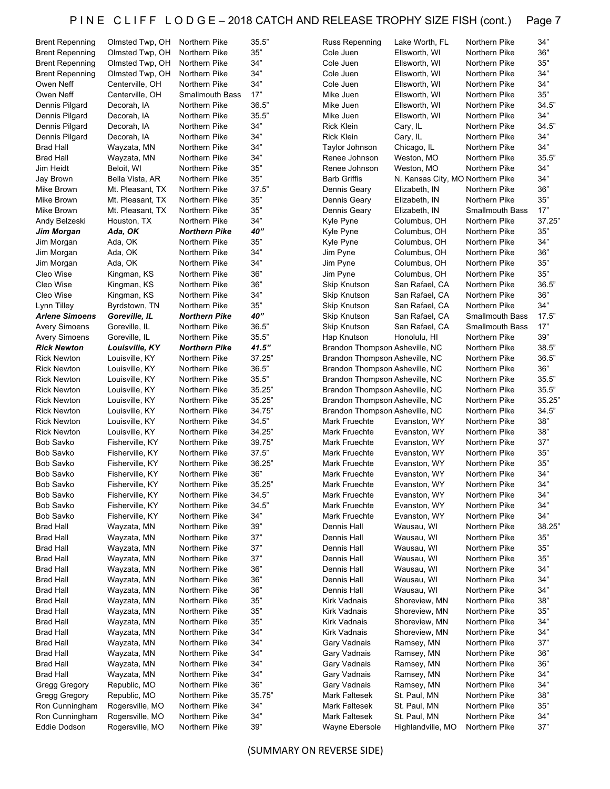| <b>Brent Repenning</b> | Olmsted Twp, OH               | Northern Pike          | 35.5"  | Russ Repenning                 | Lake Worth, FL                                 | Northern Pike          | 34"    |
|------------------------|-------------------------------|------------------------|--------|--------------------------------|------------------------------------------------|------------------------|--------|
| <b>Brent Repenning</b> | Olmsted Twp, OH               | Northern Pike          | 35"    | Cole Juen                      | Ellsworth, WI                                  | Northern Pike          | 36"    |
| <b>Brent Repenning</b> | Olmsted Twp, OH               | Northern Pike          | 34"    | Cole Juen                      | Ellsworth, WI                                  | Northern Pike          | 35"    |
| <b>Brent Repenning</b> | Olmsted Twp, OH               | Northern Pike          | 34"    | Cole Juen                      | Ellsworth, WI                                  | Northern Pike          | 34"    |
| Owen Neff              | Centerville, OH               | Northern Pike          | 34"    | Cole Juen                      | Ellsworth, WI                                  | Northern Pike          | 34"    |
| Owen Neff              | Centerville, OH               | <b>Smallmouth Bass</b> | 17"    | Mike Juen                      | Ellsworth, WI                                  | Northern Pike          | 35"    |
| Dennis Pilgard         | Decorah, IA                   | Northern Pike          | 36.5"  | Mike Juen                      | Ellsworth, WI                                  | Northern Pike          | 34.5"  |
| Dennis Pilgard         | Decorah, IA                   | Northern Pike          | 35.5"  | Mike Juen                      | Ellsworth, WI                                  | Northern Pike          | 34"    |
| Dennis Pilgard         | Decorah, IA                   | Northern Pike          | 34"    | <b>Rick Klein</b>              | Cary, IL                                       | Northern Pike          | 34.5"  |
| Dennis Pilgard         | Decorah, IA                   | Northern Pike          | 34"    | <b>Rick Klein</b>              | Cary, IL                                       | Northern Pike          | 34"    |
| <b>Brad Hall</b>       | Wayzata, MN                   | Northern Pike          | 34"    | Taylor Johnson                 | Chicago, IL                                    | Northern Pike          | 34"    |
| <b>Brad Hall</b>       | Wayzata, MN                   | Northern Pike          | 34"    | Renee Johnson                  | Weston, MO                                     | Northern Pike          | 35.5"  |
| Jim Heidt              |                               | Northern Pike          | 35"    | Renee Johnson                  |                                                | Northern Pike          | 34"    |
|                        | Beloit, WI<br>Bella Vista, AR |                        | 35"    | <b>Barb Griffis</b>            | Weston, MO<br>N. Kansas City, MO Northern Pike |                        | 34"    |
| Jay Brown              |                               | Northern Pike          | 37.5"  |                                |                                                |                        | 36"    |
| Mike Brown             | Mt. Pleasant, TX              | Northern Pike          |        | Dennis Geary                   | Elizabeth, IN                                  | Northern Pike          | 35"    |
| Mike Brown             | Mt. Pleasant, TX              | Northern Pike          | 35"    | Dennis Geary                   | Elizabeth, IN                                  | Northern Pike          |        |
| Mike Brown             | Mt. Pleasant, TX              | Northern Pike          | 35"    | Dennis Geary                   | Elizabeth, IN                                  | <b>Smallmouth Bass</b> | 17"    |
| Andy Belzeski          | Houston, TX                   | Northern Pike          | 34"    | Kyle Pyne                      | Columbus, OH                                   | Northern Pike          | 37.25" |
| Jim Morgan             | Ada, OK                       | <b>Northern Pike</b>   | 40"    | Kyle Pyne                      | Columbus, OH                                   | Northern Pike          | 35"    |
| Jim Morgan             | Ada, OK                       | Northern Pike          | 35"    | Kyle Pyne                      | Columbus, OH                                   | Northern Pike          | 34"    |
| Jim Morgan             | Ada, OK                       | Northern Pike          | 34"    | Jim Pyne                       | Columbus, OH                                   | Northern Pike          | 36"    |
| Jim Morgan             | Ada, OK                       | Northern Pike          | 34"    | Jim Pyne                       | Columbus, OH                                   | Northern Pike          | 35"    |
| Cleo Wise              | Kingman, KS                   | Northern Pike          | 36"    | Jim Pyne                       | Columbus, OH                                   | Northern Pike          | 35"    |
| Cleo Wise              | Kingman, KS                   | Northern Pike          | 36"    | <b>Skip Knutson</b>            | San Rafael, CA                                 | Northern Pike          | 36.5"  |
| Cleo Wise              | Kingman, KS                   | Northern Pike          | 34"    | Skip Knutson                   | San Rafael, CA                                 | Northern Pike          | 36"    |
| Lynn Tilley            | Byrdstown, TN                 | Northern Pike          | 35"    | <b>Skip Knutson</b>            | San Rafael, CA                                 | Northern Pike          | 34"    |
| <b>Arlene Simoens</b>  | Goreville, IL                 | <b>Northern Pike</b>   | 40"    | Skip Knutson                   | San Rafael, CA                                 | <b>Smallmouth Bass</b> | 17.5"  |
| <b>Avery Simoens</b>   | Goreville, IL                 | Northern Pike          | 36.5"  | Skip Knutson                   | San Rafael, CA                                 | <b>Smallmouth Bass</b> | 17"    |
| <b>Avery Simoens</b>   | Goreville, IL                 | Northern Pike          | 35.5"  | Hap Knutson                    | Honolulu, HI                                   | Northern Pike          | 39"    |
| <b>Rick Newton</b>     | Louisville, KY                | <b>Northern Pike</b>   | 41.5"  | Brandon Thompson Asheville, NC |                                                | Northern Pike          | 38.5"  |
| <b>Rick Newton</b>     | Louisville, KY                | Northern Pike          | 37.25" | Brandon Thompson Asheville, NC |                                                | Northern Pike          | 36.5"  |
|                        | Louisville, KY                | Northern Pike          | 36.5"  | Brandon Thompson Asheville, NC |                                                | Northern Pike          | 36"    |
| <b>Rick Newton</b>     |                               |                        | 35.5"  |                                |                                                |                        | 35.5"  |
| <b>Rick Newton</b>     | Louisville, KY                | Northern Pike          |        | Brandon Thompson Asheville, NC |                                                | Northern Pike          |        |
| <b>Rick Newton</b>     | Louisville, KY                | Northern Pike          | 35.25" | Brandon Thompson Asheville, NC |                                                | Northern Pike          | 35.5"  |
| <b>Rick Newton</b>     | Louisville, KY                | Northern Pike          | 35.25" | Brandon Thompson Asheville, NC |                                                | Northern Pike          | 35.25  |
| <b>Rick Newton</b>     | Louisville, KY                | Northern Pike          | 34.75" | Brandon Thompson Asheville, NC |                                                | Northern Pike          | 34.5"  |
| <b>Rick Newton</b>     | Louisville, KY                | Northern Pike          | 34.5"  | Mark Fruechte                  | Evanston, WY                                   | Northern Pike          | 38"    |
| <b>Rick Newton</b>     | Louisville, KY                | Northern Pike          | 34.25" | Mark Fruechte                  | Evanston, WY                                   | Northern Pike          | 38"    |
| <b>Bob Savko</b>       | Fisherville, KY               | Northern Pike          | 39.75" | Mark Fruechte                  | Evanston, WY                                   | Northern Pike          | 37"    |
| <b>Bob Savko</b>       | Fisherville, KY               | Northern Pike          | 37.5"  | Mark Fruechte                  | Evanston, WY                                   | Northern Pike          | 35"    |
| <b>Bob Savko</b>       | Fisherville, KY               | Northern Pike          | 36.25" | Mark Fruechte                  | Evanston, WY                                   | Northern Pike          | 35"    |
| <b>Bob Savko</b>       | Fisherville, KY               | Northern Pike          | 36"    | Mark Fruechte                  | Evanston, WY                                   | Northern Pike          | 34"    |
| Bob Savko              | Fisherville, KY               | Northern Pike          | 35.25  | Mark Fruechte                  | Evanston, WY                                   | Northern Pike          | 34"    |
| <b>Bob Savko</b>       | Fisherville, KY               | Northern Pike          | 34.5"  | Mark Fruechte                  | Evanston, WY                                   | Northern Pike          | 34"    |
| Bob Savko              | Fisherville, KY               | Northern Pike          | 34.5"  | Mark Fruechte                  | Evanston, WY                                   | Northern Pike          | 34"    |
| Bob Savko              | Fisherville, KY               | Northern Pike          | 34"    | Mark Fruechte                  | Evanston, WY                                   | Northern Pike          | 34"    |
| <b>Brad Hall</b>       | Wayzata, MN                   | Northern Pike          | 39"    | Dennis Hall                    | Wausau, WI                                     | Northern Pike          | 38.25" |
| <b>Brad Hall</b>       | Wayzata, MN                   | Northern Pike          | 37"    | Dennis Hall                    | Wausau, WI                                     | Northern Pike          | 35"    |
| <b>Brad Hall</b>       | Wayzata, MN                   | Northern Pike          | 37"    | Dennis Hall                    | Wausau, WI                                     | Northern Pike          | 35"    |
| <b>Brad Hall</b>       | Wayzata, MN                   | Northern Pike          | 37"    | Dennis Hall                    | Wausau, WI                                     | Northern Pike          | 35"    |
| <b>Brad Hall</b>       | Wayzata, MN                   | Northern Pike          | 36"    | Dennis Hall                    | Wausau, WI                                     | Northern Pike          | 34"    |
| <b>Brad Hall</b>       | Wayzata, MN                   | Northern Pike          | 36"    | Dennis Hall                    | Wausau, WI                                     | Northern Pike          | 34"    |
|                        |                               | Northern Pike          |        |                                | Wausau, WI                                     |                        | 34"    |
| <b>Brad Hall</b>       | Wayzata, MN                   |                        | 36"    | Dennis Hall                    |                                                | Northern Pike          |        |
| <b>Brad Hall</b>       | Wayzata, MN                   | Northern Pike          | 35"    | Kirk Vadnais                   | Shoreview, MN                                  | Northern Pike          | 38"    |
| <b>Brad Hall</b>       | Wayzata, MN                   | Northern Pike          | 35"    | Kirk Vadnais                   | Shoreview, MN                                  | Northern Pike          | 35"    |
| <b>Brad Hall</b>       | Wayzata, MN                   | Northern Pike          | 35"    | Kirk Vadnais                   | Shoreview, MN                                  | Northern Pike          | 34"    |
| <b>Brad Hall</b>       | Wayzata, MN                   | Northern Pike          | 34"    | Kirk Vadnais                   | Shoreview, MN                                  | Northern Pike          | 34"    |
| <b>Brad Hall</b>       | Wayzata, MN                   | Northern Pike          | 34"    | Gary Vadnais                   | Ramsey, MN                                     | Northern Pike          | 37"    |
| <b>Brad Hall</b>       | Wayzata, MN                   | Northern Pike          | 34"    | Gary Vadnais                   | Ramsey, MN                                     | Northern Pike          | 36"    |
| <b>Brad Hall</b>       | Wayzata, MN                   | Northern Pike          | 34"    | Gary Vadnais                   | Ramsey, MN                                     | Northern Pike          | 36"    |
| <b>Brad Hall</b>       | Wayzata, MN                   | Northern Pike          | 34"    | Gary Vadnais                   | Ramsey, MN                                     | Northern Pike          | 34"    |
| Gregg Gregory          | Republic, MO                  | Northern Pike          | 36"    | Gary Vadnais                   | Ramsey, MN                                     | Northern Pike          | 34"    |
| Gregg Gregory          | Republic, MO                  | Northern Pike          | 35.75" | Mark Faltesek                  | St. Paul, MN                                   | Northern Pike          | 38"    |
| Ron Cunningham         | Rogersville, MO               | Northern Pike          | 34"    | Mark Faltesek                  | St. Paul, MN                                   | Northern Pike          | 35"    |
| Ron Cunningham         | Rogersville, MO               | Northern Pike          | 34"    | Mark Faltesek                  | St. Paul, MN                                   | Northern Pike          | 34"    |
| Eddie Dodson           | Rogersville, MO               | Northern Pike          | 39"    | Wayne Ebersole                 | Highlandville, MO                              | Northern Pike          | 37"    |
|                        |                               |                        |        |                                |                                                |                        |        |

### (SUMMARY ON REVERSE SIDE)